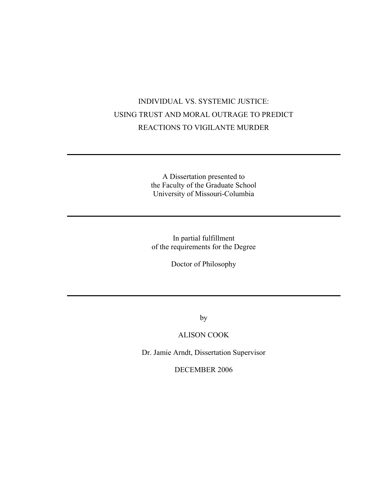# INDIVIDUAL VS. SYSTEMIC JUSTICE: USING TRUST AND MORAL OUTRAGE TO PREDICT REACTIONS TO VIGILANTE MURDER

A Dissertation presented to the Faculty of the Graduate School University of Missouri-Columbia

In partial fulfillment of the requirements for the Degree

Doctor of Philosophy

by

### ALISON COOK

Dr. Jamie Arndt, Dissertation Supervisor

DECEMBER 2006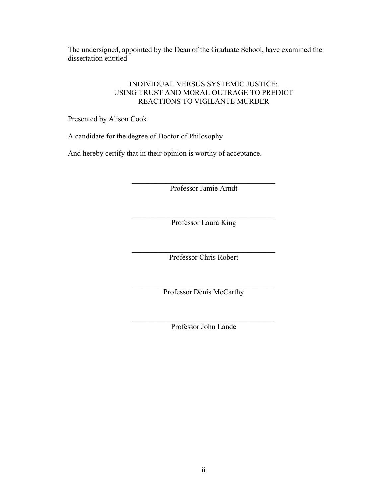The undersigned, appointed by the Dean of the Graduate School, have examined the dissertation entitled

### INDIVIDUAL VERSUS SYSTEMIC JUSTICE: USING TRUST AND MORAL OUTRAGE TO PREDICT REACTIONS TO VIGILANTE MURDER

Presented by Alison Cook

A candidate for the degree of Doctor of Philosophy

And hereby certify that in their opinion is worthy of acceptance.

\_\_\_\_\_\_\_\_\_\_\_\_\_\_\_\_\_\_\_\_\_\_\_\_\_\_\_\_\_\_\_\_\_\_\_\_\_\_ Professor Jamie Arndt

\_\_\_\_\_\_\_\_\_\_\_\_\_\_\_\_\_\_\_\_\_\_\_\_\_\_\_\_\_\_\_\_\_\_\_\_\_\_ Professor Laura King

 $\mathcal{L}_\text{max}$ Professor Chris Robert

 $\mathcal{L}_\text{max}$ Professor Denis McCarthy

\_\_\_\_\_\_\_\_\_\_\_\_\_\_\_\_\_\_\_\_\_\_\_\_\_\_\_\_\_\_\_\_\_\_\_\_\_\_ Professor John Lande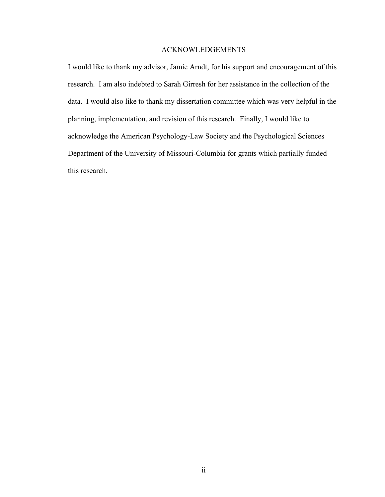### ACKNOWLEDGEMENTS

I would like to thank my advisor, Jamie Arndt, for his support and encouragement of this research. I am also indebted to Sarah Girresh for her assistance in the collection of the data. I would also like to thank my dissertation committee which was very helpful in the planning, implementation, and revision of this research. Finally, I would like to acknowledge the American Psychology-Law Society and the Psychological Sciences Department of the University of Missouri-Columbia for grants which partially funded this research.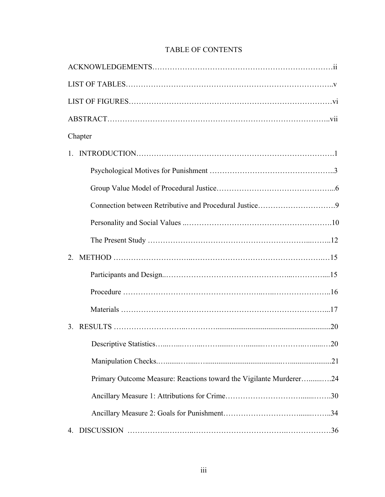| Chapter                                                            |  |  |  |  |
|--------------------------------------------------------------------|--|--|--|--|
| $\mathbf{1}$                                                       |  |  |  |  |
|                                                                    |  |  |  |  |
|                                                                    |  |  |  |  |
|                                                                    |  |  |  |  |
|                                                                    |  |  |  |  |
|                                                                    |  |  |  |  |
| $2^{\circ}$                                                        |  |  |  |  |
|                                                                    |  |  |  |  |
|                                                                    |  |  |  |  |
|                                                                    |  |  |  |  |
| .20<br>3                                                           |  |  |  |  |
|                                                                    |  |  |  |  |
|                                                                    |  |  |  |  |
| Primary Outcome Measure: Reactions toward the Vigilante Murderer24 |  |  |  |  |
|                                                                    |  |  |  |  |
|                                                                    |  |  |  |  |
|                                                                    |  |  |  |  |

## TABLE OF CONTENTS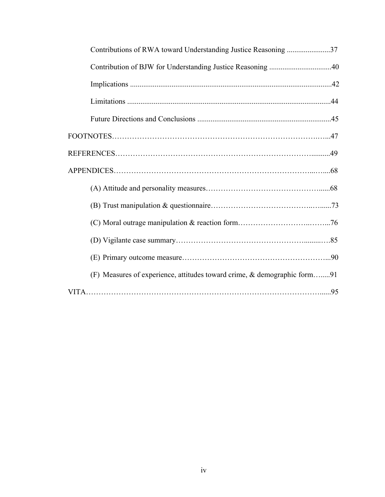| Contributions of RWA toward Understanding Justice Reasoning 37           |
|--------------------------------------------------------------------------|
|                                                                          |
|                                                                          |
|                                                                          |
|                                                                          |
|                                                                          |
|                                                                          |
|                                                                          |
|                                                                          |
|                                                                          |
|                                                                          |
|                                                                          |
|                                                                          |
| (F) Measures of experience, attitudes toward crime, & demographic form91 |
|                                                                          |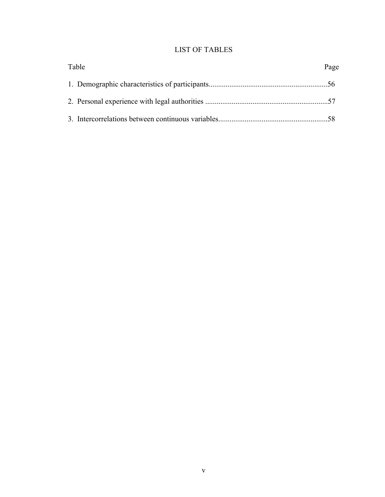## LIST OF TABLES

| Table |  | Page |
|-------|--|------|
|       |  |      |
|       |  |      |
|       |  |      |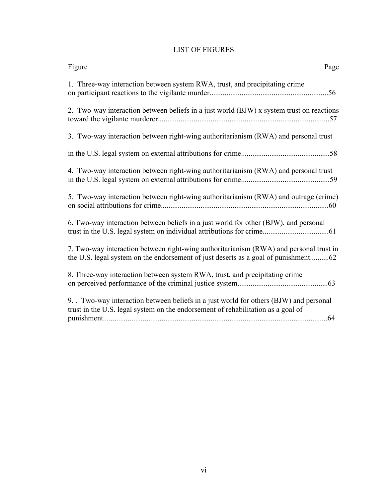## LIST OF FIGURES

| Figure<br>Page                                                                                                                                                               |
|------------------------------------------------------------------------------------------------------------------------------------------------------------------------------|
| 1. Three-way interaction between system RWA, trust, and precipitating crime                                                                                                  |
| 2. Two-way interaction between beliefs in a just world (BJW) x system trust on reactions                                                                                     |
| 3. Two-way interaction between right-wing authoritarianism (RWA) and personal trust                                                                                          |
|                                                                                                                                                                              |
| 4. Two-way interaction between right-wing authoritarianism (RWA) and personal trust                                                                                          |
| 5. Two-way interaction between right-wing authoritarianism (RWA) and outrage (crime)                                                                                         |
| 6. Two-way interaction between beliefs in a just world for other (BJW), and personal                                                                                         |
| 7. Two-way interaction between right-wing authoritarianism (RWA) and personal trust in<br>the U.S. legal system on the endorsement of just deserts as a goal of punishment62 |
| 8. Three-way interaction between system RWA, trust, and precipitating crime                                                                                                  |
| 9. Two-way interaction between beliefs in a just world for others (BJW) and personal<br>trust in the U.S. legal system on the endorsement of rehabilitation as a goal of     |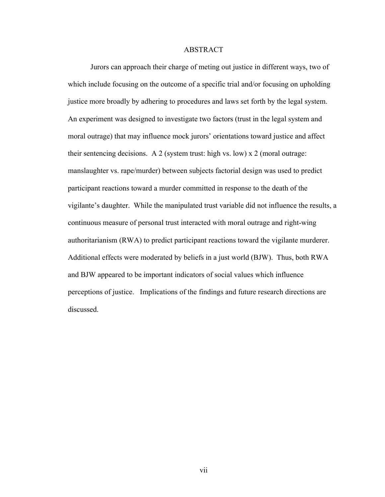#### ABSTRACT

Jurors can approach their charge of meting out justice in different ways, two of which include focusing on the outcome of a specific trial and/or focusing on upholding justice more broadly by adhering to procedures and laws set forth by the legal system. An experiment was designed to investigate two factors (trust in the legal system and moral outrage) that may influence mock jurors' orientations toward justice and affect their sentencing decisions. A 2 (system trust: high vs. low) x 2 (moral outrage: manslaughter vs. rape/murder) between subjects factorial design was used to predict participant reactions toward a murder committed in response to the death of the vigilante's daughter. While the manipulated trust variable did not influence the results, a continuous measure of personal trust interacted with moral outrage and right-wing authoritarianism (RWA) to predict participant reactions toward the vigilante murderer. Additional effects were moderated by beliefs in a just world (BJW). Thus, both RWA and BJW appeared to be important indicators of social values which influence perceptions of justice. Implications of the findings and future research directions are discussed.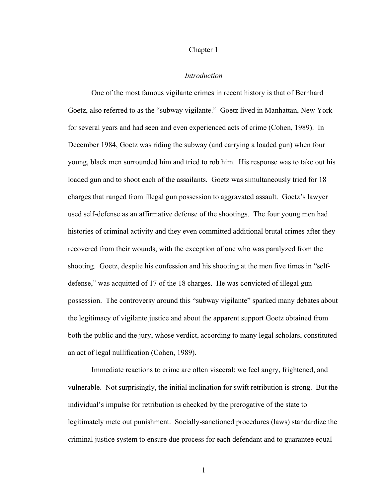#### Chapter 1

#### *Introduction*

One of the most famous vigilante crimes in recent history is that of Bernhard Goetz, also referred to as the "subway vigilante." Goetz lived in Manhattan, New York for several years and had seen and even experienced acts of crime (Cohen, 1989). In December 1984, Goetz was riding the subway (and carrying a loaded gun) when four young, black men surrounded him and tried to rob him. His response was to take out his loaded gun and to shoot each of the assailants. Goetz was simultaneously tried for 18 charges that ranged from illegal gun possession to aggravated assault. Goetz's lawyer used self-defense as an affirmative defense of the shootings. The four young men had histories of criminal activity and they even committed additional brutal crimes after they recovered from their wounds, with the exception of one who was paralyzed from the shooting. Goetz, despite his confession and his shooting at the men five times in "selfdefense," was acquitted of 17 of the 18 charges. He was convicted of illegal gun possession. The controversy around this "subway vigilante" sparked many debates about the legitimacy of vigilante justice and about the apparent support Goetz obtained from both the public and the jury, whose verdict, according to many legal scholars, constituted an act of legal nullification (Cohen, 1989).

Immediate reactions to crime are often visceral: we feel angry, frightened, and vulnerable. Not surprisingly, the initial inclination for swift retribution is strong. But the individual's impulse for retribution is checked by the prerogative of the state to legitimately mete out punishment. Socially-sanctioned procedures (laws) standardize the criminal justice system to ensure due process for each defendant and to guarantee equal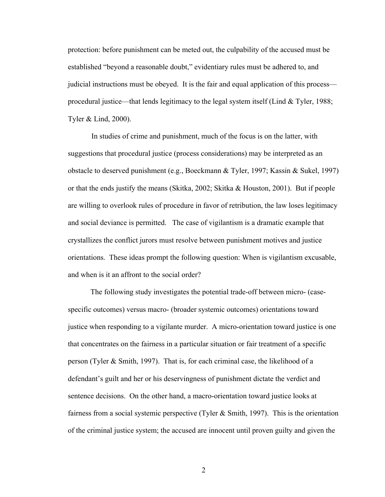protection: before punishment can be meted out, the culpability of the accused must be established "beyond a reasonable doubt," evidentiary rules must be adhered to, and judicial instructions must be obeyed. It is the fair and equal application of this process procedural justice—that lends legitimacy to the legal system itself (Lind  $&$  Tyler, 1988; Tyler & Lind, 2000).

In studies of crime and punishment, much of the focus is on the latter, with suggestions that procedural justice (process considerations) may be interpreted as an obstacle to deserved punishment (e.g., Boeckmann & Tyler, 1997; Kassin & Sukel, 1997) or that the ends justify the means (Skitka, 2002; Skitka & Houston, 2001). But if people are willing to overlook rules of procedure in favor of retribution, the law loses legitimacy and social deviance is permitted. The case of vigilantism is a dramatic example that crystallizes the conflict jurors must resolve between punishment motives and justice orientations. These ideas prompt the following question: When is vigilantism excusable, and when is it an affront to the social order?

The following study investigates the potential trade-off between micro- (casespecific outcomes) versus macro- (broader systemic outcomes) orientations toward justice when responding to a vigilante murder. A micro-orientation toward justice is one that concentrates on the fairness in a particular situation or fair treatment of a specific person (Tyler & Smith, 1997). That is, for each criminal case, the likelihood of a defendant's guilt and her or his deservingness of punishment dictate the verdict and sentence decisions. On the other hand, a macro-orientation toward justice looks at fairness from a social systemic perspective (Tyler & Smith, 1997). This is the orientation of the criminal justice system; the accused are innocent until proven guilty and given the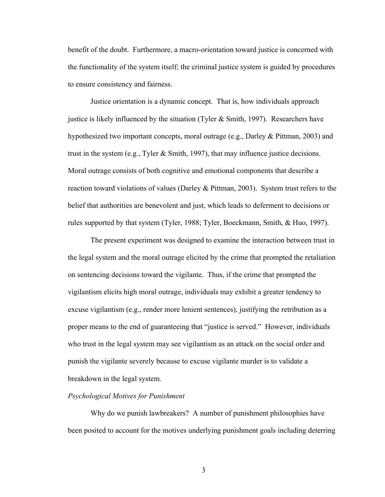benefit of the doubt. Furthermore, a macro-orientation toward justice is concerned with the functionality of the system itself; the criminal justice system is guided by procedures to ensure consistency and fairness.

Justice orientation is a dynamic concept. That is, how individuals approach justice is likely influenced by the situation (Tyler  $&$  Smith, 1997). Researchers have hypothesized two important concepts, moral outrage (e.g., Darley & Pittman, 2003) and trust in the system (e.g., Tyler  $& Smith, 1997$ ), that may influence justice decisions. Moral outrage consists of both cognitive and emotional components that describe a reaction toward violations of values (Darley & Pittman, 2003). System trust refers to the belief that authorities are benevolent and just, which leads to deferment to decisions or rules supported by that system (Tyler, 1988; Tyler, Boeckmann, Smith, & Huo, 1997).

The present experiment was designed to examine the interaction between trust in the legal system and the moral outrage elicited by the crime that prompted the retaliation on sentencing decisions toward the vigilante. Thus, if the crime that prompted the vigilantism elicits high moral outrage, individuals may exhibit a greater tendency to excuse vigilantism (e.g., render more lenient sentences), justifying the retribution as a proper means to the end of guaranteeing that "justice is served." However, individuals who trust in the legal system may see vigilantism as an attack on the social order and punish the vigilante severely because to excuse vigilante murder is to validate a breakdown in the legal system.

#### *Psychological Motives for Punishment*

Why do we punish lawbreakers? A number of punishment philosophies have been posited to account for the motives underlying punishment goals including deterring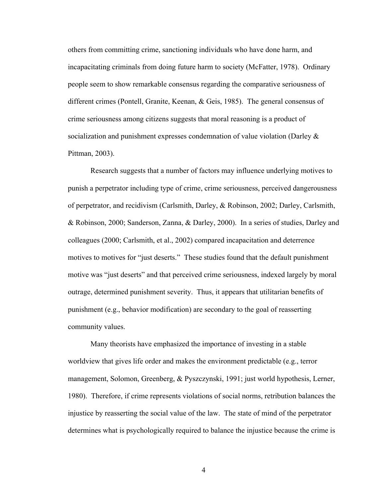others from committing crime, sanctioning individuals who have done harm, and incapacitating criminals from doing future harm to society (McFatter, 1978). Ordinary people seem to show remarkable consensus regarding the comparative seriousness of different crimes (Pontell, Granite, Keenan, & Geis, 1985). The general consensus of crime seriousness among citizens suggests that moral reasoning is a product of socialization and punishment expresses condemnation of value violation (Darley & Pittman, 2003).

Research suggests that a number of factors may influence underlying motives to punish a perpetrator including type of crime, crime seriousness, perceived dangerousness of perpetrator, and recidivism (Carlsmith, Darley, & Robinson, 2002; Darley, Carlsmith, & Robinson, 2000; Sanderson, Zanna, & Darley, 2000). In a series of studies, Darley and colleagues (2000; Carlsmith, et al., 2002) compared incapacitation and deterrence motives to motives for "just deserts." These studies found that the default punishment motive was "just deserts" and that perceived crime seriousness, indexed largely by moral outrage, determined punishment severity. Thus, it appears that utilitarian benefits of punishment (e.g., behavior modification) are secondary to the goal of reasserting community values.

Many theorists have emphasized the importance of investing in a stable worldview that gives life order and makes the environment predictable (e.g., terror management, Solomon, Greenberg, & Pyszczynski, 1991; just world hypothesis, Lerner, 1980). Therefore, if crime represents violations of social norms, retribution balances the injustice by reasserting the social value of the law. The state of mind of the perpetrator determines what is psychologically required to balance the injustice because the crime is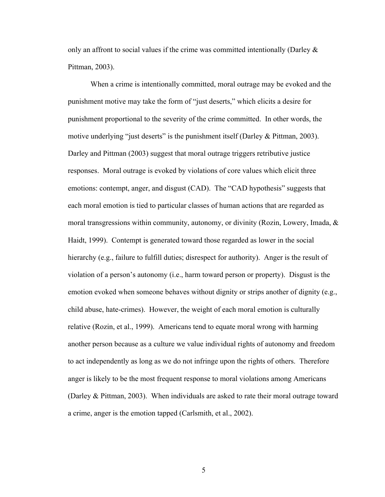only an affront to social values if the crime was committed intentionally (Darley  $\&$ Pittman, 2003).

When a crime is intentionally committed, moral outrage may be evoked and the punishment motive may take the form of "just deserts," which elicits a desire for punishment proportional to the severity of the crime committed. In other words, the motive underlying "just deserts" is the punishment itself (Darley  $\&$  Pittman, 2003). Darley and Pittman (2003) suggest that moral outrage triggers retributive justice responses. Moral outrage is evoked by violations of core values which elicit three emotions: contempt, anger, and disgust (CAD). The "CAD hypothesis" suggests that each moral emotion is tied to particular classes of human actions that are regarded as moral transgressions within community, autonomy, or divinity (Rozin, Lowery, Imada,  $\&$ Haidt, 1999). Contempt is generated toward those regarded as lower in the social hierarchy (e.g., failure to fulfill duties; disrespect for authority). Anger is the result of violation of a person's autonomy (i.e., harm toward person or property). Disgust is the emotion evoked when someone behaves without dignity or strips another of dignity (e.g., child abuse, hate-crimes). However, the weight of each moral emotion is culturally relative (Rozin, et al., 1999). Americans tend to equate moral wrong with harming another person because as a culture we value individual rights of autonomy and freedom to act independently as long as we do not infringe upon the rights of others. Therefore anger is likely to be the most frequent response to moral violations among Americans (Darley & Pittman, 2003). When individuals are asked to rate their moral outrage toward a crime, anger is the emotion tapped (Carlsmith, et al., 2002).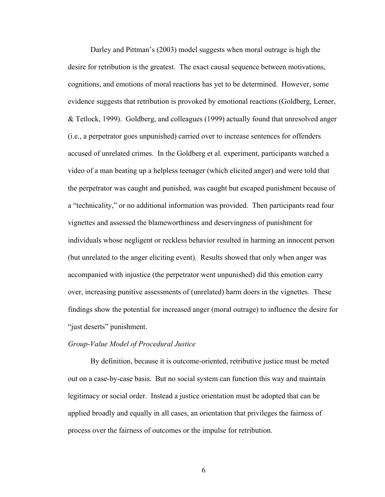Darley and Pittman's (2003) model suggests when moral outrage is high the desire for retribution is the greatest. The exact causal sequence between motivations, cognitions, and emotions of moral reactions has yet to be determined. However, some evidence suggests that retribution is provoked by emotional reactions (Goldberg, Lerner, & Tetlock, 1999). Goldberg, and colleagues (1999) actually found that unresolved anger (i.e., a perpetrator goes unpunished) carried over to increase sentences for offenders accused of unrelated crimes. In the Goldberg et al. experiment, participants watched a video of a man beating up a helpless teenager (which elicited anger) and were told that the perpetrator was caught and punished, was caught but escaped punishment because of a "technicality," or no additional information was provided. Then participants read four vignettes and assessed the blameworthiness and deservingness of punishment for individuals whose negligent or reckless behavior resulted in harming an innocent person (but unrelated to the anger eliciting event). Results showed that only when anger was accompanied with injustice (the perpetrator went unpunished) did this emotion carry over, increasing punitive assessments of (unrelated) harm doers in the vignettes. These findings show the potential for increased anger (moral outrage) to influence the desire for "just deserts" punishment.

#### *Group-Value Model of Procedural Justice*

By definition, because it is outcome-oriented, retributive justice must be meted out on a case-by-case basis. But no social system can function this way and maintain legitimacy or social order. Instead a justice orientation must be adopted that can be applied broadly and equally in all cases, an orientation that privileges the fairness of process over the fairness of outcomes or the impulse for retribution.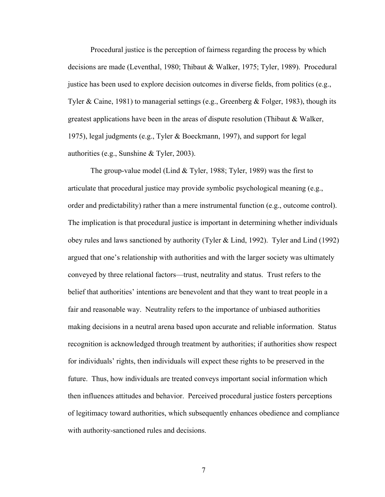Procedural justice is the perception of fairness regarding the process by which decisions are made (Leventhal, 1980; Thibaut & Walker, 1975; Tyler, 1989). Procedural justice has been used to explore decision outcomes in diverse fields, from politics (e.g., Tyler & Caine, 1981) to managerial settings (e.g., Greenberg & Folger, 1983), though its greatest applications have been in the areas of dispute resolution (Thibaut & Walker, 1975), legal judgments (e.g., Tyler & Boeckmann, 1997), and support for legal authorities (e.g., Sunshine & Tyler, 2003).

The group-value model (Lind & Tyler, 1988; Tyler, 1989) was the first to articulate that procedural justice may provide symbolic psychological meaning (e.g., order and predictability) rather than a mere instrumental function (e.g., outcome control). The implication is that procedural justice is important in determining whether individuals obey rules and laws sanctioned by authority (Tyler & Lind, 1992). Tyler and Lind (1992) argued that one's relationship with authorities and with the larger society was ultimately conveyed by three relational factors—trust, neutrality and status. Trust refers to the belief that authorities' intentions are benevolent and that they want to treat people in a fair and reasonable way. Neutrality refers to the importance of unbiased authorities making decisions in a neutral arena based upon accurate and reliable information. Status recognition is acknowledged through treatment by authorities; if authorities show respect for individuals' rights, then individuals will expect these rights to be preserved in the future. Thus, how individuals are treated conveys important social information which then influences attitudes and behavior. Perceived procedural justice fosters perceptions of legitimacy toward authorities, which subsequently enhances obedience and compliance with authority-sanctioned rules and decisions.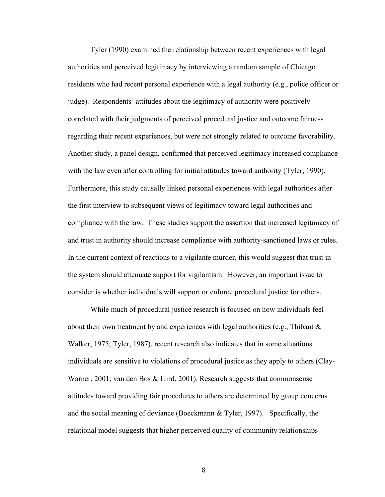Tyler (1990) examined the relationship between recent experiences with legal authorities and perceived legitimacy by interviewing a random sample of Chicago residents who had recent personal experience with a legal authority (e.g., police officer or judge). Respondents' attitudes about the legitimacy of authority were positively correlated with their judgments of perceived procedural justice and outcome fairness regarding their recent experiences, but were not strongly related to outcome favorability. Another study, a panel design, confirmed that perceived legitimacy increased compliance with the law even after controlling for initial attitudes toward authority (Tyler, 1990). Furthermore, this study causally linked personal experiences with legal authorities after the first interview to subsequent views of legitimacy toward legal authorities and compliance with the law. These studies support the assertion that increased legitimacy of and trust in authority should increase compliance with authority-sanctioned laws or rules. In the current context of reactions to a vigilante murder, this would suggest that trust in the system should attenuate support for vigilantism. However, an important issue to consider is whether individuals will support or enforce procedural justice for others.

While much of procedural justice research is focused on how individuals feel about their own treatment by and experiences with legal authorities (e.g., Thibaut  $\&$ Walker, 1975; Tyler, 1987), recent research also indicates that in some situations individuals are sensitive to violations of procedural justice as they apply to others (Clay-Warner, 2001; van den Bos & Lind, 2001). Research suggests that commonsense attitudes toward providing fair procedures to others are determined by group concerns and the social meaning of deviance (Boeckmann & Tyler, 1997). Specifically, the relational model suggests that higher perceived quality of community relationships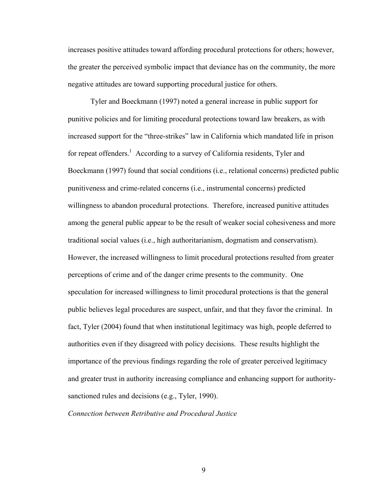increases positive attitudes toward affording procedural protections for others; however, the greater the perceived symbolic impact that deviance has on the community, the more negative attitudes are toward supporting procedural justice for others.

Tyler and Boeckmann (1997) noted a general increase in public support for punitive policies and for limiting procedural protections toward law breakers, as with increased support for the "three-strikes" law in California which mandated life in prison for repeat offenders.<sup>1</sup> According to a survey of California residents, Tyler and Boeckmann (1997) found that social conditions (i.e., relational concerns) predicted public punitiveness and crime-related concerns (i.e., instrumental concerns) predicted willingness to abandon procedural protections. Therefore, increased punitive attitudes among the general public appear to be the result of weaker social cohesiveness and more traditional social values (i.e., high authoritarianism, dogmatism and conservatism). However, the increased willingness to limit procedural protections resulted from greater perceptions of crime and of the danger crime presents to the community. One speculation for increased willingness to limit procedural protections is that the general public believes legal procedures are suspect, unfair, and that they favor the criminal. In fact, Tyler (2004) found that when institutional legitimacy was high, people deferred to authorities even if they disagreed with policy decisions. These results highlight the importance of the previous findings regarding the role of greater perceived legitimacy and greater trust in authority increasing compliance and enhancing support for authoritysanctioned rules and decisions (e.g., Tyler, 1990).

#### *Connection between Retributive and Procedural Justice*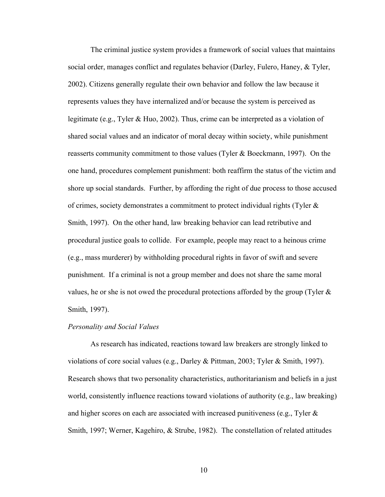The criminal justice system provides a framework of social values that maintains social order, manages conflict and regulates behavior (Darley, Fulero, Haney, & Tyler, 2002). Citizens generally regulate their own behavior and follow the law because it represents values they have internalized and/or because the system is perceived as legitimate (e.g., Tyler & Huo, 2002). Thus, crime can be interpreted as a violation of shared social values and an indicator of moral decay within society, while punishment reasserts community commitment to those values (Tyler & Boeckmann, 1997). On the one hand, procedures complement punishment: both reaffirm the status of the victim and shore up social standards. Further, by affording the right of due process to those accused of crimes, society demonstrates a commitment to protect individual rights (Tyler & Smith, 1997). On the other hand, law breaking behavior can lead retributive and procedural justice goals to collide. For example, people may react to a heinous crime (e.g., mass murderer) by withholding procedural rights in favor of swift and severe punishment. If a criminal is not a group member and does not share the same moral values, he or she is not owed the procedural protections afforded by the group (Tyler & Smith, 1997).

#### *Personality and Social Values*

As research has indicated, reactions toward law breakers are strongly linked to violations of core social values (e.g., Darley & Pittman, 2003; Tyler & Smith, 1997). Research shows that two personality characteristics, authoritarianism and beliefs in a just world, consistently influence reactions toward violations of authority (e.g., law breaking) and higher scores on each are associated with increased punitiveness (e.g., Tyler  $\&$ Smith, 1997; Werner, Kagehiro, & Strube, 1982). The constellation of related attitudes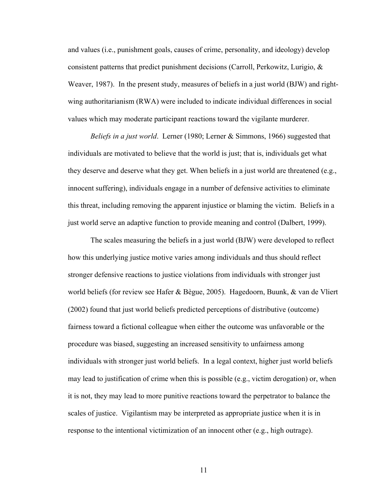and values (i.e., punishment goals, causes of crime, personality, and ideology) develop consistent patterns that predict punishment decisions (Carroll, Perkowitz, Lurigio, & Weaver, 1987). In the present study, measures of beliefs in a just world (BJW) and rightwing authoritarianism (RWA) were included to indicate individual differences in social values which may moderate participant reactions toward the vigilante murderer.

*Beliefs in a just world*. Lerner (1980; Lerner & Simmons, 1966) suggested that individuals are motivated to believe that the world is just; that is, individuals get what they deserve and deserve what they get. When beliefs in a just world are threatened (e.g., innocent suffering), individuals engage in a number of defensive activities to eliminate this threat, including removing the apparent injustice or blaming the victim. Beliefs in a just world serve an adaptive function to provide meaning and control (Dalbert, 1999).

The scales measuring the beliefs in a just world (BJW) were developed to reflect how this underlying justice motive varies among individuals and thus should reflect stronger defensive reactions to justice violations from individuals with stronger just world beliefs (for review see Hafer & Bègue, 2005). Hagedoorn, Buunk, & van de Vliert (2002) found that just world beliefs predicted perceptions of distributive (outcome) fairness toward a fictional colleague when either the outcome was unfavorable or the procedure was biased, suggesting an increased sensitivity to unfairness among individuals with stronger just world beliefs. In a legal context, higher just world beliefs may lead to justification of crime when this is possible (e.g., victim derogation) or, when it is not, they may lead to more punitive reactions toward the perpetrator to balance the scales of justice. Vigilantism may be interpreted as appropriate justice when it is in response to the intentional victimization of an innocent other (e.g., high outrage).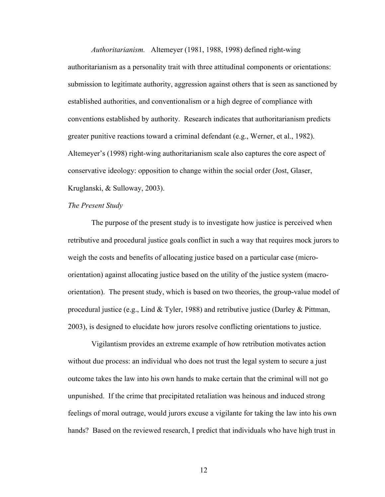*Authoritarianism.* Altemeyer (1981, 1988, 1998) defined right-wing authoritarianism as a personality trait with three attitudinal components or orientations: submission to legitimate authority, aggression against others that is seen as sanctioned by established authorities, and conventionalism or a high degree of compliance with conventions established by authority. Research indicates that authoritarianism predicts greater punitive reactions toward a criminal defendant (e.g., Werner, et al., 1982). Altemeyer's (1998) right-wing authoritarianism scale also captures the core aspect of conservative ideology: opposition to change within the social order (Jost, Glaser, Kruglanski, & Sulloway, 2003).

#### *The Present Study*

The purpose of the present study is to investigate how justice is perceived when retributive and procedural justice goals conflict in such a way that requires mock jurors to weigh the costs and benefits of allocating justice based on a particular case (microorientation) against allocating justice based on the utility of the justice system (macroorientation). The present study, which is based on two theories, the group-value model of procedural justice (e.g., Lind  $&$  Tyler, 1988) and retributive justice (Darley  $&$  Pittman, 2003), is designed to elucidate how jurors resolve conflicting orientations to justice.

Vigilantism provides an extreme example of how retribution motivates action without due process: an individual who does not trust the legal system to secure a just outcome takes the law into his own hands to make certain that the criminal will not go unpunished. If the crime that precipitated retaliation was heinous and induced strong feelings of moral outrage, would jurors excuse a vigilante for taking the law into his own hands? Based on the reviewed research, I predict that individuals who have high trust in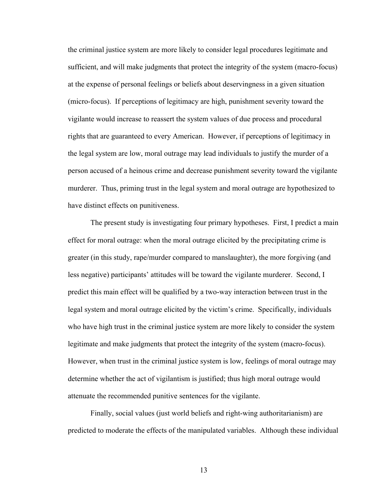the criminal justice system are more likely to consider legal procedures legitimate and sufficient, and will make judgments that protect the integrity of the system (macro-focus) at the expense of personal feelings or beliefs about deservingness in a given situation (micro-focus). If perceptions of legitimacy are high, punishment severity toward the vigilante would increase to reassert the system values of due process and procedural rights that are guaranteed to every American. However, if perceptions of legitimacy in the legal system are low, moral outrage may lead individuals to justify the murder of a person accused of a heinous crime and decrease punishment severity toward the vigilante murderer. Thus, priming trust in the legal system and moral outrage are hypothesized to have distinct effects on punitiveness.

The present study is investigating four primary hypotheses. First, I predict a main effect for moral outrage: when the moral outrage elicited by the precipitating crime is greater (in this study, rape/murder compared to manslaughter), the more forgiving (and less negative) participants' attitudes will be toward the vigilante murderer. Second, I predict this main effect will be qualified by a two-way interaction between trust in the legal system and moral outrage elicited by the victim's crime. Specifically, individuals who have high trust in the criminal justice system are more likely to consider the system legitimate and make judgments that protect the integrity of the system (macro-focus). However, when trust in the criminal justice system is low, feelings of moral outrage may determine whether the act of vigilantism is justified; thus high moral outrage would attenuate the recommended punitive sentences for the vigilante.

Finally, social values (just world beliefs and right-wing authoritarianism) are predicted to moderate the effects of the manipulated variables. Although these individual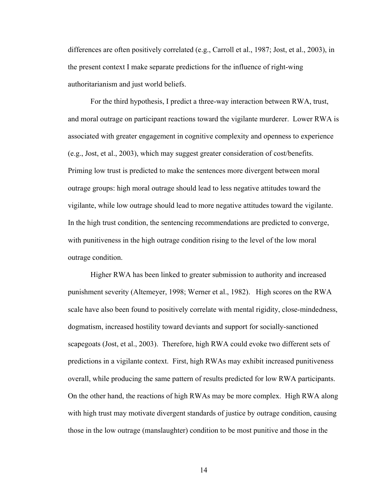differences are often positively correlated (e.g., Carroll et al., 1987; Jost, et al., 2003), in the present context I make separate predictions for the influence of right-wing authoritarianism and just world beliefs.

For the third hypothesis, I predict a three-way interaction between RWA, trust, and moral outrage on participant reactions toward the vigilante murderer. Lower RWA is associated with greater engagement in cognitive complexity and openness to experience (e.g., Jost, et al., 2003), which may suggest greater consideration of cost/benefits. Priming low trust is predicted to make the sentences more divergent between moral outrage groups: high moral outrage should lead to less negative attitudes toward the vigilante, while low outrage should lead to more negative attitudes toward the vigilante. In the high trust condition, the sentencing recommendations are predicted to converge, with punitiveness in the high outrage condition rising to the level of the low moral outrage condition.

Higher RWA has been linked to greater submission to authority and increased punishment severity (Altemeyer, 1998; Werner et al., 1982). High scores on the RWA scale have also been found to positively correlate with mental rigidity, close-mindedness, dogmatism, increased hostility toward deviants and support for socially-sanctioned scapegoats (Jost, et al., 2003). Therefore, high RWA could evoke two different sets of predictions in a vigilante context. First, high RWAs may exhibit increased punitiveness overall, while producing the same pattern of results predicted for low RWA participants. On the other hand, the reactions of high RWAs may be more complex. High RWA along with high trust may motivate divergent standards of justice by outrage condition, causing those in the low outrage (manslaughter) condition to be most punitive and those in the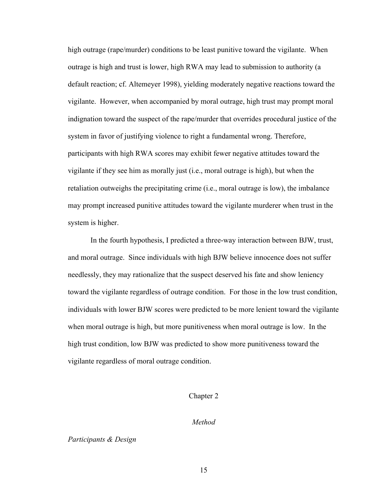high outrage (rape/murder) conditions to be least punitive toward the vigilante. When outrage is high and trust is lower, high RWA may lead to submission to authority (a default reaction; cf. Altemeyer 1998), yielding moderately negative reactions toward the vigilante. However, when accompanied by moral outrage, high trust may prompt moral indignation toward the suspect of the rape/murder that overrides procedural justice of the system in favor of justifying violence to right a fundamental wrong. Therefore, participants with high RWA scores may exhibit fewer negative attitudes toward the vigilante if they see him as morally just (i.e., moral outrage is high), but when the retaliation outweighs the precipitating crime (i.e., moral outrage is low), the imbalance may prompt increased punitive attitudes toward the vigilante murderer when trust in the system is higher.

In the fourth hypothesis, I predicted a three-way interaction between BJW, trust, and moral outrage. Since individuals with high BJW believe innocence does not suffer needlessly, they may rationalize that the suspect deserved his fate and show leniency toward the vigilante regardless of outrage condition. For those in the low trust condition, individuals with lower BJW scores were predicted to be more lenient toward the vigilante when moral outrage is high, but more punitiveness when moral outrage is low. In the high trust condition, low BJW was predicted to show more punitiveness toward the vigilante regardless of moral outrage condition.

#### Chapter 2

#### *Method*

*Participants & Design*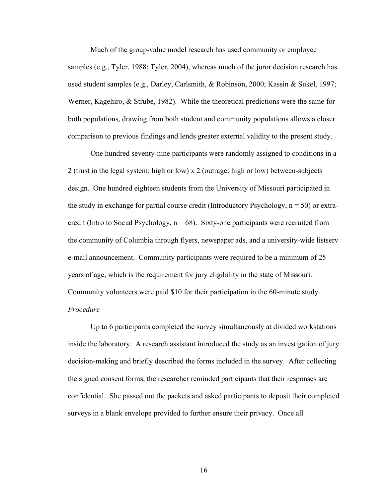Much of the group-value model research has used community or employee samples (e.g., Tyler, 1988; Tyler, 2004), whereas much of the juror decision research has used student samples (e.g., Darley, Carlsmith, & Robinson, 2000; Kassin & Sukel, 1997; Werner, Kagehiro, & Strube, 1982). While the theoretical predictions were the same for both populations, drawing from both student and community populations allows a closer comparison to previous findings and lends greater external validity to the present study.

 One hundred seventy-nine participants were randomly assigned to conditions in a 2 (trust in the legal system: high or low) x 2 (outrage: high or low) between-subjects design. One hundred eighteen students from the University of Missouri participated in the study in exchange for partial course credit (Introductory Psychology,  $n = 50$ ) or extracredit (Intro to Social Psychology,  $n = 68$ ). Sixty-one participants were recruited from the community of Columbia through flyers, newspaper ads, and a university-wide listserv e-mail announcement. Community participants were required to be a minimum of 25 years of age, which is the requirement for jury eligibility in the state of Missouri. Community volunteers were paid \$10 for their participation in the 60-minute study. *Procedure* 

 Up to 6 participants completed the survey simultaneously at divided workstations inside the laboratory. A research assistant introduced the study as an investigation of jury decision-making and briefly described the forms included in the survey. After collecting the signed consent forms, the researcher reminded participants that their responses are confidential. She passed out the packets and asked participants to deposit their completed surveys in a blank envelope provided to further ensure their privacy. Once all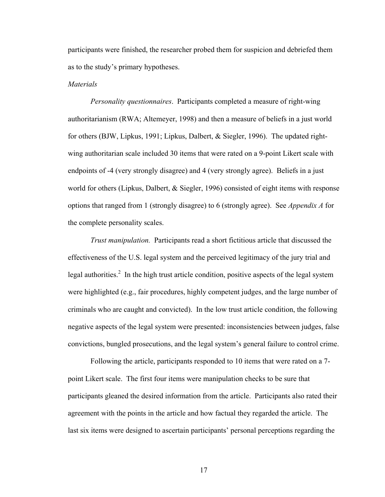participants were finished, the researcher probed them for suspicion and debriefed them as to the study's primary hypotheses.

#### *Materials*

 *Personality questionnaires*. Participants completed a measure of right-wing authoritarianism (RWA; Altemeyer, 1998) and then a measure of beliefs in a just world for others (BJW, Lipkus, 1991; Lipkus, Dalbert, & Siegler, 1996). The updated rightwing authoritarian scale included 30 items that were rated on a 9-point Likert scale with endpoints of -4 (very strongly disagree) and 4 (very strongly agree). Beliefs in a just world for others (Lipkus, Dalbert, & Siegler, 1996) consisted of eight items with response options that ranged from 1 (strongly disagree) to 6 (strongly agree). See *Appendix A* for the complete personality scales.

*Trust manipulation.* Participants read a short fictitious article that discussed the effectiveness of the U.S. legal system and the perceived legitimacy of the jury trial and legal authorities.<sup>2</sup> In the high trust article condition, positive aspects of the legal system were highlighted (e.g., fair procedures, highly competent judges, and the large number of criminals who are caught and convicted). In the low trust article condition, the following negative aspects of the legal system were presented: inconsistencies between judges, false convictions, bungled prosecutions, and the legal system's general failure to control crime.

Following the article, participants responded to 10 items that were rated on a 7 point Likert scale. The first four items were manipulation checks to be sure that participants gleaned the desired information from the article. Participants also rated their agreement with the points in the article and how factual they regarded the article. The last six items were designed to ascertain participants' personal perceptions regarding the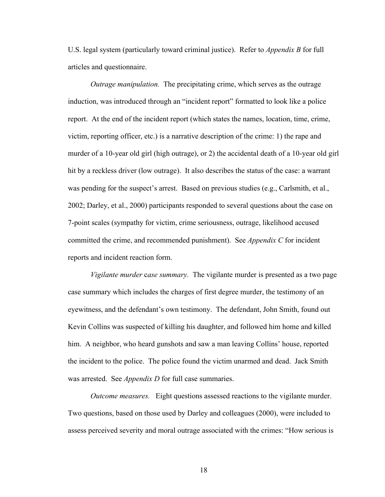U.S. legal system (particularly toward criminal justice). Refer to *Appendix B* for full articles and questionnaire.

*Outrage manipulation.* The precipitating crime, which serves as the outrage induction, was introduced through an "incident report" formatted to look like a police report. At the end of the incident report (which states the names, location, time, crime, victim, reporting officer, etc.) is a narrative description of the crime: 1) the rape and murder of a 10-year old girl (high outrage), or 2) the accidental death of a 10-year old girl hit by a reckless driver (low outrage). It also describes the status of the case: a warrant was pending for the suspect's arrest. Based on previous studies (e.g., Carlsmith, et al., 2002; Darley, et al., 2000) participants responded to several questions about the case on 7-point scales (sympathy for victim, crime seriousness, outrage, likelihood accused committed the crime, and recommended punishment). See *Appendix C* for incident reports and incident reaction form.

*Vigilante murder* c*ase summary.* The vigilante murder is presented as a two page case summary which includes the charges of first degree murder, the testimony of an eyewitness, and the defendant's own testimony. The defendant, John Smith, found out Kevin Collins was suspected of killing his daughter, and followed him home and killed him. A neighbor, who heard gunshots and saw a man leaving Collins' house, reported the incident to the police. The police found the victim unarmed and dead. Jack Smith was arrested. See *Appendix D* for full case summaries.

*Outcome measures.* Eight questions assessed reactions to the vigilante murder. Two questions, based on those used by Darley and colleagues (2000), were included to assess perceived severity and moral outrage associated with the crimes: "How serious is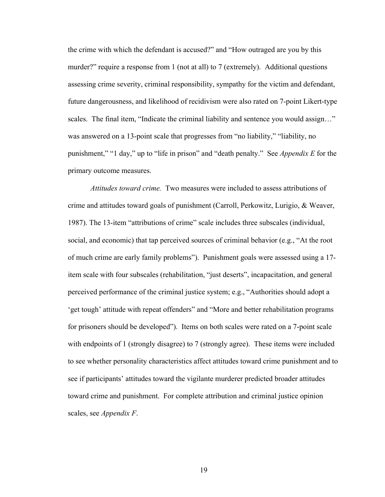the crime with which the defendant is accused?" and "How outraged are you by this murder?" require a response from 1 (not at all) to 7 (extremely). Additional questions assessing crime severity, criminal responsibility, sympathy for the victim and defendant, future dangerousness, and likelihood of recidivism were also rated on 7-point Likert-type scales. The final item, "Indicate the criminal liability and sentence you would assign…" was answered on a 13-point scale that progresses from "no liability," "liability, no punishment," "1 day," up to "life in prison" and "death penalty." See *Appendix E* for the primary outcome measures.

*Attitudes toward crime.* Two measures were included to assess attributions of crime and attitudes toward goals of punishment (Carroll, Perkowitz, Lurigio, & Weaver, 1987). The 13-item "attributions of crime" scale includes three subscales (individual, social, and economic) that tap perceived sources of criminal behavior (e.g., "At the root of much crime are early family problems"). Punishment goals were assessed using a 17 item scale with four subscales (rehabilitation, "just deserts", incapacitation, and general perceived performance of the criminal justice system; e.g., "Authorities should adopt a 'get tough' attitude with repeat offenders" and "More and better rehabilitation programs for prisoners should be developed"). Items on both scales were rated on a 7-point scale with endpoints of 1 (strongly disagree) to 7 (strongly agree). These items were included to see whether personality characteristics affect attitudes toward crime punishment and to see if participants' attitudes toward the vigilante murderer predicted broader attitudes toward crime and punishment. For complete attribution and criminal justice opinion scales, see *Appendix F*.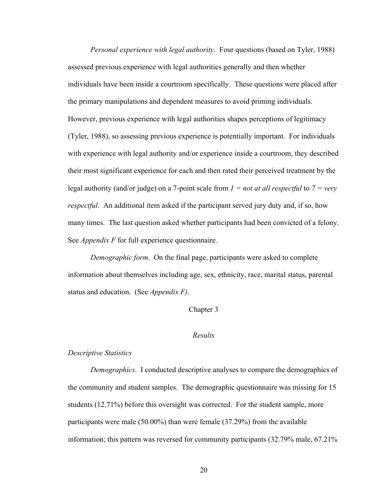*Personal experience with legal authority.* Four questions (based on Tyler, 1988) assessed previous experience with legal authorities generally and then whether individuals have been inside a courtroom specifically. These questions were placed after the primary manipulations and dependent measures to avoid priming individuals. However, previous experience with legal authorities shapes perceptions of legitimacy (Tyler, 1988), so assessing previous experience is potentially important. For individuals with experience with legal authority and/or experience inside a courtroom, they described their most significant experience for each and then rated their perceived treatment by the legal authority (and/or judge) on a 7-point scale from *1 = not at all respectful* to *7 = very respectful*. An additional item asked if the participant served jury duty and, if so, how many times. The last question asked whether participants had been convicted of a felony. See *Appendix F* for full experience questionnaire.

*Demographic form*. On the final page, participants were asked to complete information about themselves including age, sex, ethnicity, race, marital status, parental status and education. (See *Appendix F)*.

Chapter 3

#### *Results*

#### *Descriptive Statistics*

*Demographics*. I conducted descriptive analyses to compare the demographics of the community and student samples. The demographic questionnaire was missing for 15 students (12.71%) before this oversight was corrected. For the student sample, more participants were male (50.00%) than were female (37.29%) from the available information; this pattern was reversed for community participants (32.79% male, 67.21%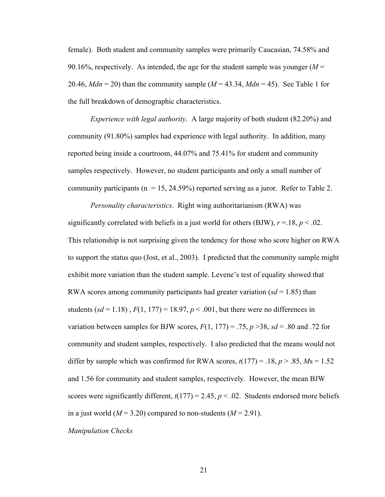female). Both student and community samples were primarily Caucasian, 74.58% and 90.16%, respectively. As intended, the age for the student sample was younger  $(M =$ 20.46,  $Mdn = 20$ ) than the community sample ( $M = 43.34$ ,  $Mdn = 45$ ). See Table 1 for the full breakdown of demographic characteristics.

*Experience with legal authority*. A large majority of both student (82.20%) and community (91.80%) samples had experience with legal authority. In addition, many reported being inside a courtroom, 44.07% and 75.41% for student and community samples respectively. However, no student participants and only a small number of community participants ( $n = 15$ , 24.59%) reported serving as a juror. Refer to Table 2.

*Personality characteristics*. Right wing authoritarianism (RWA) was significantly correlated with beliefs in a just world for others (BJW),  $r = 18$ ,  $p < 0.02$ . This relationship is not surprising given the tendency for those who score higher on RWA to support the status quo (Jost, et al., 2003). I predicted that the community sample might exhibit more variation than the student sample. Levene's test of equality showed that RWA scores among community participants had greater variation  $(sd = 1.85)$  than students ( $sd = 1.18$ ),  $F(1, 177) = 18.97$ ,  $p < .001$ , but there were no differences in variation between samples for BJW scores,  $F(1, 177) = .75$ ,  $p > 38$ ,  $sd = .80$  and .72 for community and student samples, respectively. I also predicted that the means would not differ by sample which was confirmed for RWA scores,  $t(177) = .18$ ,  $p > .85$ ,  $Ms = 1.52$ and 1.56 for community and student samples, respectively. However, the mean BJW scores were significantly different,  $t(177) = 2.45$ ,  $p < .02$ . Students endorsed more beliefs in a just world  $(M = 3.20)$  compared to non-students  $(M = 2.91)$ .

*Manipulation Checks*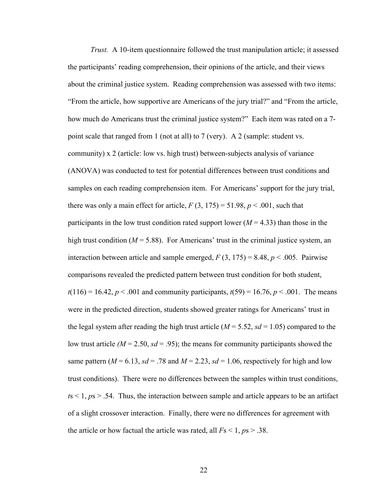*Trust.* A 10-item questionnaire followed the trust manipulation article; it assessed the participants' reading comprehension, their opinions of the article, and their views about the criminal justice system. Reading comprehension was assessed with two items: "From the article, how supportive are Americans of the jury trial?" and "From the article, how much do Americans trust the criminal justice system?" Each item was rated on a 7 point scale that ranged from 1 (not at all) to 7 (very). A 2 (sample: student vs. community) x 2 (article: low vs. high trust) between-subjects analysis of variance (ANOVA) was conducted to test for potential differences between trust conditions and samples on each reading comprehension item. For Americans' support for the jury trial, there was only a main effect for article,  $F(3, 175) = 51.98$ ,  $p < .001$ , such that participants in the low trust condition rated support lower  $(M = 4.33)$  than those in the high trust condition ( $M = 5.88$ ). For Americans' trust in the criminal justice system, an interaction between article and sample emerged,  $F(3, 175) = 8.48$ ,  $p < .005$ . Pairwise comparisons revealed the predicted pattern between trust condition for both student,  $t(116) = 16.42$ ,  $p < .001$  and community participants,  $t(59) = 16.76$ ,  $p < .001$ . The means were in the predicted direction, students showed greater ratings for Americans' trust in the legal system after reading the high trust article ( $M = 5.52$ ,  $sd = 1.05$ ) compared to the low trust article  $(M = 2.50, sd = .95)$ ; the means for community participants showed the same pattern ( $M = 6.13$ ,  $sd = .78$  and  $M = 2.23$ ,  $sd = 1.06$ , respectively for high and low trust conditions). There were no differences between the samples within trust conditions,  $t s < 1$ ,  $p s > .54$ . Thus, the interaction between sample and article appears to be an artifact of a slight crossover interaction. Finally, there were no differences for agreement with the article or how factual the article was rated, all  $Fs < 1, ps > .38$ .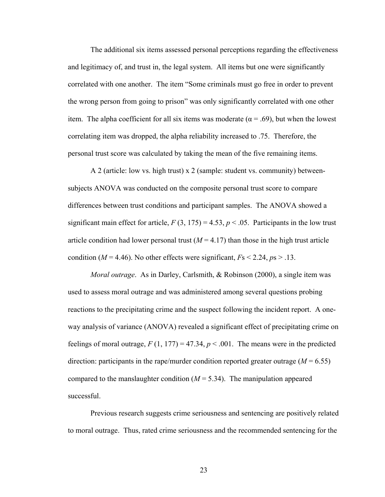The additional six items assessed personal perceptions regarding the effectiveness and legitimacy of, and trust in, the legal system. All items but one were significantly correlated with one another. The item "Some criminals must go free in order to prevent the wrong person from going to prison" was only significantly correlated with one other item. The alpha coefficient for all six items was moderate ( $\alpha$  = .69), but when the lowest correlating item was dropped, the alpha reliability increased to .75. Therefore, the personal trust score was calculated by taking the mean of the five remaining items.

A 2 (article: low vs. high trust) x 2 (sample: student vs. community) betweensubjects ANOVA was conducted on the composite personal trust score to compare differences between trust conditions and participant samples. The ANOVA showed a significant main effect for article,  $F(3, 175) = 4.53$ ,  $p < .05$ . Participants in the low trust article condition had lower personal trust  $(M = 4.17)$  than those in the high trust article condition ( $M = 4.46$ ). No other effects were significant,  $Fs < 2.24$ ,  $ps > .13$ .

*Moral outrage*. As in Darley, Carlsmith, & Robinson (2000), a single item was used to assess moral outrage and was administered among several questions probing reactions to the precipitating crime and the suspect following the incident report. A oneway analysis of variance (ANOVA) revealed a significant effect of precipitating crime on feelings of moral outrage,  $F(1, 177) = 47.34$ ,  $p < .001$ . The means were in the predicted direction: participants in the rape/murder condition reported greater outrage  $(M = 6.55)$ compared to the manslaughter condition  $(M = 5.34)$ . The manipulation appeared successful.

 Previous research suggests crime seriousness and sentencing are positively related to moral outrage. Thus, rated crime seriousness and the recommended sentencing for the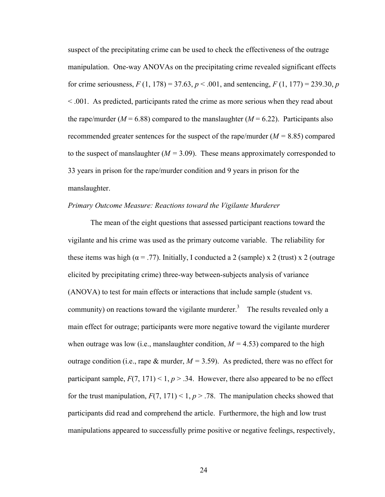suspect of the precipitating crime can be used to check the effectiveness of the outrage manipulation. One-way ANOVAs on the precipitating crime revealed significant effects for crime seriousness,  $F(1, 178) = 37.63$ ,  $p < .001$ , and sentencing,  $F(1, 177) = 239.30$ ,  $p$ < .001. As predicted, participants rated the crime as more serious when they read about the rape/murder ( $M = 6.88$ ) compared to the manslaughter ( $M = 6.22$ ). Participants also recommended greater sentences for the suspect of the rape/murder (*M =* 8.85) compared to the suspect of manslaughter  $(M = 3.09)$ . These means approximately corresponded to 33 years in prison for the rape/murder condition and 9 years in prison for the manslaughter.

#### *Primary Outcome Measure: Reactions toward the Vigilante Murderer*

The mean of the eight questions that assessed participant reactions toward the vigilante and his crime was used as the primary outcome variable. The reliability for these items was high ( $\alpha$  = .77). Initially, I conducted a 2 (sample) x 2 (trust) x 2 (outrage elicited by precipitating crime) three-way between-subjects analysis of variance (ANOVA) to test for main effects or interactions that include sample (student vs. community) on reactions toward the vigilante murderer.<sup>3</sup> The results revealed only a main effect for outrage; participants were more negative toward the vigilante murderer when outrage was low (i.e., manslaughter condition,  $M = 4.53$ ) compared to the high outrage condition (i.e., rape  $\&$  murder,  $M = 3.59$ ). As predicted, there was no effect for participant sample,  $F(7, 171) < 1, p > .34$ . However, there also appeared to be no effect for the trust manipulation,  $F(7, 171) < 1, p > .78$ . The manipulation checks showed that participants did read and comprehend the article. Furthermore, the high and low trust manipulations appeared to successfully prime positive or negative feelings, respectively,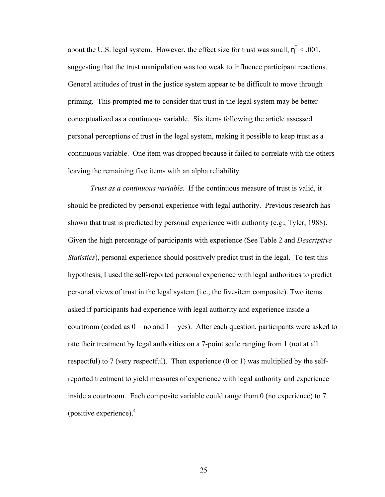about the U.S. legal system. However, the effect size for trust was small,  $\eta^2$  < .001, suggesting that the trust manipulation was too weak to influence participant reactions. General attitudes of trust in the justice system appear to be difficult to move through priming. This prompted me to consider that trust in the legal system may be better conceptualized as a continuous variable. Six items following the article assessed personal perceptions of trust in the legal system, making it possible to keep trust as a continuous variable. One item was dropped because it failed to correlate with the others leaving the remaining five items with an alpha reliability.

*Trust as a continuous variable.* If the continuous measure of trust is valid, it should be predicted by personal experience with legal authority. Previous research has shown that trust is predicted by personal experience with authority (e.g., Tyler, 1988). Given the high percentage of participants with experience (See Table 2 and *Descriptive Statistics*), personal experience should positively predict trust in the legal. To test this hypothesis, I used the self-reported personal experience with legal authorities to predict personal views of trust in the legal system (i.e., the five-item composite). Two items asked if participants had experience with legal authority and experience inside a courtroom (coded as  $0 =$  no and  $1 =$  yes). After each question, participants were asked to rate their treatment by legal authorities on a 7-point scale ranging from 1 (not at all respectful) to 7 (very respectful). Then experience (0 or 1) was multiplied by the selfreported treatment to yield measures of experience with legal authority and experience inside a courtroom. Each composite variable could range from 0 (no experience) to 7 (positive experience). $4$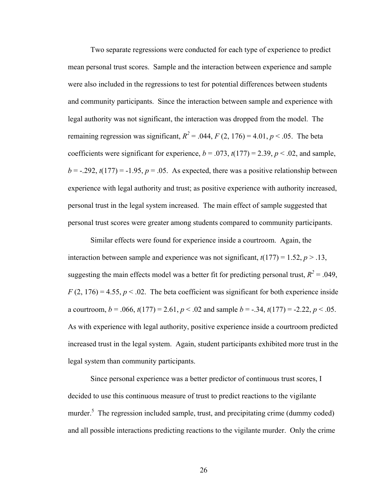Two separate regressions were conducted for each type of experience to predict mean personal trust scores. Sample and the interaction between experience and sample were also included in the regressions to test for potential differences between students and community participants. Since the interaction between sample and experience with legal authority was not significant, the interaction was dropped from the model. The remaining regression was significant,  $R^2 = .044$ ,  $F(2, 176) = 4.01$ ,  $p < .05$ . The beta coefficients were significant for experience,  $b = .073$ ,  $t(177) = 2.39$ ,  $p < .02$ , and sample,  $b = -0.292$ ,  $t(177) = -1.95$ ,  $p = 0.05$ . As expected, there was a positive relationship between experience with legal authority and trust; as positive experience with authority increased, personal trust in the legal system increased. The main effect of sample suggested that personal trust scores were greater among students compared to community participants.

Similar effects were found for experience inside a courtroom. Again, the interaction between sample and experience was not significant,  $t(177) = 1.52$ ,  $p > 0.13$ , suggesting the main effects model was a better fit for predicting personal trust,  $R^2 = .049$ ,  $F(2, 176) = 4.55$ ,  $p < 0.02$ . The beta coefficient was significant for both experience inside a courtroom,  $b = .066$ ,  $t(177) = 2.61$ ,  $p < .02$  and sample  $b = -.34$ ,  $t(177) = .2.22$ ,  $p < .05$ . As with experience with legal authority, positive experience inside a courtroom predicted increased trust in the legal system. Again, student participants exhibited more trust in the legal system than community participants.

Since personal experience was a better predictor of continuous trust scores, I decided to use this continuous measure of trust to predict reactions to the vigilante murder.<sup>5</sup> The regression included sample, trust, and precipitating crime (dummy coded) and all possible interactions predicting reactions to the vigilante murder. Only the crime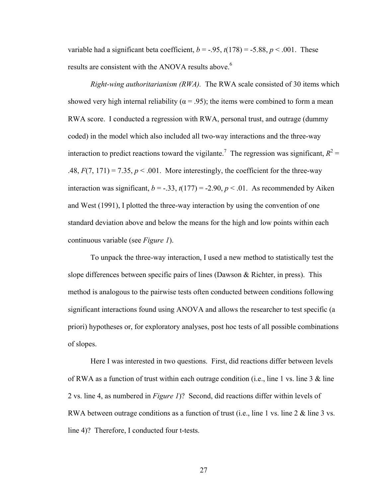variable had a significant beta coefficient,  $b = -0.95$ ,  $t(178) = -5.88$ ,  $p < .001$ . These results are consistent with the ANOVA results above.<sup>6</sup>

*Right-wing authoritarianism (RWA).* The RWA scale consisted of 30 items which showed very high internal reliability ( $\alpha$  = .95); the items were combined to form a mean RWA score. I conducted a regression with RWA, personal trust, and outrage (dummy coded) in the model which also included all two-way interactions and the three-way interaction to predict reactions toward the vigilante.<sup>7</sup> The regression was significant,  $R^2 =$ .48,  $F(7, 171) = 7.35$ ,  $p < .001$ . More interestingly, the coefficient for the three-way interaction was significant,  $b = -.33$ ,  $t(177) = -2.90$ ,  $p < .01$ . As recommended by Aiken and West (1991), I plotted the three-way interaction by using the convention of one standard deviation above and below the means for the high and low points within each continuous variable (see *Figure 1*).

To unpack the three-way interaction, I used a new method to statistically test the slope differences between specific pairs of lines (Dawson & Richter, in press). This method is analogous to the pairwise tests often conducted between conditions following significant interactions found using ANOVA and allows the researcher to test specific (a priori) hypotheses or, for exploratory analyses, post hoc tests of all possible combinations of slopes.

Here I was interested in two questions. First, did reactions differ between levels of RWA as a function of trust within each outrage condition (i.e., line 1 vs. line 3  $\&$  line 2 vs. line 4, as numbered in *Figure 1*)? Second, did reactions differ within levels of RWA between outrage conditions as a function of trust (i.e., line 1 vs. line 2 & line 3 vs. line 4)? Therefore, I conducted four t-tests.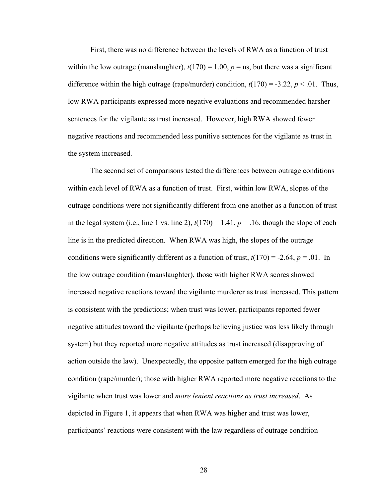First, there was no difference between the levels of RWA as a function of trust within the low outrage (manslaughter),  $t(170) = 1.00$ ,  $p =$ ns, but there was a significant difference within the high outrage (rape/murder) condition,  $t(170) = -3.22$ ,  $p < .01$ . Thus, low RWA participants expressed more negative evaluations and recommended harsher sentences for the vigilante as trust increased. However, high RWA showed fewer negative reactions and recommended less punitive sentences for the vigilante as trust in the system increased.

The second set of comparisons tested the differences between outrage conditions within each level of RWA as a function of trust. First, within low RWA, slopes of the outrage conditions were not significantly different from one another as a function of trust in the legal system (i.e., line 1 vs. line 2),  $t(170) = 1.41$ ,  $p = .16$ , though the slope of each line is in the predicted direction. When RWA was high, the slopes of the outrage conditions were significantly different as a function of trust,  $t(170) = -2.64$ ,  $p = .01$ . In the low outrage condition (manslaughter), those with higher RWA scores showed increased negative reactions toward the vigilante murderer as trust increased. This pattern is consistent with the predictions; when trust was lower, participants reported fewer negative attitudes toward the vigilante (perhaps believing justice was less likely through system) but they reported more negative attitudes as trust increased (disapproving of action outside the law). Unexpectedly, the opposite pattern emerged for the high outrage condition (rape/murder); those with higher RWA reported more negative reactions to the vigilante when trust was lower and *more lenient reactions as trust increased*. As depicted in Figure 1, it appears that when RWA was higher and trust was lower, participants' reactions were consistent with the law regardless of outrage condition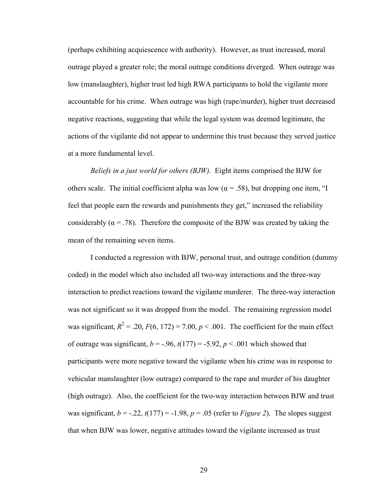(perhaps exhibiting acquiescence with authority). However, as trust increased, moral outrage played a greater role; the moral outrage conditions diverged. When outrage was low (manslaughter), higher trust led high RWA participants to hold the vigilante more accountable for his crime. When outrage was high (rape/murder), higher trust decreased negative reactions, suggesting that while the legal system was deemed legitimate, the actions of the vigilante did not appear to undermine this trust because they served justice at a more fundamental level.

*Beliefs in a just world for others (BJW)*. Eight items comprised the BJW for others scale. The initial coefficient alpha was low ( $\alpha$  = .58), but dropping one item, "I feel that people earn the rewards and punishments they get," increased the reliability considerably ( $\alpha$  = .78). Therefore the composite of the BJW was created by taking the mean of the remaining seven items.

I conducted a regression with BJW, personal trust, and outrage condition (dummy coded) in the model which also included all two-way interactions and the three-way interaction to predict reactions toward the vigilante murderer. The three-way interaction was not significant so it was dropped from the model. The remaining regression model was significant,  $R^2 = 0.20$ ,  $F(6, 172) = 7.00$ ,  $p < 0.001$ . The coefficient for the main effect of outrage was significant,  $b = -0.96$ ,  $t(177) = -5.92$ ,  $p < 0.01$  which showed that participants were more negative toward the vigilante when his crime was in response to vehicular manslaughter (low outrage) compared to the rape and murder of his daughter (high outrage). Also, the coefficient for the two-way interaction between BJW and trust was significant,  $b = -0.22$ ,  $t(177) = -1.98$ ,  $p = 0.05$  (refer to *Figure 2*). The slopes suggest that when BJW was lower, negative attitudes toward the vigilante increased as trust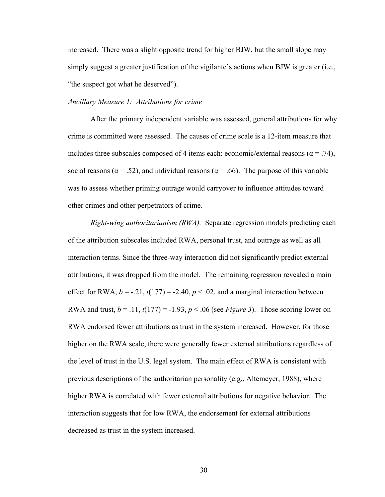increased. There was a slight opposite trend for higher BJW, but the small slope may simply suggest a greater justification of the vigilante's actions when BJW is greater (i.e., "the suspect got what he deserved").

### *Ancillary Measure 1: Attributions for crime*

 After the primary independent variable was assessed, general attributions for why crime is committed were assessed. The causes of crime scale is a 12-item measure that includes three subscales composed of 4 items each: economic/external reasons ( $\alpha$  = .74), social reasons ( $\alpha$  = .52), and individual reasons ( $\alpha$  = .66). The purpose of this variable was to assess whether priming outrage would carryover to influence attitudes toward other crimes and other perpetrators of crime.

*Right-wing authoritarianism (RWA).* Separate regression models predicting each of the attribution subscales included RWA, personal trust, and outrage as well as all interaction terms. Since the three-way interaction did not significantly predict external attributions, it was dropped from the model. The remaining regression revealed a main effect for RWA,  $b = -0.21$ ,  $t(177) = -2.40$ ,  $p < 0.02$ , and a marginal interaction between RWA and trust,  $b = .11$ ,  $t(177) = -1.93$ ,  $p < .06$  (see *Figure 3*). Those scoring lower on RWA endorsed fewer attributions as trust in the system increased. However, for those higher on the RWA scale, there were generally fewer external attributions regardless of the level of trust in the U.S. legal system. The main effect of RWA is consistent with previous descriptions of the authoritarian personality (e.g., Altemeyer, 1988), where higher RWA is correlated with fewer external attributions for negative behavior. The interaction suggests that for low RWA, the endorsement for external attributions decreased as trust in the system increased.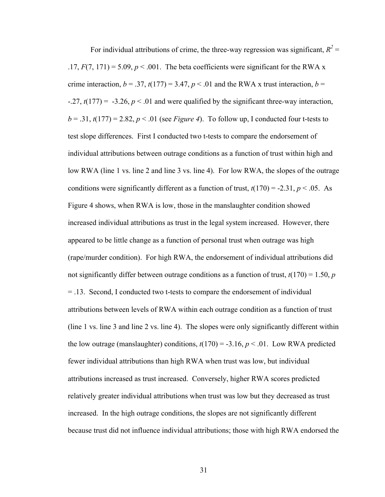For individual attributions of crime, the three-way regression was significant,  $R^2$  = .17,  $F(7, 171) = 5.09$ ,  $p < .001$ . The beta coefficients were significant for the RWA x crime interaction,  $b = .37$ ,  $t(177) = 3.47$ ,  $p < .01$  and the RWA x trust interaction,  $b =$  $-27$ ,  $t(177) = -3.26$ ,  $p < 01$  and were qualified by the significant three-way interaction,  $b = .31$ ,  $t(177) = 2.82$ ,  $p < .01$  (see *Figure 4*). To follow up, I conducted four t-tests to test slope differences. First I conducted two t-tests to compare the endorsement of individual attributions between outrage conditions as a function of trust within high and low RWA (line 1 vs. line 2 and line 3 vs. line 4). For low RWA, the slopes of the outrage conditions were significantly different as a function of trust,  $t(170) = -2.31$ ,  $p < .05$ . As Figure 4 shows, when RWA is low, those in the manslaughter condition showed increased individual attributions as trust in the legal system increased. However, there appeared to be little change as a function of personal trust when outrage was high (rape/murder condition). For high RWA, the endorsement of individual attributions did not significantly differ between outrage conditions as a function of trust,  $t(170) = 1.50$ , *p* = .13. Second, I conducted two t-tests to compare the endorsement of individual attributions between levels of RWA within each outrage condition as a function of trust (line 1 vs. line 3 and line 2 vs. line 4). The slopes were only significantly different within the low outrage (manslaughter) conditions,  $t(170) = -3.16$ ,  $p < .01$ . Low RWA predicted fewer individual attributions than high RWA when trust was low, but individual attributions increased as trust increased. Conversely, higher RWA scores predicted relatively greater individual attributions when trust was low but they decreased as trust increased. In the high outrage conditions, the slopes are not significantly different because trust did not influence individual attributions; those with high RWA endorsed the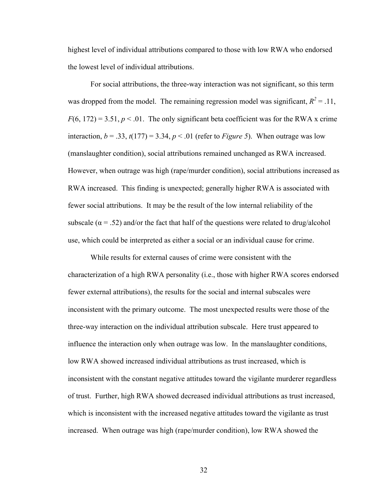highest level of individual attributions compared to those with low RWA who endorsed the lowest level of individual attributions.

 For social attributions, the three-way interaction was not significant, so this term was dropped from the model. The remaining regression model was significant,  $R^2 = .11$ ,  $F(6, 172) = 3.51, p < 0.01$ . The only significant beta coefficient was for the RWA x crime interaction,  $b = .33$ ,  $t(177) = 3.34$ ,  $p < .01$  (refer to *Figure 5*). When outrage was low (manslaughter condition), social attributions remained unchanged as RWA increased. However, when outrage was high (rape/murder condition), social attributions increased as RWA increased. This finding is unexpected; generally higher RWA is associated with fewer social attributions. It may be the result of the low internal reliability of the subscale ( $\alpha$  = .52) and/or the fact that half of the questions were related to drug/alcohol use, which could be interpreted as either a social or an individual cause for crime.

While results for external causes of crime were consistent with the characterization of a high RWA personality (i.e., those with higher RWA scores endorsed fewer external attributions), the results for the social and internal subscales were inconsistent with the primary outcome. The most unexpected results were those of the three-way interaction on the individual attribution subscale. Here trust appeared to influence the interaction only when outrage was low. In the manslaughter conditions, low RWA showed increased individual attributions as trust increased, which is inconsistent with the constant negative attitudes toward the vigilante murderer regardless of trust. Further, high RWA showed decreased individual attributions as trust increased, which is inconsistent with the increased negative attitudes toward the vigilante as trust increased. When outrage was high (rape/murder condition), low RWA showed the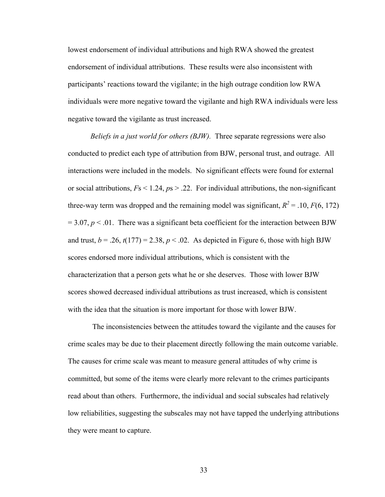lowest endorsement of individual attributions and high RWA showed the greatest endorsement of individual attributions. These results were also inconsistent with participants' reactions toward the vigilante; in the high outrage condition low RWA individuals were more negative toward the vigilante and high RWA individuals were less negative toward the vigilante as trust increased.

*Beliefs in a just world for others (BJW).* Three separate regressions were also conducted to predict each type of attribution from BJW, personal trust, and outrage. All interactions were included in the models. No significant effects were found for external or social attributions, *F*s < 1.24, *p*s > .22. For individual attributions, the non-significant three-way term was dropped and the remaining model was significant,  $R^2 = .10, F(6, 172)$  $= 3.07, p \le 0.01$ . There was a significant beta coefficient for the interaction between BJW and trust,  $b = .26$ ,  $t(177) = 2.38$ ,  $p < .02$ . As depicted in Figure 6, those with high BJW scores endorsed more individual attributions, which is consistent with the characterization that a person gets what he or she deserves. Those with lower BJW scores showed decreased individual attributions as trust increased, which is consistent with the idea that the situation is more important for those with lower BJW.

 The inconsistencies between the attitudes toward the vigilante and the causes for crime scales may be due to their placement directly following the main outcome variable. The causes for crime scale was meant to measure general attitudes of why crime is committed, but some of the items were clearly more relevant to the crimes participants read about than others. Furthermore, the individual and social subscales had relatively low reliabilities, suggesting the subscales may not have tapped the underlying attributions they were meant to capture.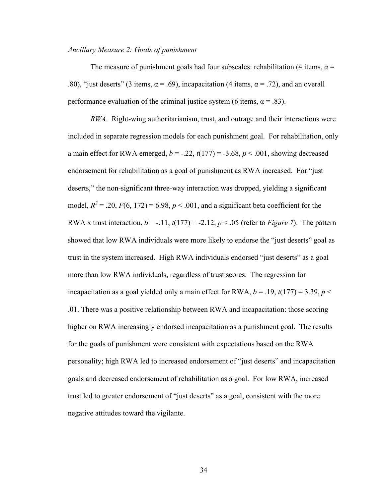## *Ancillary Measure 2: Goals of punishment*

The measure of punishment goals had four subscales: rehabilitation (4 items,  $\alpha$  = .80), "just deserts" (3 items,  $\alpha$  = .69), incapacitation (4 items,  $\alpha$  = .72), and an overall performance evaluation of the criminal justice system (6 items,  $\alpha = .83$ ).

*RWA*. Right-wing authoritarianism, trust, and outrage and their interactions were included in separate regression models for each punishment goal. For rehabilitation, only a main effect for RWA emerged,  $b = -0.22$ ,  $t(177) = -3.68$ ,  $p < 0.001$ , showing decreased endorsement for rehabilitation as a goal of punishment as RWA increased. For "just deserts," the non-significant three-way interaction was dropped, yielding a significant model,  $R^2 = 0.20$ ,  $F(6, 172) = 6.98$ ,  $p < 0.001$ , and a significant beta coefficient for the RWA x trust interaction,  $b = -.11$ ,  $t(177) = -2.12$ ,  $p < .05$  (refer to *Figure 7*). The pattern showed that low RWA individuals were more likely to endorse the "just deserts" goal as trust in the system increased. High RWA individuals endorsed "just deserts" as a goal more than low RWA individuals, regardless of trust scores. The regression for incapacitation as a goal yielded only a main effect for RWA,  $b = .19$ ,  $t(177) = 3.39$ ,  $p <$ .01. There was a positive relationship between RWA and incapacitation: those scoring higher on RWA increasingly endorsed incapacitation as a punishment goal. The results for the goals of punishment were consistent with expectations based on the RWA personality; high RWA led to increased endorsement of "just deserts" and incapacitation goals and decreased endorsement of rehabilitation as a goal. For low RWA, increased trust led to greater endorsement of "just deserts" as a goal, consistent with the more negative attitudes toward the vigilante.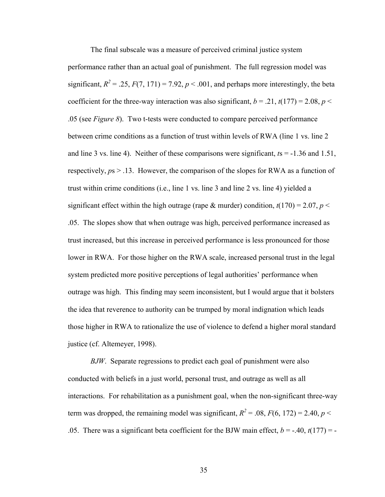The final subscale was a measure of perceived criminal justice system performance rather than an actual goal of punishment. The full regression model was significant,  $R^2 = 0.25$ ,  $F(7, 171) = 7.92$ ,  $p < 0.001$ , and perhaps more interestingly, the beta coefficient for the three-way interaction was also significant,  $b = .21$ ,  $t(177) = 2.08$ ,  $p <$ .05 (see *Figure 8*). Two t-tests were conducted to compare perceived performance between crime conditions as a function of trust within levels of RWA (line 1 vs. line 2 and line 3 vs. line 4). Neither of these comparisons were significant, *t*s = -1.36 and 1.51, respectively, *p*s > .13. However, the comparison of the slopes for RWA as a function of trust within crime conditions (i.e., line 1 vs. line 3 and line 2 vs. line 4) yielded a significant effect within the high outrage (rape & murder) condition,  $t(170) = 2.07$ ,  $p <$ .05. The slopes show that when outrage was high, perceived performance increased as trust increased, but this increase in perceived performance is less pronounced for those lower in RWA. For those higher on the RWA scale, increased personal trust in the legal system predicted more positive perceptions of legal authorities' performance when outrage was high. This finding may seem inconsistent, but I would argue that it bolsters the idea that reverence to authority can be trumped by moral indignation which leads those higher in RWA to rationalize the use of violence to defend a higher moral standard justice (cf. Altemeyer, 1998).

*BJW*. Separate regressions to predict each goal of punishment were also conducted with beliefs in a just world, personal trust, and outrage as well as all interactions. For rehabilitation as a punishment goal, when the non-significant three-way term was dropped, the remaining model was significant,  $R^2 = .08$ ,  $F(6, 172) = 2.40$ ,  $p <$ .05. There was a significant beta coefficient for the BJW main effect,  $b = -.40$ ,  $t(177) = -$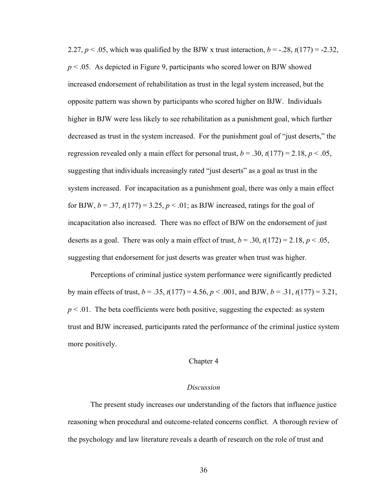2.27,  $p < .05$ , which was qualified by the BJW x trust interaction,  $b = -.28$ ,  $t(177) = -2.32$ , *p* < .05. As depicted in Figure 9, participants who scored lower on BJW showed increased endorsement of rehabilitation as trust in the legal system increased, but the opposite pattern was shown by participants who scored higher on BJW. Individuals higher in BJW were less likely to see rehabilitation as a punishment goal, which further decreased as trust in the system increased. For the punishment goal of "just deserts," the regression revealed only a main effect for personal trust,  $b = .30$ ,  $t(177) = 2.18$ ,  $p < .05$ , suggesting that individuals increasingly rated "just deserts" as a goal as trust in the system increased. For incapacitation as a punishment goal, there was only a main effect for BJW,  $b = .37$ ,  $t(177) = 3.25$ ,  $p < .01$ ; as BJW increased, ratings for the goal of incapacitation also increased. There was no effect of BJW on the endorsement of just deserts as a goal. There was only a main effect of trust,  $b = .30$ ,  $t(172) = 2.18$ ,  $p < .05$ , suggesting that endorsement for just deserts was greater when trust was higher.

Perceptions of criminal justice system performance were significantly predicted by main effects of trust, *b* = .35, *t*(177) = 4.56, *p* < .001, and BJW, *b* = .31, *t*(177) = 3.21,  $p < 0.01$ . The beta coefficients were both positive, suggesting the expected: as system trust and BJW increased, participants rated the performance of the criminal justice system more positively.

#### Chapter 4

## *Discussion*

The present study increases our understanding of the factors that influence justice reasoning when procedural and outcome-related concerns conflict. A thorough review of the psychology and law literature reveals a dearth of research on the role of trust and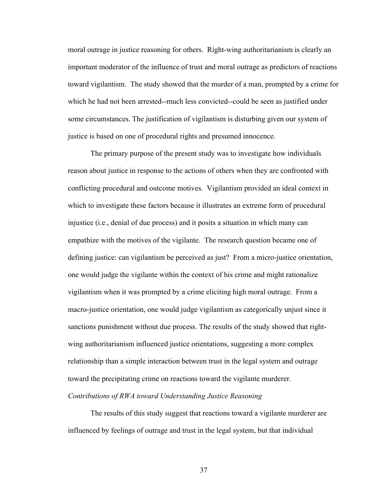moral outrage in justice reasoning for others. Right-wing authoritarianism is clearly an important moderator of the influence of trust and moral outrage as predictors of reactions toward vigilantism. The study showed that the murder of a man, prompted by a crime for which he had not been arrested--much less convicted--could be seen as justified under some circumstances. The justification of vigilantism is disturbing given our system of justice is based on one of procedural rights and presumed innocence.

 The primary purpose of the present study was to investigate how individuals reason about justice in response to the actions of others when they are confronted with conflicting procedural and outcome motives. Vigilantism provided an ideal context in which to investigate these factors because it illustrates an extreme form of procedural injustice (i.e., denial of due process) and it posits a situation in which many can empathize with the motives of the vigilante. The research question became one of defining justice: can vigilantism be perceived as just? From a micro-justice orientation, one would judge the vigilante within the context of his crime and might rationalize vigilantism when it was prompted by a crime eliciting high moral outrage. From a macro-justice orientation, one would judge vigilantism as categorically unjust since it sanctions punishment without due process. The results of the study showed that rightwing authoritarianism influenced justice orientations, suggesting a more complex relationship than a simple interaction between trust in the legal system and outrage toward the precipitating crime on reactions toward the vigilante murderer.

# *Contributions of RWA toward Understanding Justice Reasoning*

 The results of this study suggest that reactions toward a vigilante murderer are influenced by feelings of outrage and trust in the legal system, but that individual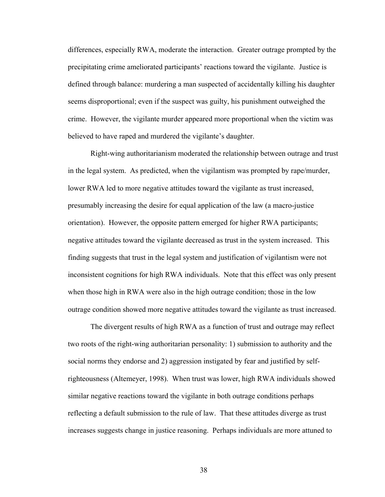differences, especially RWA, moderate the interaction. Greater outrage prompted by the precipitating crime ameliorated participants' reactions toward the vigilante. Justice is defined through balance: murdering a man suspected of accidentally killing his daughter seems disproportional; even if the suspect was guilty, his punishment outweighed the crime. However, the vigilante murder appeared more proportional when the victim was believed to have raped and murdered the vigilante's daughter.

Right-wing authoritarianism moderated the relationship between outrage and trust in the legal system. As predicted, when the vigilantism was prompted by rape/murder, lower RWA led to more negative attitudes toward the vigilante as trust increased, presumably increasing the desire for equal application of the law (a macro-justice orientation). However, the opposite pattern emerged for higher RWA participants; negative attitudes toward the vigilante decreased as trust in the system increased. This finding suggests that trust in the legal system and justification of vigilantism were not inconsistent cognitions for high RWA individuals. Note that this effect was only present when those high in RWA were also in the high outrage condition; those in the low outrage condition showed more negative attitudes toward the vigilante as trust increased.

The divergent results of high RWA as a function of trust and outrage may reflect two roots of the right-wing authoritarian personality: 1) submission to authority and the social norms they endorse and 2) aggression instigated by fear and justified by selfrighteousness (Altemeyer, 1998). When trust was lower, high RWA individuals showed similar negative reactions toward the vigilante in both outrage conditions perhaps reflecting a default submission to the rule of law. That these attitudes diverge as trust increases suggests change in justice reasoning. Perhaps individuals are more attuned to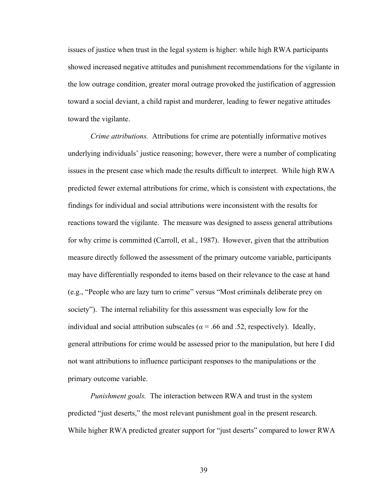issues of justice when trust in the legal system is higher: while high RWA participants showed increased negative attitudes and punishment recommendations for the vigilante in the low outrage condition, greater moral outrage provoked the justification of aggression toward a social deviant, a child rapist and murderer, leading to fewer negative attitudes toward the vigilante.

*Crime attributions.* Attributions for crime are potentially informative motives underlying individuals' justice reasoning; however, there were a number of complicating issues in the present case which made the results difficult to interpret. While high RWA predicted fewer external attributions for crime, which is consistent with expectations, the findings for individual and social attributions were inconsistent with the results for reactions toward the vigilante. The measure was designed to assess general attributions for why crime is committed (Carroll, et al., 1987). However, given that the attribution measure directly followed the assessment of the primary outcome variable, participants may have differentially responded to items based on their relevance to the case at hand (e.g., "People who are lazy turn to crime" versus "Most criminals deliberate prey on society"). The internal reliability for this assessment was especially low for the individual and social attribution subscales ( $\alpha$  = .66 and .52, respectively). Ideally, general attributions for crime would be assessed prior to the manipulation, but here I did not want attributions to influence participant responses to the manipulations or the primary outcome variable.

*Punishment goals.* The interaction between RWA and trust in the system predicted "just deserts," the most relevant punishment goal in the present research. While higher RWA predicted greater support for "just deserts" compared to lower RWA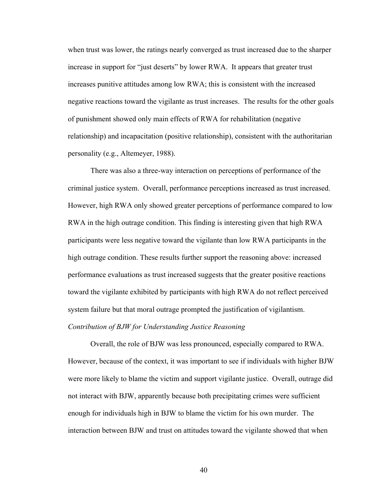when trust was lower, the ratings nearly converged as trust increased due to the sharper increase in support for "just deserts" by lower RWA. It appears that greater trust increases punitive attitudes among low RWA; this is consistent with the increased negative reactions toward the vigilante as trust increases. The results for the other goals of punishment showed only main effects of RWA for rehabilitation (negative relationship) and incapacitation (positive relationship), consistent with the authoritarian personality (e.g., Altemeyer, 1988).

 There was also a three-way interaction on perceptions of performance of the criminal justice system. Overall, performance perceptions increased as trust increased. However, high RWA only showed greater perceptions of performance compared to low RWA in the high outrage condition. This finding is interesting given that high RWA participants were less negative toward the vigilante than low RWA participants in the high outrage condition. These results further support the reasoning above: increased performance evaluations as trust increased suggests that the greater positive reactions toward the vigilante exhibited by participants with high RWA do not reflect perceived system failure but that moral outrage prompted the justification of vigilantism.

# *Contribution of BJW for Understanding Justice Reasoning*

 Overall, the role of BJW was less pronounced, especially compared to RWA. However, because of the context, it was important to see if individuals with higher BJW were more likely to blame the victim and support vigilante justice. Overall, outrage did not interact with BJW, apparently because both precipitating crimes were sufficient enough for individuals high in BJW to blame the victim for his own murder. The interaction between BJW and trust on attitudes toward the vigilante showed that when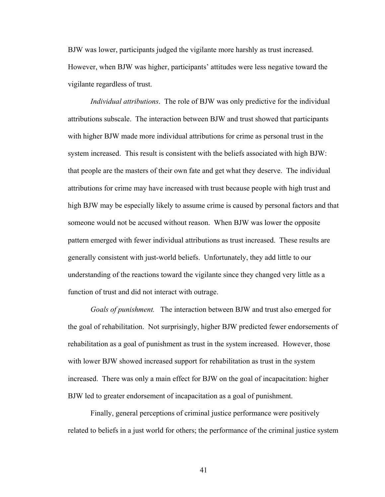BJW was lower, participants judged the vigilante more harshly as trust increased. However, when BJW was higher, participants' attitudes were less negative toward the vigilante regardless of trust.

*Individual attributions*. The role of BJW was only predictive for the individual attributions subscale. The interaction between BJW and trust showed that participants with higher BJW made more individual attributions for crime as personal trust in the system increased. This result is consistent with the beliefs associated with high BJW: that people are the masters of their own fate and get what they deserve. The individual attributions for crime may have increased with trust because people with high trust and high BJW may be especially likely to assume crime is caused by personal factors and that someone would not be accused without reason. When BJW was lower the opposite pattern emerged with fewer individual attributions as trust increased. These results are generally consistent with just-world beliefs. Unfortunately, they add little to our understanding of the reactions toward the vigilante since they changed very little as a function of trust and did not interact with outrage.

*Goals of punishment.* The interaction between BJW and trust also emerged for the goal of rehabilitation. Not surprisingly, higher BJW predicted fewer endorsements of rehabilitation as a goal of punishment as trust in the system increased. However, those with lower BJW showed increased support for rehabilitation as trust in the system increased. There was only a main effect for BJW on the goal of incapacitation: higher BJW led to greater endorsement of incapacitation as a goal of punishment.

Finally, general perceptions of criminal justice performance were positively related to beliefs in a just world for others; the performance of the criminal justice system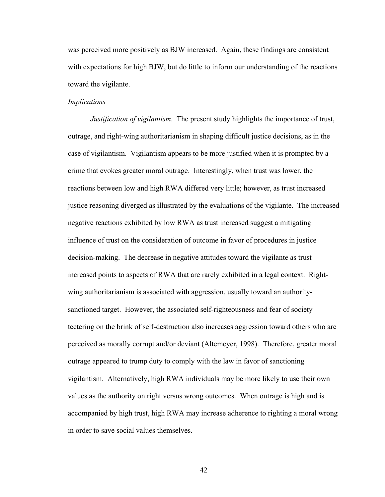was perceived more positively as BJW increased. Again, these findings are consistent with expectations for high BJW, but do little to inform our understanding of the reactions toward the vigilante.

# *Implications*

*Justification of vigilantism*. The present study highlights the importance of trust, outrage, and right-wing authoritarianism in shaping difficult justice decisions, as in the case of vigilantism. Vigilantism appears to be more justified when it is prompted by a crime that evokes greater moral outrage. Interestingly, when trust was lower, the reactions between low and high RWA differed very little; however, as trust increased justice reasoning diverged as illustrated by the evaluations of the vigilante. The increased negative reactions exhibited by low RWA as trust increased suggest a mitigating influence of trust on the consideration of outcome in favor of procedures in justice decision-making. The decrease in negative attitudes toward the vigilante as trust increased points to aspects of RWA that are rarely exhibited in a legal context. Rightwing authoritarianism is associated with aggression, usually toward an authoritysanctioned target. However, the associated self-righteousness and fear of society teetering on the brink of self-destruction also increases aggression toward others who are perceived as morally corrupt and/or deviant (Altemeyer, 1998). Therefore, greater moral outrage appeared to trump duty to comply with the law in favor of sanctioning vigilantism. Alternatively, high RWA individuals may be more likely to use their own values as the authority on right versus wrong outcomes. When outrage is high and is accompanied by high trust, high RWA may increase adherence to righting a moral wrong in order to save social values themselves.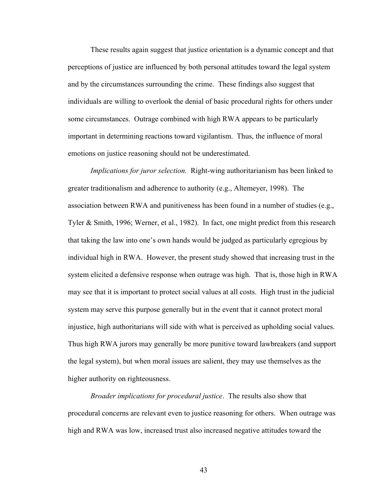These results again suggest that justice orientation is a dynamic concept and that perceptions of justice are influenced by both personal attitudes toward the legal system and by the circumstances surrounding the crime. These findings also suggest that individuals are willing to overlook the denial of basic procedural rights for others under some circumstances. Outrage combined with high RWA appears to be particularly important in determining reactions toward vigilantism. Thus, the influence of moral emotions on justice reasoning should not be underestimated.

*Implications for juror selection.* Right-wing authoritarianism has been linked to greater traditionalism and adherence to authority (e.g., Altemeyer, 1998). The association between RWA and punitiveness has been found in a number of studies (e.g., Tyler & Smith, 1996; Werner, et al., 1982). In fact, one might predict from this research that taking the law into one's own hands would be judged as particularly egregious by individual high in RWA. However, the present study showed that increasing trust in the system elicited a defensive response when outrage was high. That is, those high in RWA may see that it is important to protect social values at all costs. High trust in the judicial system may serve this purpose generally but in the event that it cannot protect moral injustice, high authoritarians will side with what is perceived as upholding social values. Thus high RWA jurors may generally be more punitive toward lawbreakers (and support the legal system), but when moral issues are salient, they may use themselves as the higher authority on righteousness.

*Broader implications for procedural justice*. The results also show that procedural concerns are relevant even to justice reasoning for others. When outrage was high and RWA was low, increased trust also increased negative attitudes toward the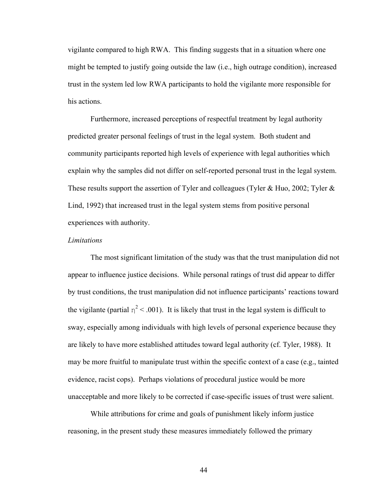vigilante compared to high RWA. This finding suggests that in a situation where one might be tempted to justify going outside the law (i.e., high outrage condition), increased trust in the system led low RWA participants to hold the vigilante more responsible for his actions.

Furthermore, increased perceptions of respectful treatment by legal authority predicted greater personal feelings of trust in the legal system. Both student and community participants reported high levels of experience with legal authorities which explain why the samples did not differ on self-reported personal trust in the legal system. These results support the assertion of Tyler and colleagues (Tyler & Huo, 2002; Tyler & Lind, 1992) that increased trust in the legal system stems from positive personal experiences with authority.

## *Limitations*

 The most significant limitation of the study was that the trust manipulation did not appear to influence justice decisions. While personal ratings of trust did appear to differ by trust conditions, the trust manipulation did not influence participants' reactions toward the vigilante (partial  $\eta^2$  < .001). It is likely that trust in the legal system is difficult to sway, especially among individuals with high levels of personal experience because they are likely to have more established attitudes toward legal authority (cf. Tyler, 1988). It may be more fruitful to manipulate trust within the specific context of a case (e.g., tainted evidence, racist cops). Perhaps violations of procedural justice would be more unacceptable and more likely to be corrected if case-specific issues of trust were salient.

 While attributions for crime and goals of punishment likely inform justice reasoning, in the present study these measures immediately followed the primary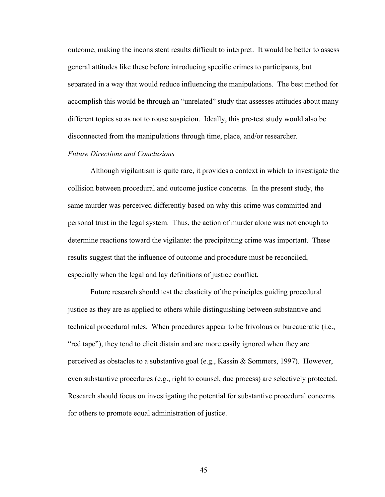outcome, making the inconsistent results difficult to interpret. It would be better to assess general attitudes like these before introducing specific crimes to participants, but separated in a way that would reduce influencing the manipulations. The best method for accomplish this would be through an "unrelated" study that assesses attitudes about many different topics so as not to rouse suspicion. Ideally, this pre-test study would also be disconnected from the manipulations through time, place, and/or researcher.

# *Future Directions and Conclusions*

Although vigilantism is quite rare, it provides a context in which to investigate the collision between procedural and outcome justice concerns. In the present study, the same murder was perceived differently based on why this crime was committed and personal trust in the legal system. Thus, the action of murder alone was not enough to determine reactions toward the vigilante: the precipitating crime was important. These results suggest that the influence of outcome and procedure must be reconciled, especially when the legal and lay definitions of justice conflict.

Future research should test the elasticity of the principles guiding procedural justice as they are as applied to others while distinguishing between substantive and technical procedural rules. When procedures appear to be frivolous or bureaucratic (i.e., "red tape"), they tend to elicit distain and are more easily ignored when they are perceived as obstacles to a substantive goal (e.g., Kassin & Sommers, 1997). However, even substantive procedures (e.g., right to counsel, due process) are selectively protected. Research should focus on investigating the potential for substantive procedural concerns for others to promote equal administration of justice.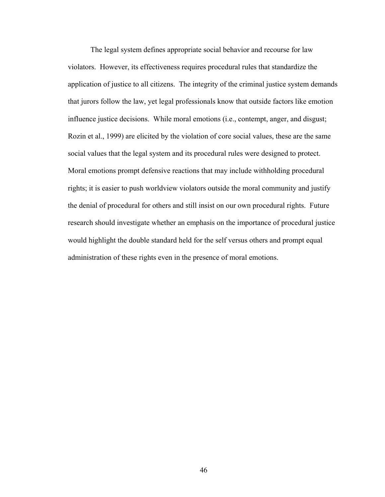The legal system defines appropriate social behavior and recourse for law violators. However, its effectiveness requires procedural rules that standardize the application of justice to all citizens. The integrity of the criminal justice system demands that jurors follow the law, yet legal professionals know that outside factors like emotion influence justice decisions. While moral emotions (i.e., contempt, anger, and disgust; Rozin et al., 1999) are elicited by the violation of core social values, these are the same social values that the legal system and its procedural rules were designed to protect. Moral emotions prompt defensive reactions that may include withholding procedural rights; it is easier to push worldview violators outside the moral community and justify the denial of procedural for others and still insist on our own procedural rights. Future research should investigate whether an emphasis on the importance of procedural justice would highlight the double standard held for the self versus others and prompt equal administration of these rights even in the presence of moral emotions.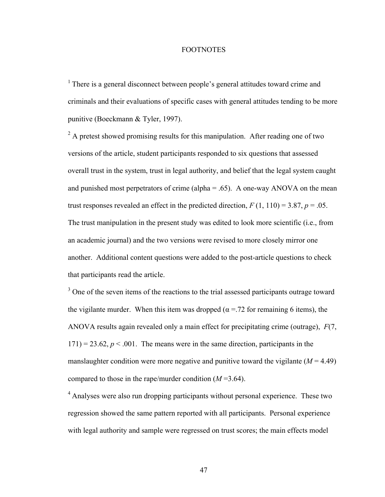#### FOOTNOTES

<sup>1</sup> There is a general disconnect between people's general attitudes toward crime and criminals and their evaluations of specific cases with general attitudes tending to be more punitive (Boeckmann & Tyler, 1997).

 $2^2$  A pretest showed promising results for this manipulation. After reading one of two versions of the article, student participants responded to six questions that assessed overall trust in the system, trust in legal authority, and belief that the legal system caught and punished most perpetrators of crime (alpha  $= .65$ ). A one-way ANOVA on the mean trust responses revealed an effect in the predicted direction,  $F(1, 110) = 3.87$ ,  $p = .05$ . The trust manipulation in the present study was edited to look more scientific (i.e., from an academic journal) and the two versions were revised to more closely mirror one another. Additional content questions were added to the post-article questions to check that participants read the article.

<sup>3</sup> One of the seven items of the reactions to the trial assessed participants outrage toward the vigilante murder. When this item was dropped ( $\alpha$  = 72 for remaining 6 items), the ANOVA results again revealed only a main effect for precipitating crime (outrage), *F*(7,  $171$ ) = 23.62,  $p < .001$ . The means were in the same direction, participants in the manslaughter condition were more negative and punitive toward the vigilante  $(M = 4.49)$ compared to those in the rape/murder condition (*M* =3.64).

<sup>4</sup> Analyses were also run dropping participants without personal experience. These two regression showed the same pattern reported with all participants. Personal experience with legal authority and sample were regressed on trust scores; the main effects model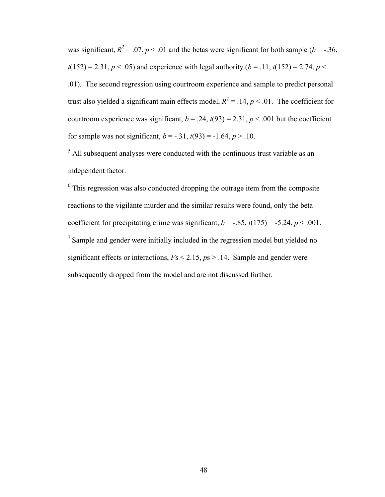was significant,  $R^2 = 0.07$ ,  $p < 0.01$  and the betas were significant for both sample (*b* = -.36,  $t(152) = 2.31, p < .05$  and experience with legal authority (*b* = .11,  $t(152) = 2.74, p <$ .01). The second regression using courtroom experience and sample to predict personal trust also yielded a significant main effects model,  $R^2 = .14$ ,  $p < .01$ . The coefficient for courtroom experience was significant,  $b = .24$ ,  $t(93) = 2.31$ ,  $p < .001$  but the coefficient for sample was not significant,  $b = -0.31$ ,  $t(93) = -1.64$ ,  $p > 0.10$ .

 $<sup>5</sup>$  All subsequent analyses were conducted with the continuous trust variable as an</sup> independent factor.

 $6$  This regression was also conducted dropping the outrage item from the composite reactions to the vigilante murder and the similar results were found, only the beta coefficient for precipitating crime was significant,  $b = -.85$ ,  $t(175) = .5.24$ ,  $p < .001$ .  $<sup>7</sup>$  Sample and gender were initially included in the regression model but yielded no</sup> significant effects or interactions, *F*s < 2.15, *p*s > .14. Sample and gender were subsequently dropped from the model and are not discussed further.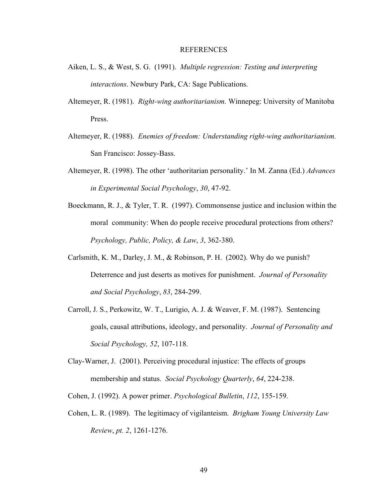#### REFERENCES

- Aiken, L. S., & West, S. G. (1991). *Multiple regression: Testing and interpreting interactions*. Newbury Park, CA: Sage Publications.
- Altemeyer, R. (1981). *Right-wing authoritarianism.* Winnepeg: University of Manitoba Press.
- Altemeyer, R. (1988). *Enemies of freedom: Understanding right-wing authoritarianism.* San Francisco: Jossey-Bass.
- Altemeyer, R. (1998). The other 'authoritarian personality.' In M. Zanna (Ed.) *Advances in Experimental Social Psychology*, *30*, 47-92.
- Boeckmann, R. J., & Tyler, T. R. (1997). Commonsense justice and inclusion within the moral community: When do people receive procedural protections from others? *Psychology, Public, Policy, & Law*, *3*, 362-380.
- Carlsmith, K. M., Darley, J. M., & Robinson, P. H. (2002). Why do we punish? Deterrence and just deserts as motives for punishment. *Journal of Personality and Social Psychology*, *83*, 284-299.
- Carroll, J. S., Perkowitz, W. T., Lurigio, A. J. & Weaver, F. M. (1987). Sentencing goals, causal attributions, ideology, and personality. *Journal of Personality and Social Psychology, 52*, 107-118.
- Clay-Warner, J. (2001). Perceiving procedural injustice: The effects of groups membership and status. *Social Psychology Quarterly*, *64*, 224-238.
- Cohen, J. (1992). A power primer. *Psychological Bulletin*, *112*, 155-159.
- Cohen, L. R. (1989). The legitimacy of vigilanteism. *Brigham Young University Law Review*, *pt. 2*, 1261-1276.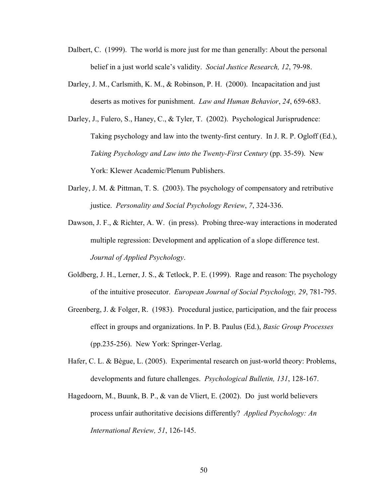- Dalbert, C. (1999). The world is more just for me than generally: About the personal belief in a just world scale's validity. *Social Justice Research, 12*, 79-98.
- Darley, J. M., Carlsmith, K. M., & Robinson, P. H. (2000). Incapacitation and just deserts as motives for punishment. *Law and Human Behavior*, *24*, 659-683.
- Darley, J., Fulero, S., Haney, C., & Tyler, T. (2002). Psychological Jurisprudence: Taking psychology and law into the twenty-first century. In J. R. P. Ogloff (Ed.), *Taking Psychology and Law into the Twenty-First Century* (pp. 35-59). New York: Klewer Academic/Plenum Publishers.
- Darley, J. M. & Pittman, T. S. (2003). The psychology of compensatory and retributive justice. *Personality and Social Psychology Review*, *7*, 324-336.
- Dawson, J. F., & Richter, A. W. (in press). Probing three-way interactions in moderated multiple regression: Development and application of a slope difference test. *Journal of Applied Psychology*.
- Goldberg, J. H., Lerner, J. S., & Tetlock, P. E. (1999). Rage and reason: The psychology of the intuitive prosecutor. *European Journal of Social Psychology, 29*, 781-795.
- Greenberg, J. & Folger, R. (1983). Procedural justice, participation, and the fair process effect in groups and organizations. In P. B. Paulus (Ed.), *Basic Group Processes* (pp.235-256). New York: Springer-Verlag.
- Hafer, C. L. & Bègue, L. (2005). Experimental research on just-world theory: Problems, developments and future challenges. *Psychological Bulletin, 131*, 128-167.
- Hagedoorn, M., Buunk, B. P., & van de Vliert, E. (2002). Do just world believers process unfair authoritative decisions differently? *Applied Psychology: An International Review, 51*, 126-145.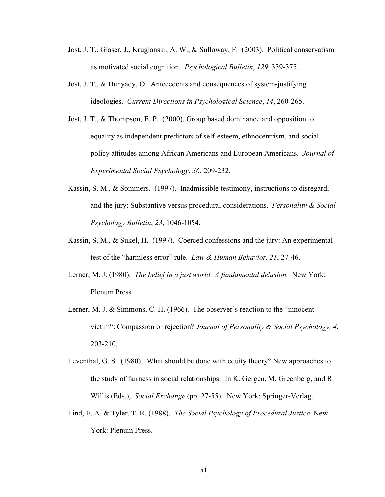- Jost, J. T., Glaser, J., Kruglanski, A. W., & Sulloway, F. (2003). Political conservatism as motivated social cognition. *Psychological Bulletin*, *129*, 339-375.
- Jost, J. T., & Hunyady, O. Antecedents and consequences of system-justifying ideologies. *Current Directions in Psychological Science*, *14*, 260-265.
- Jost, J. T., & Thompson, E. P. (2000). Group based dominance and opposition to equality as independent predictors of self-esteem, ethnocentrism, and social policy attitudes among African Americans and European Americans. *Journal of Experimental Social Psychology*, *36*, 209-232.
- Kassin, S. M., & Sommers. (1997). Inadmissible testimony, instructions to disregard, and the jury: Substantive versus procedural considerations. *Personality & Social Psychology Bulletin*, *23*, 1046-1054.
- Kassin, S. M., & Sukel, H. (1997). Coerced confessions and the jury: An experimental test of the "harmless error" rule. *Law & Human Behavior, 21*, 27-46.
- Lerner, M. J. (1980). *The belief in a just world: A fundamental delusion.* New York: Plenum Press.
- Lerner, M. J. & Simmons, C. H. (1966). The observer's reaction to the "innocent victim": Compassion or rejection? *Journal of Personality & Social Psychology, 4*, 203-210.
- Leventhal, G. S. (1980). What should be done with equity theory? New approaches to the study of fairness in social relationships. In K. Gergen, M. Greenberg, and R. Willis (Eds.), *Social Exchange* (pp. 27-55). New York: Springer-Verlag.
- Lind, E. A. & Tyler, T. R. (1988). *The Social Psychology of Procedural Justice*. New York: Plenum Press.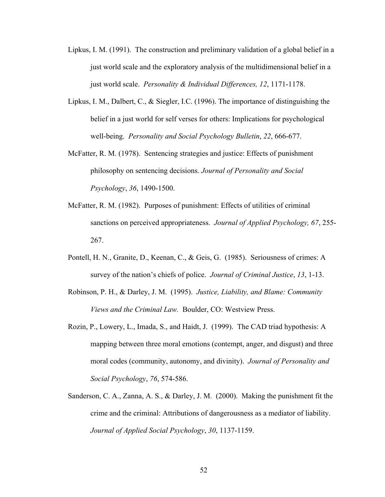- Lipkus, I. M. (1991). The construction and preliminary validation of a global belief in a just world scale and the exploratory analysis of the multidimensional belief in a just world scale. *Personality & Individual Differences, 12*, 1171-1178.
- Lipkus, I. M., Dalbert, C., & Siegler, I.C. (1996). The importance of distinguishing the belief in a just world for self verses for others: Implications for psychological well-being. *Personality and Social Psychology Bulletin*, *22*, 666-677.
- McFatter, R. M. (1978). Sentencing strategies and justice: Effects of punishment philosophy on sentencing decisions. *Journal of Personality and Social Psychology*, *36*, 1490-1500.
- McFatter, R. M. (1982). Purposes of punishment: Effects of utilities of criminal sanctions on perceived appropriateness. *Journal of Applied Psychology, 67*, 255- 267.
- Pontell, H. N., Granite, D., Keenan, C., & Geis, G. (1985). Seriousness of crimes: A survey of the nation's chiefs of police. *Journal of Criminal Justice*, *13*, 1-13.
- Robinson, P. H., & Darley, J. M. (1995). *Justice, Liability, and Blame: Community Views and the Criminal Law.* Boulder, CO: Westview Press.
- Rozin, P., Lowery, L., Imada, S., and Haidt, J. (1999). The CAD triad hypothesis: A mapping between three moral emotions (contempt, anger, and disgust) and three moral codes (community, autonomy, and divinity). *Journal of Personality and Social Psychology*, *76*, 574-586.
- Sanderson, C. A., Zanna, A. S., & Darley, J. M. (2000). Making the punishment fit the crime and the criminal: Attributions of dangerousness as a mediator of liability. *Journal of Applied Social Psychology*, *30*, 1137-1159.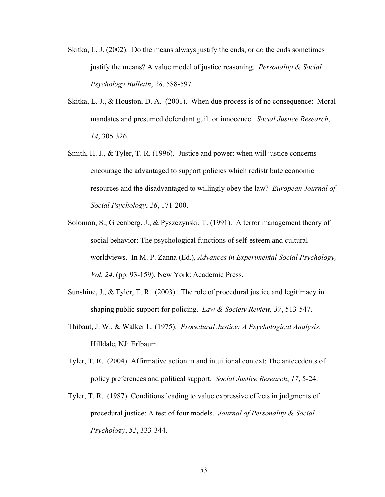- Skitka, L. J. (2002). Do the means always justify the ends, or do the ends sometimes justify the means? A value model of justice reasoning. *Personality & Social Psychology Bulletin*, *28*, 588-597.
- Skitka, L. J., & Houston, D. A. (2001). When due process is of no consequence: Moral mandates and presumed defendant guilt or innocence. *Social Justice Research*, *14*, 305-326.
- Smith, H. J., & Tyler, T. R. (1996). Justice and power: when will justice concerns encourage the advantaged to support policies which redistribute economic resources and the disadvantaged to willingly obey the law? *European Journal of Social Psychology*, *26*, 171-200.
- Solomon, S., Greenberg, J., & Pyszczynski, T. (1991). A terror management theory of social behavior: The psychological functions of self-esteem and cultural worldviews. In M. P. Zanna (Ed.), *Advances in Experimental Social Psychology, Vol. 24*. (pp. 93-159). New York: Academic Press.
- Sunshine, J., & Tyler, T. R. (2003). The role of procedural justice and legitimacy in shaping public support for policing. *Law & Society Review, 37*, 513-547.
- Thibaut, J. W., & Walker L. (1975). *Procedural Justice: A Psychological Analysis*. Hilldale, NJ: Erlbaum.
- Tyler, T. R. (2004). Affirmative action in and intuitional context: The antecedents of policy preferences and political support. *Social Justice Research*, *17*, 5-24.
- Tyler, T. R. (1987). Conditions leading to value expressive effects in judgments of procedural justice: A test of four models. *Journal of Personality & Social Psychology*, *52*, 333-344.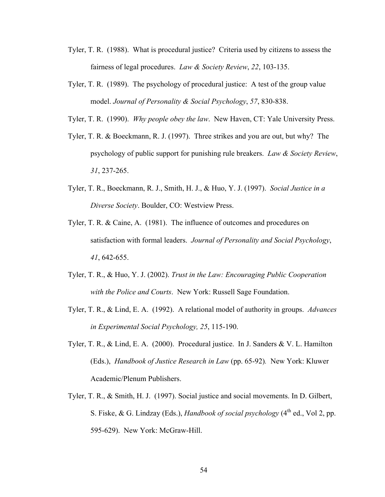- Tyler, T. R. (1988). What is procedural justice? Criteria used by citizens to assess the fairness of legal procedures. *Law & Society Review*, *22*, 103-135.
- Tyler, T. R. (1989). The psychology of procedural justice: A test of the group value model. *Journal of Personality & Social Psychology*, *57*, 830-838.
- Tyler, T. R. (1990). *Why people obey the law*. New Haven, CT: Yale University Press.
- Tyler, T. R. & Boeckmann, R. J. (1997). Three strikes and you are out, but why? The psychology of public support for punishing rule breakers. *Law & Society Review*, *31*, 237-265.
- Tyler, T. R., Boeckmann, R. J., Smith, H. J., & Huo, Y. J. (1997). *Social Justice in a Diverse Society*. Boulder, CO: Westview Press.
- Tyler, T. R. & Caine, A. (1981). The influence of outcomes and procedures on satisfaction with formal leaders. *Journal of Personality and Social Psychology*, *41*, 642-655.
- Tyler, T. R., & Huo, Y. J. (2002). *Trust in the Law: Encouraging Public Cooperation with the Police and Courts*. New York: Russell Sage Foundation.
- Tyler, T. R., & Lind, E. A. (1992). A relational model of authority in groups. *Advances in Experimental Social Psychology, 25*, 115-190.
- Tyler, T. R., & Lind, E. A. (2000). Procedural justice. In J. Sanders & V. L. Hamilton (Eds.), *Handbook of Justice Research in Law* (pp. 65-92)*.* New York: Kluwer Academic/Plenum Publishers.
- Tyler, T. R., & Smith, H. J. (1997). Social justice and social movements. In D. Gilbert, S. Fiske, & G. Lindzay (Eds.), *Handbook of social psychology* (4<sup>th</sup> ed., Vol 2, pp. 595-629). New York: McGraw-Hill.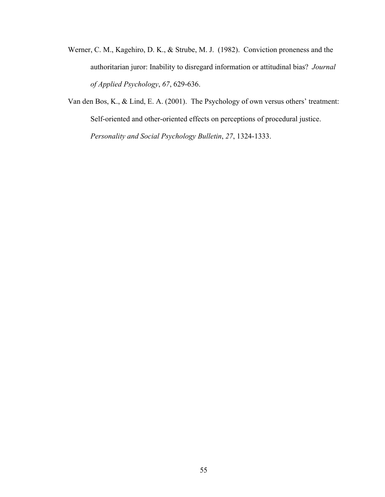- Werner, C. M., Kagehiro, D. K., & Strube, M. J. (1982). Conviction proneness and the authoritarian juror: Inability to disregard information or attitudinal bias? *Journal of Applied Psychology*, *67*, 629-636.
- Van den Bos, K., & Lind, E. A. (2001). The Psychology of own versus others' treatment: Self-oriented and other-oriented effects on perceptions of procedural justice. *Personality and Social Psychology Bulletin*, *27*, 1324-1333.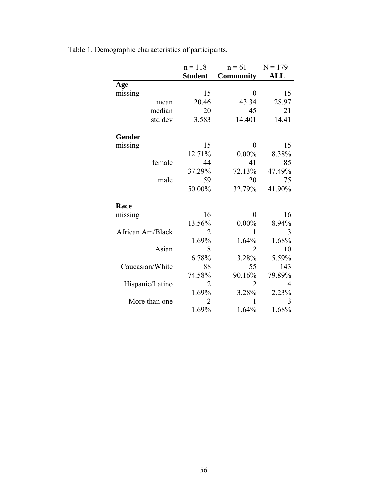|                  | $n = 118$      | $n = 61$         | $N = 179$ |  |
|------------------|----------------|------------------|-----------|--|
|                  | <b>Student</b> | <b>Community</b> | ALL       |  |
| Age              |                |                  |           |  |
| missing          | 15             | 0                | 15        |  |
| mean             | 20.46          | 43.34            | 28.97     |  |
| median           | 20             | 45               | 21        |  |
| std dev          | 3.583          | 14.401           | 14.41     |  |
| Gender           |                |                  |           |  |
| missing          | 15             | 0                | 15        |  |
|                  | 12.71%         | $0.00\%$         | 8.38%     |  |
| female           | 44             | 41               | 85        |  |
|                  | 37.29%         | 72.13%           | 47.49%    |  |
| male             | 59             | 20               | 75        |  |
|                  | 50.00%         | 32.79%           | 41.90%    |  |
| Race             |                |                  |           |  |
| missing          | 16             | 0                | 16        |  |
|                  | 13.56%         | $0.00\%$         | 8.94%     |  |
| African Am/Black | 2              | 1                | 3         |  |
|                  | 1.69%          | 1.64%            | 1.68%     |  |
| Asian            | 8              | $\overline{2}$   | 10        |  |
|                  | 6.78%          | 3.28%            | 5.59%     |  |
| Caucasian/White  | 88             | 55               | 143       |  |
|                  | 74.58%         | 90.16%           | 79.89%    |  |
| Hispanic/Latino  | 2              | $\overline{2}$   | 4         |  |
|                  | 1.69%          | 3.28%            | 2.23%     |  |
| More than one    | 2              | 1                | 3         |  |
|                  | 1.69%          | 1.64%            | 1.68%     |  |

Table 1. Demographic characteristics of participants.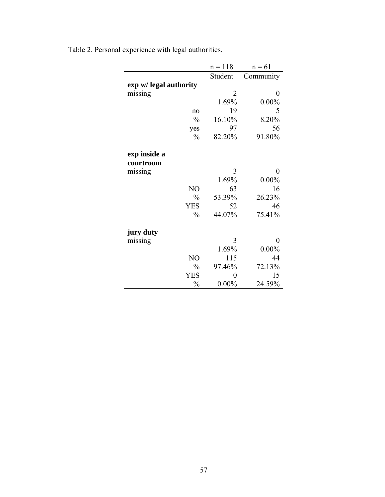|                        | $n = 118$ | $n = 61$  |
|------------------------|-----------|-----------|
|                        | Student   | Community |
| exp w/ legal authority |           |           |
| missing                | 2         | 0         |
|                        | 1.69%     | $0.00\%$  |
| no                     | 19        | 5         |
| $\frac{0}{0}$          | 16.10%    | 8.20%     |
| yes                    | 97        | 56        |
| $\frac{0}{0}$          | 82.20%    | 91.80%    |
| exp inside a           |           |           |
| courtroom              |           |           |
| missing                | 3         | 0         |
|                        | 1.69%     | $0.00\%$  |
| NO                     | 63        | 16        |
| $\frac{0}{0}$          | 53.39%    | 26.23%    |
| <b>YES</b>             | 52        | 46        |
| $\frac{0}{0}$          | 44.07%    | 75.41%    |
| jury duty              |           |           |
| missing                | 3         | 0         |
|                        | 1.69%     | $0.00\%$  |
| NO                     | 115       | 44        |
| $\frac{0}{0}$          | 97.46%    | 72.13%    |
| <b>YES</b>             | 0         | 15        |
| $\frac{0}{0}$          | $0.00\%$  | 24.59%    |

Table 2. Personal experience with legal authorities.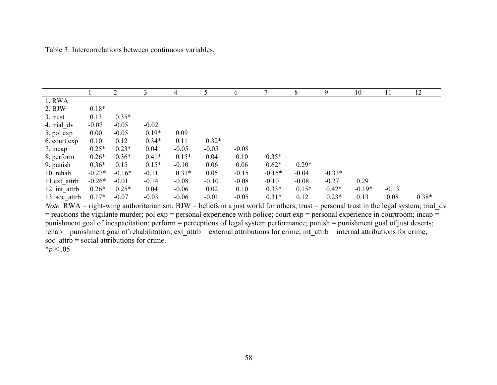Table 3: Intercorrelations between continuous variables.

|               |          | 2        | 3       | 4       | 5       | 6       | 7        | 8       | 9        | 10       |         | 12      |
|---------------|----------|----------|---------|---------|---------|---------|----------|---------|----------|----------|---------|---------|
| 1. RWA        |          |          |         |         |         |         |          |         |          |          |         |         |
| $2.$ BJW      | $0.18*$  |          |         |         |         |         |          |         |          |          |         |         |
| 3. trust      | 0.13     | $0.35*$  |         |         |         |         |          |         |          |          |         |         |
| 4. trial dv   | $-0.07$  | $-0.05$  | $-0.02$ |         |         |         |          |         |          |          |         |         |
| 5. pol exp    | 0.00     | $-0.05$  | $0.19*$ | 0.09    |         |         |          |         |          |          |         |         |
| 6. court exp  | 0.10     | 0.12     | $0.34*$ | 0.11    | $0.32*$ |         |          |         |          |          |         |         |
| 7. incap      | $0.25*$  | $0.23*$  | 0.04    | $-0.05$ | $-0.05$ | $-0.08$ |          |         |          |          |         |         |
| 8. perform    | $0.26*$  | $0.36*$  | $0.41*$ | $0.15*$ | 0.04    | 0.10    | $0.35*$  |         |          |          |         |         |
| 9. punish     | $0.36*$  | 0.15     | $0.15*$ | $-0.10$ | 0.06    | 0.06    | $0.62*$  | $0.29*$ |          |          |         |         |
| 10. rehab     | $-0.27*$ | $-0.16*$ | $-0.11$ | $0.31*$ | 0.05    | $-0.15$ | $-0.15*$ | $-0.04$ | $-0.33*$ |          |         |         |
| 11.ext attrb  | $-0.26*$ | $-0.01$  | $-0.14$ | $-0.08$ | $-0.10$ | $-0.08$ | $-0.10$  | $-0.08$ | $-0.27$  | 0.29     |         |         |
| 12. int attrb | $0.26*$  | $0.25*$  | 0.04    | $-0.06$ | 0.02    | 0.10    | $0.33*$  | $0.15*$ | $0.42*$  | $-0.19*$ | $-0.13$ |         |
| 13. soc attrb | $0.17*$  | $-0.07$  | $-0.03$ | $-0.06$ | $-0.01$ | $-0.05$ | $0.31*$  | 0.12    | $0.23*$  | 0.13     | 0.08    | $0.38*$ |

*Note.* RWA = right-wing authoritarianism; BJW = beliefs in a just world for others; trust = personal trust in the legal system; trial\_dv  $=$  reactions the vigilante murder; pol exp  $=$  personal experience with police; court exp  $=$  personal experience in courtroom; incap  $=$ punishment goal of incapacitation; perform = perceptions of legal system performance; punish = punishment goal of just deserts;  $rehab = \text{punishment goal of rehabilitation; ext}$  attr $b = \text{external attributes}$  attributions for crime; int\_attrb = internal attributions for crime; soc  $\text{attrb} = \text{social attributes}$  for crime.

 $*_{p}$  < .05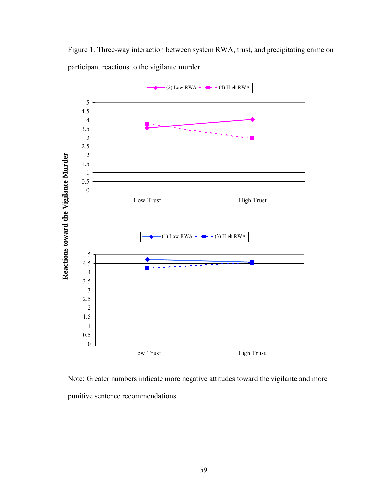Figure 1. Three-way interaction between system RWA, trust, and precipitating crime on participant reactions to the vigilante murder.



Note: Greater numbers indicate more negative attitudes toward the vigilante and more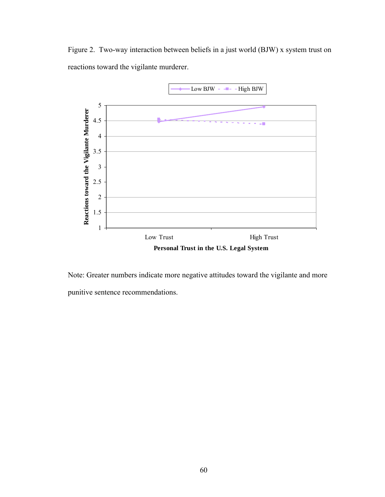Figure 2. Two-way interaction between beliefs in a just world (BJW) x system trust on reactions toward the vigilante murderer.



Note: Greater numbers indicate more negative attitudes toward the vigilante and more punitive sentence recommendations.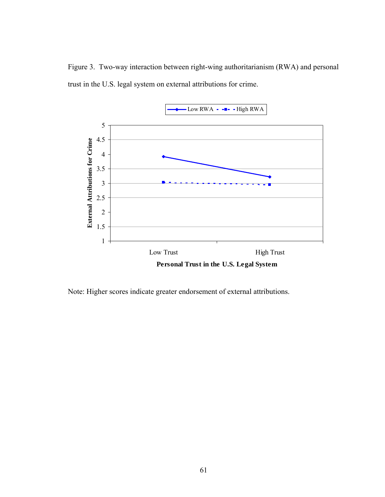Figure 3. Two-way interaction between right-wing authoritarianism (RWA) and personal trust in the U.S. legal system on external attributions for crime.



Note: Higher scores indicate greater endorsement of external attributions.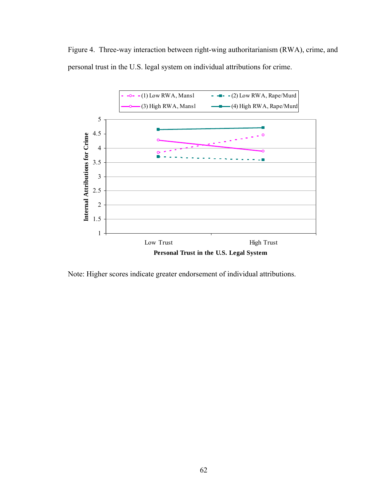Figure 4. Three-way interaction between right-wing authoritarianism (RWA), crime, and personal trust in the U.S. legal system on individual attributions for crime.



Note: Higher scores indicate greater endorsement of individual attributions.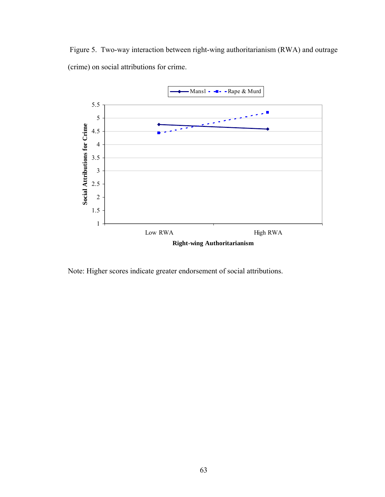Figure 5. Two-way interaction between right-wing authoritarianism (RWA) and outrage (crime) on social attributions for crime.



Note: Higher scores indicate greater endorsement of social attributions.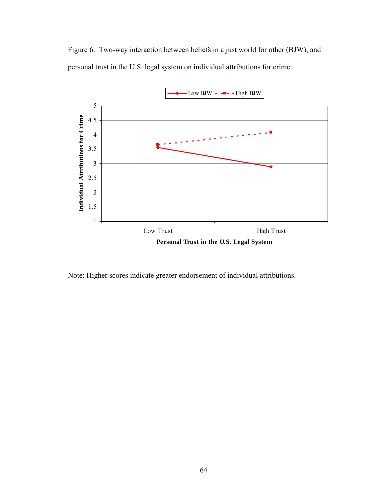Figure 6. Two-way interaction between beliefs in a just world for other (BJW), and personal trust in the U.S. legal system on individual attributions for crime.



Note: Higher scores indicate greater endorsement of individual attributions.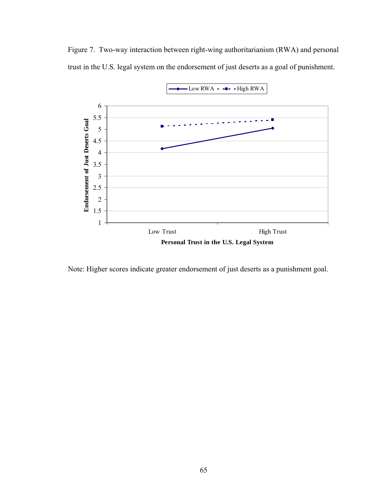Figure 7. Two-way interaction between right-wing authoritarianism (RWA) and personal trust in the U.S. legal system on the endorsement of just deserts as a goal of punishment.



Note: Higher scores indicate greater endorsement of just deserts as a punishment goal.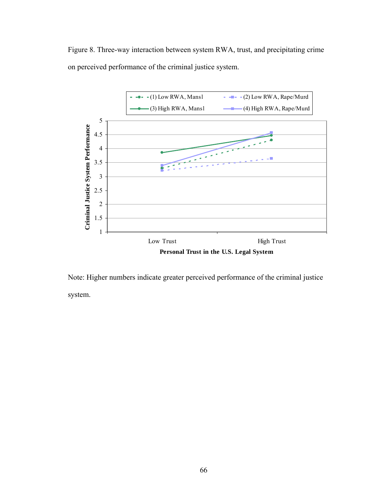Figure 8. Three-way interaction between system RWA, trust, and precipitating crime on perceived performance of the criminal justice system.



Note: Higher numbers indicate greater perceived performance of the criminal justice system.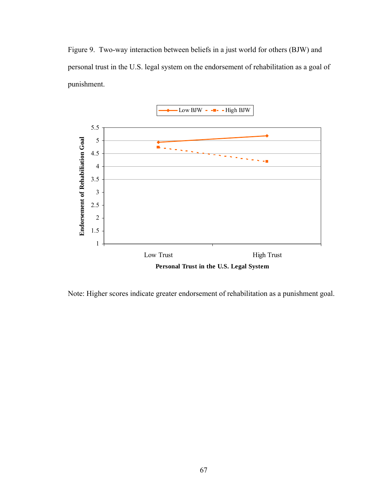Figure 9. Two-way interaction between beliefs in a just world for others (BJW) and personal trust in the U.S. legal system on the endorsement of rehabilitation as a goal of punishment.



Note: Higher scores indicate greater endorsement of rehabilitation as a punishment goal.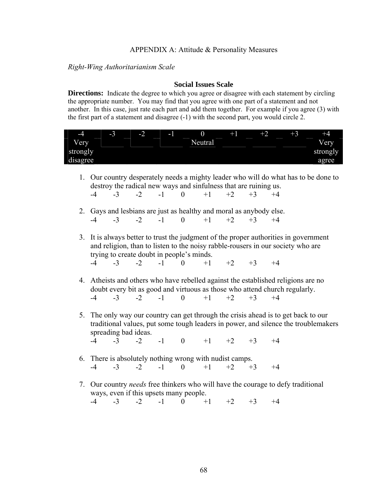### APPENDIX A: Attitude & Personality Measures

## *Right-Wing Authoritarianism Scale*

### **Social Issues Scale**

**Directions:** Indicate the degree to which you agree or disagree with each statement by circling the appropriate number. You may find that you agree with one part of a statement and not another. In this case, just rate each part and add them together. For example if you agree (3) with the first part of a statement and disagree (-1) with the second part, you would circle 2.



- 1. Our country desperately needs a mighty leader who will do what has to be done to destroy the radical new ways and sinfulness that are ruining us.  $-4$   $-3$   $-2$   $-1$  0  $+1$   $+2$   $+3$   $+4$
- 2. Gays and lesbians are just as healthy and moral as anybody else. -4 -3 -2 -1 0 +1 +2 +3 +4
- 3. It is always better to trust the judgment of the proper authorities in government and religion, than to listen to the noisy rabble-rousers in our society who are trying to create doubt in people's minds. -4 -3 -2 -1 0 +1 +2 +3 +4
- 4. Atheists and others who have rebelled against the established religions are no doubt every bit as good and virtuous as those who attend church regularly. -4 -3 -2 -1 0 +1 +2 +3 +4
- 5. The only way our country can get through the crisis ahead is to get back to our traditional values, put some tough leaders in power, and silence the troublemakers spreading bad ideas.
	- -4 -3 -2 -1 0 +1 +2 +3 +4
- 6. There is absolutely nothing wrong with nudist camps. -4 -3 -2 -1 0 +1 +2 +3 +4
- 7. Our country *needs* free thinkers who will have the courage to defy traditional ways, even if this upsets many people.  $-4$   $-3$   $-2$   $-1$  0  $+1$   $+2$   $+3$   $+4$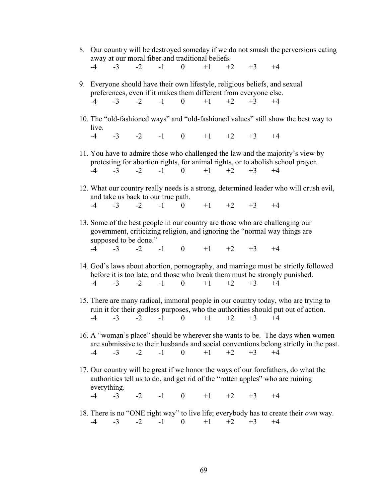- 8. Our country will be destroyed someday if we do not smash the perversions eating away at our moral fiber and traditional beliefs.  $-4$   $-3$   $-2$   $-1$  0  $+1$   $+2$   $+3$   $+4$
- 9. Everyone should have their own lifestyle, religious beliefs, and sexual preferences, even if it makes them different from everyone else.  $-4$   $-3$   $-2$   $-1$  0  $+1$   $+2$   $+3$   $+4$
- 10. The "old-fashioned ways" and "old-fashioned values" still show the best way to live.  $-4$   $-3$   $-2$   $-1$  0  $+1$   $+2$   $+3$   $+4$
- 11. You have to admire those who challenged the law and the majority's view by protesting for abortion rights, for animal rights, or to abolish school prayer.  $-4$   $-3$   $-2$   $-1$  0  $+1$   $+2$   $+3$   $+4$
- 12. What our country really needs is a strong, determined leader who will crush evil, and take us back to our true path.  $-4$   $-3$   $-2$   $-1$  0  $+1$   $+2$   $+3$   $+4$
- 13. Some of the best people in our country are those who are challenging our government, criticizing religion, and ignoring the "normal way things are supposed to be done."
	- $-4$   $-3$   $-2$   $-1$  0  $+1$   $+2$   $+3$   $+4$
- 14. God's laws about abortion, pornography, and marriage must be strictly followed before it is too late, and those who break them must be strongly punished.  $-4$   $-3$   $-2$   $-1$  0  $+1$   $+2$   $+3$   $+4$
- 15. There are many radical, immoral people in our country today, who are trying to ruin it for their godless purposes, who the authorities should put out of action. -4 -3 -2 -1 0 +1 +2 +3 +4
- 16. A "woman's place" should be wherever she wants to be. The days when women are submissive to their husbands and social conventions belong strictly in the past.  $-4$   $-3$   $-2$   $-1$  0  $+1$   $+2$   $+3$   $+4$
- 17. Our country will be great if we honor the ways of our forefathers, do what the authorities tell us to do, and get rid of the "rotten apples" who are ruining everything.  $-4$   $-3$   $-2$   $-1$  0  $+1$   $+2$   $+3$   $+4$
- 18. There is no "ONE right way" to live life; everybody has to create their *own* way.
	- $-4$   $-3$   $-2$   $-1$  0  $+1$   $+2$   $+3$   $+4$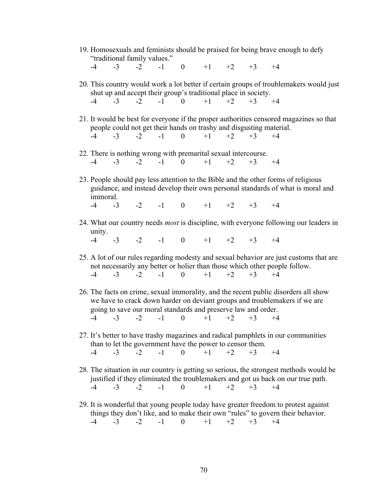19. Homosexuals and feminists should be praised for being brave enough to defy "traditional family values."

 $-4$   $-3$   $-2$   $-1$  0  $+1$   $+2$   $+3$   $+4$ 

- 20. This country would work a lot better if certain groups of troublemakers would just shut up and accept their group's traditional place in society.  $-4$   $-3$   $-2$   $-1$  0  $+1$   $+2$   $+3$   $+4$
- 21. It would be best for everyone if the proper authorities censored magazines so that people could not get their hands on trashy and disgusting material.  $-4$   $-3$   $-2$   $-1$  0  $+1$   $+2$   $+3$   $+4$
- 22. There is nothing wrong with premarital sexual intercourse.  $-4$   $-3$   $-2$   $-1$  0  $+1$   $+2$   $+3$   $+4$
- 23. People should pay less attention to the Bible and the other forms of religious guidance, and instead develop their own personal standards of what is moral and immoral.  $-4$   $-3$   $-2$   $-1$  0  $+1$   $+2$   $+3$   $+4$
- 24. What our country needs *most* is discipline, with everyone following our leaders in unity.

 $-4$   $-3$   $-2$   $-1$  0  $+1$   $+2$   $+3$   $+4$ 

- 25. A lot of our rules regarding modesty and sexual behavior are just customs that are not necessarily any better or holier than those which other people follow.  $-4$   $-3$   $-2$   $-1$  0  $+1$   $+2$   $+3$   $+4$
- 26. The facts on crime, sexual immorality, and the recent public disorders all show we have to crack down harder on deviant groups and troublemakers if we are going to save our moral standards and preserve law and order.  $-4$   $-3$   $-2$   $-1$  0  $+1$   $+2$   $+3$   $+4$
- 27. It's better to have trashy magazines and radical pamphlets in our communities than to let the government have the power to censor them.  $-4$   $-3$   $-2$   $-1$  0  $+1$   $+2$   $+3$   $+4$
- 28. The situation in our country is getting so serious, the strongest methods would be justified if they eliminated the troublemakers and got us back on our true path.  $-4$   $-3$   $-2$   $-1$  0  $+1$   $+2$   $+3$   $+4$
- 29. It is wonderful that young people today have greater freedom to protest against things they don't like, and to make their own "rules" to govern their behavior.  $-4$   $-3$   $-2$   $-1$  0  $+1$   $+2$   $+3$   $+4$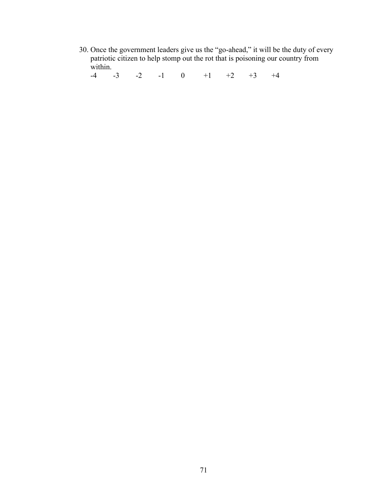30. Once the government leaders give us the "go-ahead," it will be the duty of every patriotic citizen to help stomp out the rot that is poisoning our country from within.

 $-4$   $-3$   $-2$   $-1$  0  $+1$   $+2$   $+3$   $+4$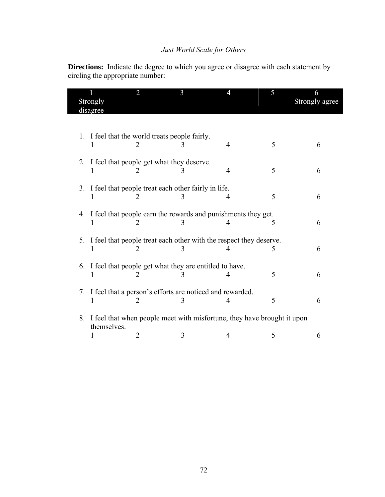# *Just World Scale for Others*

**Directions:** Indicate the degree to which you agree or disagree with each statement by circling the appropriate number:

| Strongly<br>disagree |             | 2                                              | 3                                                                          |   | 5 | 6<br>Strongly agree |
|----------------------|-------------|------------------------------------------------|----------------------------------------------------------------------------|---|---|---------------------|
|                      |             |                                                |                                                                            |   |   |                     |
|                      |             | 1. I feel that the world treats people fairly. |                                                                            | 4 | 5 | 6                   |
|                      |             | 2. I feel that people get what they deserve.   |                                                                            | 4 | 5 | 6                   |
|                      |             |                                                | 3. I feel that people treat each other fairly in life.                     | 4 | 5 | 6                   |
|                      | 1           | $\mathcal{D}_{\mathcal{L}}$                    | 4. I feel that people earn the rewards and punishments they get.           | 4 | 5 | 6                   |
| 5.                   |             | 2                                              | I feel that people treat each other with the respect they deserve.<br>3    |   | 5 | 6                   |
|                      |             |                                                | 6. I feel that people get what they are entitled to have.                  |   | 5 | 6                   |
|                      |             | $\mathcal{L}$                                  | 7. I feel that a person's efforts are noticed and rewarded.                | 4 | 5 | 6                   |
|                      | themselves. |                                                | 8. I feel that when people meet with misfortune, they have brought it upon |   |   |                     |
|                      |             | 2                                              |                                                                            | 4 | 5 | 6                   |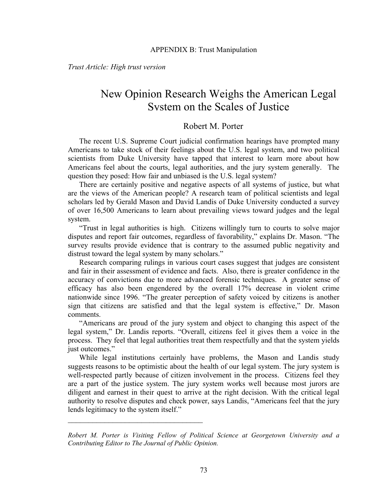*Trust Article: High trust version* 

# New Opinion Research Weighs the American Legal System on the Scales of Justice

## Robert M. Porter

The recent U.S. Supreme Court judicial confirmation hearings have prompted many Americans to take stock of their feelings about the U.S. legal system, and two political scientists from Duke University have tapped that interest to learn more about how Americans feel about the courts, legal authorities, and the jury system generally. The question they posed: How fair and unbiased is the U.S. legal system?

There are certainly positive and negative aspects of all systems of justice, but what are the views of the American people? A research team of political scientists and legal scholars led by Gerald Mason and David Landis of Duke University conducted a survey of over 16,500 Americans to learn about prevailing views toward judges and the legal system.

"Trust in legal authorities is high. Citizens willingly turn to courts to solve major disputes and report fair outcomes, regardless of favorability," explains Dr. Mason. "The survey results provide evidence that is contrary to the assumed public negativity and distrust toward the legal system by many scholars."

Research comparing rulings in various court cases suggest that judges are consistent and fair in their assessment of evidence and facts. Also, there is greater confidence in the accuracy of convictions due to more advanced forensic techniques. A greater sense of efficacy has also been engendered by the overall 17% decrease in violent crime nationwide since 1996. "The greater perception of safety voiced by citizens is another sign that citizens are satisfied and that the legal system is effective," Dr. Mason comments.

 "Americans are proud of the jury system and object to changing this aspect of the legal system," Dr. Landis reports. "Overall, citizens feel it gives them a voice in the process. They feel that legal authorities treat them respectfully and that the system yields just outcomes."

 While legal institutions certainly have problems, the Mason and Landis study suggests reasons to be optimistic about the health of our legal system. The jury system is well-respected partly because of citizen involvement in the process. Citizens feel they are a part of the justice system. The jury system works well because most jurors are diligent and earnest in their quest to arrive at the right decision. With the critical legal authority to resolve disputes and check power, says Landis, "Americans feel that the jury lends legitimacy to the system itself."

*Robert M. Porter is Visiting Fellow of Political Science at Georgetown University and a Contributing Editor to The Journal of Public Opinion.*

 $\mathcal{L}_\text{max} = \frac{1}{2} \sum_{i=1}^n \mathcal{L}_i \mathcal{L}_i$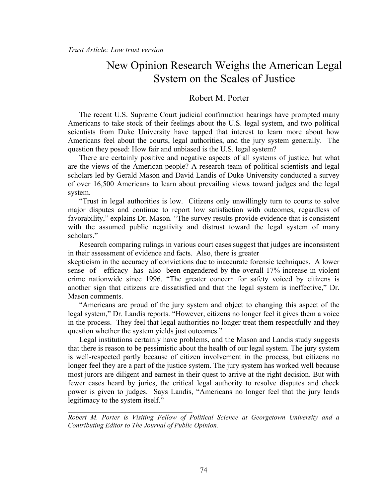# New Opinion Research Weighs the American Legal System on the Scales of Justice

## Robert M. Porter

The recent U.S. Supreme Court judicial confirmation hearings have prompted many Americans to take stock of their feelings about the U.S. legal system, and two political scientists from Duke University have tapped that interest to learn more about how Americans feel about the courts, legal authorities, and the jury system generally. The question they posed: How fair and unbiased is the U.S. legal system?

There are certainly positive and negative aspects of all systems of justice, but what are the views of the American people? A research team of political scientists and legal scholars led by Gerald Mason and David Landis of Duke University conducted a survey of over 16,500 Americans to learn about prevailing views toward judges and the legal system.

"Trust in legal authorities is low. Citizens only unwillingly turn to courts to solve major disputes and continue to report low satisfaction with outcomes, regardless of favorability," explains Dr. Mason. "The survey results provide evidence that is consistent with the assumed public negativity and distrust toward the legal system of many scholars."

Research comparing rulings in various court cases suggest that judges are inconsistent in their assessment of evidence and facts. Also, there is greater

skepticism in the accuracy of convictions due to inaccurate forensic techniques. A lower sense of efficacy has also been engendered by the overall 17% increase in violent crime nationwide since 1996. "The greater concern for safety voiced by citizens is another sign that citizens are dissatisfied and that the legal system is ineffective," Dr. Mason comments.

 "Americans are proud of the jury system and object to changing this aspect of the legal system," Dr. Landis reports. "However, citizens no longer feel it gives them a voice in the process. They feel that legal authorities no longer treat them respectfully and they question whether the system yields just outcomes."

 Legal institutions certainly have problems, and the Mason and Landis study suggests that there is reason to be pessimistic about the health of our legal system. The jury system is well-respected partly because of citizen involvement in the process, but citizens no longer feel they are a part of the justice system. The jury system has worked well because most jurors are diligent and earnest in their quest to arrive at the right decision. But with fewer cases heard by juries, the critical legal authority to resolve disputes and check power is given to judges. Says Landis, "Americans no longer feel that the jury lends legitimacy to the system itself."

*Robert M. Porter is Visiting Fellow of Political Science at Georgetown University and a Contributing Editor to The Journal of Public Opinion.*

 $\mathcal{L}_\text{max}$  , where  $\mathcal{L}_\text{max}$  and  $\mathcal{L}_\text{max}$  and  $\mathcal{L}_\text{max}$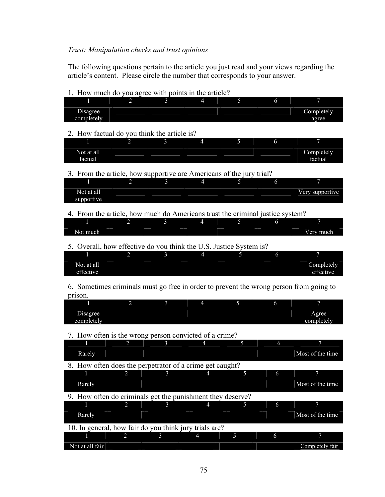# *Trust: Manipulation checks and trust opinions*

The following questions pertain to the article you just read and your views regarding the article's content. Please circle the number that corresponds to your answer.

| 1. How much do you agree with points in the article?                                   |                             |                |                           |    |   |                  |
|----------------------------------------------------------------------------------------|-----------------------------|----------------|---------------------------|----|---|------------------|
|                                                                                        | $\mathcal{D}_{\mathcal{L}}$ | $\mathbf{R}$   | $\boldsymbol{\varLambda}$ | 5  | 6 | 7                |
|                                                                                        |                             |                |                           |    |   |                  |
| Disagree                                                                               |                             |                |                           |    |   | Completely       |
| completely                                                                             |                             |                |                           |    |   | agree            |
|                                                                                        |                             |                |                           |    |   |                  |
| 2. How factual do you think the article is?                                            |                             |                |                           |    |   |                  |
|                                                                                        |                             |                |                           |    |   |                  |
|                                                                                        | 2                           |                | $\overline{4}$            | 5  | 6 | 7                |
| Not at all                                                                             |                             |                |                           |    |   |                  |
|                                                                                        |                             |                |                           |    |   | Completely       |
| factual                                                                                |                             |                |                           |    |   | factual          |
|                                                                                        |                             |                |                           |    |   |                  |
| 3. From the article, how supportive are Americans of the jury trial?                   |                             |                |                           |    |   |                  |
|                                                                                        | 2                           | $\overline{3}$ | $\overline{4}$            | 5  | 6 |                  |
|                                                                                        |                             |                |                           |    |   |                  |
| Not at all                                                                             |                             |                |                           |    |   | Very supportive  |
| supportive                                                                             |                             |                |                           |    |   |                  |
|                                                                                        |                             |                |                           |    |   |                  |
|                                                                                        |                             |                |                           |    |   |                  |
| 4. From the article, how much do Americans trust the criminal justice system?          |                             |                |                           |    |   |                  |
|                                                                                        | 2                           | 3              | 4                         | 5  | 6 | 7                |
|                                                                                        |                             |                |                           |    |   |                  |
| Not much                                                                               |                             |                |                           |    |   | Very much        |
|                                                                                        |                             |                |                           |    |   |                  |
| 5. Overall, how effective do you think the U.S. Justice System is?                     |                             |                |                           |    |   |                  |
|                                                                                        | 2                           | 3              | $\overline{4}$            | 5. | 6 |                  |
|                                                                                        |                             |                |                           |    |   |                  |
| Not at all                                                                             |                             |                |                           |    |   | Completely       |
| effective                                                                              |                             |                |                           |    |   | effective        |
|                                                                                        |                             |                |                           |    |   |                  |
|                                                                                        |                             |                |                           |    |   |                  |
|                                                                                        |                             |                |                           |    |   |                  |
| 6. Sometimes criminals must go free in order to prevent the wrong person from going to |                             |                |                           |    |   |                  |
| prison.                                                                                |                             |                |                           |    |   |                  |
|                                                                                        |                             |                |                           |    |   |                  |
|                                                                                        | $\overline{2}$              | 3              | 4                         | 5  | 6 | 7                |
| Disagree                                                                               |                             |                |                           |    |   | Agree            |
|                                                                                        |                             |                |                           |    |   |                  |
| completely                                                                             |                             |                |                           |    |   | completely       |
|                                                                                        |                             |                |                           |    |   |                  |
| 7. How often is the wrong person convicted of a crime?                                 |                             |                |                           |    |   |                  |
|                                                                                        | 2                           | 3              | 4                         | 5  | 6 | 7                |
|                                                                                        |                             |                |                           |    |   |                  |
| Rarely                                                                                 |                             |                |                           |    |   | Most of the time |
|                                                                                        |                             |                |                           |    |   |                  |
| 8. How often does the perpetrator of a crime get caught?                               |                             |                |                           |    |   |                  |
|                                                                                        | $\overline{c}$              | $\mathfrak{Z}$ |                           | J. | O |                  |
|                                                                                        |                             |                |                           |    |   |                  |
| Rarely                                                                                 |                             |                |                           |    |   | Most of the time |
|                                                                                        |                             |                |                           |    |   |                  |
| 9. How often do criminals get the punishment they deserve?                             |                             |                |                           |    |   |                  |
|                                                                                        | $\overline{2}$              | 3              | $\overline{4}$            | 5  | 6 | 7                |
|                                                                                        |                             |                |                           |    |   |                  |
| Rarely                                                                                 |                             |                |                           |    |   | Most of the time |
|                                                                                        |                             |                |                           |    |   |                  |
| 10. In general, how fair do you think jury trials are?                                 |                             |                |                           |    |   |                  |
|                                                                                        |                             |                |                           |    |   |                  |
| 2                                                                                      |                             | 3              | $\overline{4}$            | 5  | 6 | 7                |
| Not at all fair                                                                        |                             |                |                           |    |   | Completely fair  |

1. How much do you agree with points in the article?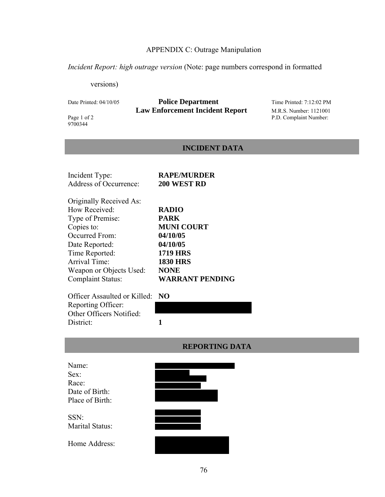## APPENDIX C: Outrage Manipulation

*Incident Report: high outrage version* (Note: page numbers correspond in formatted

versions)

# Date Printed: 04/10/05 **Police Department** Time Printed: 7:12:02 PM **Law Enforcement Incident Report** M.R.S. Number: 1121001<br>Page 1 of 2 P.D. Complaint Number:

9700344

P.D. Complaint Number:

## **INCIDENT DATA**

| Incident Type:           | <b>RAPE/MURDER</b>     |
|--------------------------|------------------------|
| Address of Occurrence:   | 200 WEST RD            |
| Originally Received As:  |                        |
| How Received:            | <b>RADIO</b>           |
| Type of Premise:         | <b>PARK</b>            |
| Copies to:               | <b>MUNI COURT</b>      |
| Occurred From:           | 04/10/05               |
| Date Reported:           | 04/10/05               |
| Time Reported:           | <b>1719 HRS</b>        |
| Arrival Time:            | <b>1830 HRS</b>        |
| Weapon or Objects Used:  | <b>NONE</b>            |
| <b>Complaint Status:</b> | <b>WARRANT PENDING</b> |

Officer Assaulted or Killed: **NO** Reporting Officer: Other Officers Notified: District: 1



|                 | <b>WEI AVITILIA D</b> |
|-----------------|-----------------------|
|                 |                       |
| Name:           |                       |
| Sex:            |                       |
| Race:           |                       |
| Date of Birth:  |                       |
| Place of Birth: |                       |
|                 |                       |
| SSN:            |                       |
| Marital Status: |                       |
|                 |                       |
| Home Address:   |                       |
|                 |                       |

# **REPORTING DATA**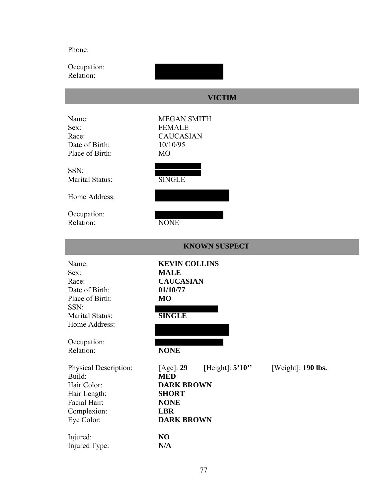Phone:

Occupation: Relation:

# **VICTIM**

| Name:<br>Sex:<br>Race:<br>Date of Birth:<br>Place of Birth:                                                                                                                           | <b>MEGAN SMITH</b><br><b>FEMALE</b><br><b>CAUCASIAN</b><br>10/10/95<br><b>MO</b>                                                                                                       |                      |
|---------------------------------------------------------------------------------------------------------------------------------------------------------------------------------------|----------------------------------------------------------------------------------------------------------------------------------------------------------------------------------------|----------------------|
| SSN:<br>Marital Status:                                                                                                                                                               | <b>SINGLE</b>                                                                                                                                                                          |                      |
| Home Address:                                                                                                                                                                         |                                                                                                                                                                                        |                      |
| Occupation:<br>Relation:                                                                                                                                                              | <b>NONE</b>                                                                                                                                                                            |                      |
|                                                                                                                                                                                       | <b>KNOWN SUSPECT</b>                                                                                                                                                                   |                      |
| Name:<br>Sex:<br>Race:<br>Date of Birth:<br>Place of Birth:<br>SSN:<br>Marital Status:<br>Home Address:<br>Occupation:<br>Relation:<br>Physical Description:<br>Build:<br>Hair Color: | <b>KEVIN COLLINS</b><br><b>MALE</b><br><b>CAUCASIAN</b><br>01/10/77<br><b>MO</b><br><b>SINGLE</b><br><b>NONE</b><br>[Height]: $5'10''$<br>[Age]: 29<br><b>MED</b><br><b>DARK BROWN</b> | [Weight]: $190$ lbs. |
| Hair Length:<br>Facial Hair:<br>Complexion:<br>Eye Color:                                                                                                                             | <b>SHORT</b><br><b>NONE</b><br><b>LBR</b><br><b>DARK BROWN</b>                                                                                                                         |                      |
| Injured:                                                                                                                                                                              | NO                                                                                                                                                                                     |                      |

Injured Type: **N/A**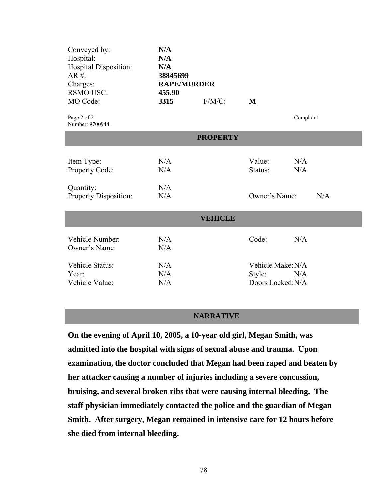| Conveyed by:<br>Hospital:<br>Hospital Disposition:<br>$AR \#$ : | N/A<br>N/A<br>N/A<br>38845699 |                |                   |           |  |  |  |
|-----------------------------------------------------------------|-------------------------------|----------------|-------------------|-----------|--|--|--|
| Charges:                                                        | <b>RAPE/MURDER</b>            |                |                   |           |  |  |  |
| <b>RSMO USC:</b>                                                | 455.90                        |                |                   |           |  |  |  |
| MO Code:                                                        | 3315                          | $F/M/C$ :      | M                 |           |  |  |  |
| Page 2 of 2<br>Number: 9700944                                  |                               |                |                   | Complaint |  |  |  |
| <b>PROPERTY</b>                                                 |                               |                |                   |           |  |  |  |
|                                                                 |                               |                |                   |           |  |  |  |
| Item Type:                                                      | N/A                           |                | Value:            | N/A       |  |  |  |
| Property Code:                                                  | N/A                           |                | Status:           | N/A       |  |  |  |
| Quantity:                                                       | N/A                           |                |                   |           |  |  |  |
| Property Disposition:                                           | N/A                           |                | Owner's Name:     | N/A       |  |  |  |
|                                                                 |                               |                |                   |           |  |  |  |
|                                                                 |                               | <b>VEHICLE</b> |                   |           |  |  |  |
| Vehicle Number:                                                 | N/A                           |                | Code:             | N/A       |  |  |  |
| Owner's Name:                                                   | N/A                           |                |                   |           |  |  |  |
| Vehicle Status:                                                 | N/A                           |                | Vehicle Make: N/A |           |  |  |  |
| Year:                                                           | N/A                           |                | Style:            | N/A       |  |  |  |
| Vehicle Value:                                                  | N/A                           |                | Doors Locked: N/A |           |  |  |  |
|                                                                 |                               |                |                   |           |  |  |  |

## **NARRATIVE**

í

**On the evening of April 10, 2005, a 10-year old girl, Megan Smith, was admitted into the hospital with signs of sexual abuse and trauma. Upon examination, the doctor concluded that Megan had been raped and beaten by her attacker causing a number of injuries including a severe concussion, bruising, and several broken ribs that were causing internal bleeding. The staff physician immediately contacted the police and the guardian of Megan Smith. After surgery, Megan remained in intensive care for 12 hours before she died from internal bleeding.**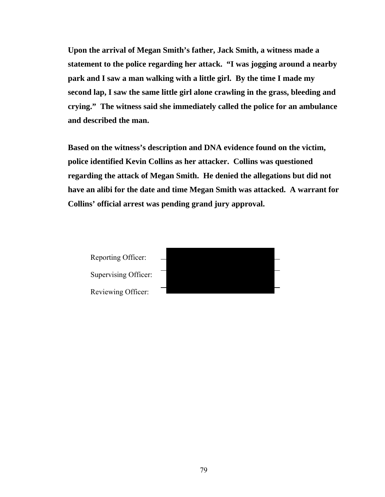**Upon the arrival of Megan Smith's father, Jack Smith, a witness made a statement to the police regarding her attack. "I was jogging around a nearby park and I saw a man walking with a little girl. By the time I made my second lap, I saw the same little girl alone crawling in the grass, bleeding and crying." The witness said she immediately called the police for an ambulance and described the man.** 

**Based on the witness's description and DNA evidence found on the victim, police identified Kevin Collins as her attacker. Collins was questioned regarding the attack of Megan Smith. He denied the allegations but did not have an alibi for the date and time Megan Smith was attacked. A warrant for Collins' official arrest was pending grand jury approval.** 

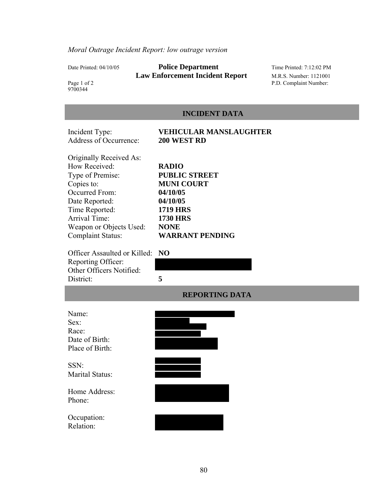# Date Printed: 04/10/05 **Police Department** Time Printed: 7:12:02 PM **Law Enforcement Incident Report** M.R.S. Number: 1121001

P.D. Complaint Number:

Page 1 of 2<br>9700344

# **INCIDENT DATA**

| Incident Type:<br>Address of Occurrence:                                                                                                                                                                 | VEHICULAR MANSLAUGHTER<br>200 WEST RD                                                                                                                            |
|----------------------------------------------------------------------------------------------------------------------------------------------------------------------------------------------------------|------------------------------------------------------------------------------------------------------------------------------------------------------------------|
| Originally Received As:<br>How Received:<br>Type of Premise:<br>Copies to:<br>Occurred From:<br>Date Reported:<br>Time Reported:<br>Arrival Time:<br>Weapon or Objects Used:<br><b>Complaint Status:</b> | <b>RADIO</b><br><b>PUBLIC STREET</b><br><b>MUNI COURT</b><br>04/10/05<br>04/10/05<br><b>1719 HRS</b><br><b>1730 HRS</b><br><b>NONE</b><br><b>WARRANT PENDING</b> |
| Officer Assaulted or Killed:<br>Reporting Officer:<br>Other Officers Notified:<br>District:                                                                                                              | N <sub>O</sub><br>5                                                                                                                                              |
|                                                                                                                                                                                                          | <b>REPORTING DATA</b>                                                                                                                                            |
| Name:<br>Sex:<br>Race:<br>Date of Birth:<br>Place of Birth:                                                                                                                                              |                                                                                                                                                                  |
| SSN:<br>Marital Status:                                                                                                                                                                                  |                                                                                                                                                                  |
| Home Address:<br>Phone:                                                                                                                                                                                  |                                                                                                                                                                  |
| Occupation:<br>Relation:                                                                                                                                                                                 |                                                                                                                                                                  |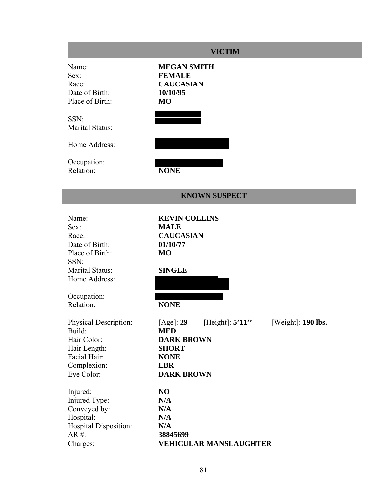|                                                                                                             | <b>VICTIM</b>                                                                                                                                              |
|-------------------------------------------------------------------------------------------------------------|------------------------------------------------------------------------------------------------------------------------------------------------------------|
| Name:<br>Sex:<br>Race:<br>Date of Birth:<br>Place of Birth:                                                 | <b>MEGAN SMITH</b><br><b>FEMALE</b><br><b>CAUCASIAN</b><br>10/10/95<br><b>MO</b>                                                                           |
| SSN:<br>Marital Status:                                                                                     |                                                                                                                                                            |
| Home Address:                                                                                               |                                                                                                                                                            |
| Occupation:<br>Relation:                                                                                    | <b>NONE</b>                                                                                                                                                |
|                                                                                                             | <b>KNOWN SUSPECT</b>                                                                                                                                       |
| Name:<br>Sex:<br>Race:<br>Date of Birth:<br>Place of Birth:<br>SSN:<br>Marital Status:<br>Home Address:     | <b>KEVIN COLLINS</b><br><b>MALE</b><br><b>CAUCASIAN</b><br>01/10/77<br><b>MO</b><br><b>SINGLE</b>                                                          |
| Occupation:<br>Relation:                                                                                    | <b>NONE</b>                                                                                                                                                |
| Physical Description:<br>Build:<br>Hair Color:<br>Hair Length:<br>Facial Hair:<br>Complexion:<br>Eye Color: | [Height]: $5'11$ "<br>[Weight]: 190 lbs.<br>[Age]: 29<br><b>MED</b><br><b>DARK BROWN</b><br><b>SHORT</b><br><b>NONE</b><br><b>LBR</b><br><b>DARK BROWN</b> |
| Injured:<br>Injured Type:<br>Conveyed by:<br>Hospital:<br>Hospital Disposition:<br>$AR$ #:<br>Charges:      | N <sub>O</sub><br>N/A<br>N/A<br>N/A<br>N/A<br>38845699<br><b>VEHICULAR MANSLAUGHTER</b>                                                                    |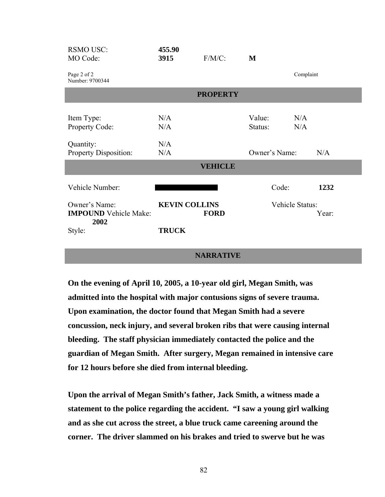| <b>RSMO USC:</b><br>MO Code:                                                       | 455.90<br>3915                       | $F/M/C$ :       | M                                  |                                  |
|------------------------------------------------------------------------------------|--------------------------------------|-----------------|------------------------------------|----------------------------------|
| Page 2 of 2<br>Number: 9700344                                                     |                                      |                 |                                    | Complaint                        |
|                                                                                    |                                      | <b>PROPERTY</b> |                                    |                                  |
| Item Type:<br>Property Code:<br>Quantity:<br>Property Disposition:                 | N/A<br>N/A<br>N/A<br>N/A             | <b>VEHICLE</b>  | Value:<br>Status:<br>Owner's Name: | N/A<br>N/A<br>N/A                |
| Vehicle Number:<br>Owner's Name:<br><b>IMPOUND</b> Vehicle Make:<br>2002<br>Style: | <b>KEVIN COLLINS</b><br><b>TRUCK</b> | <b>FORD</b>     | Code:                              | 1232<br>Vehicle Status:<br>Year: |

## **NARRATIVE**

**On the evening of April 10, 2005, a 10-year old girl, Megan Smith, was admitted into the hospital with major contusions signs of severe trauma. Upon examination, the doctor found that Megan Smith had a severe concussion, neck injury, and several broken ribs that were causing internal bleeding. The staff physician immediately contacted the police and the guardian of Megan Smith. After surgery, Megan remained in intensive care for 12 hours before she died from internal bleeding.** 

**Upon the arrival of Megan Smith's father, Jack Smith, a witness made a statement to the police regarding the accident. "I saw a young girl walking and as she cut across the street, a blue truck came careening around the corner. The driver slammed on his brakes and tried to swerve but he was**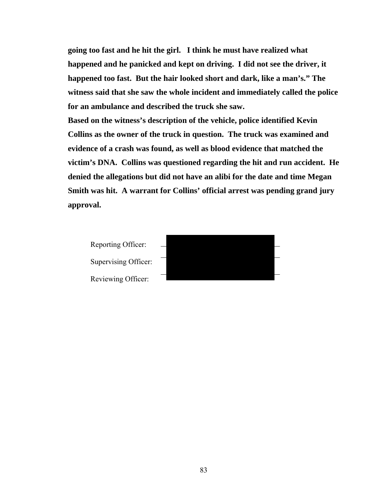**going too fast and he hit the girl. I think he must have realized what happened and he panicked and kept on driving. I did not see the driver, it happened too fast. But the hair looked short and dark, like a man's." The witness said that she saw the whole incident and immediately called the police for an ambulance and described the truck she saw.** 

**Based on the witness's description of the vehicle, police identified Kevin Collins as the owner of the truck in question. The truck was examined and evidence of a crash was found, as well as blood evidence that matched the victim's DNA. Collins was questioned regarding the hit and run accident. He denied the allegations but did not have an alibi for the date and time Megan Smith was hit. A warrant for Collins' official arrest was pending grand jury approval.** 



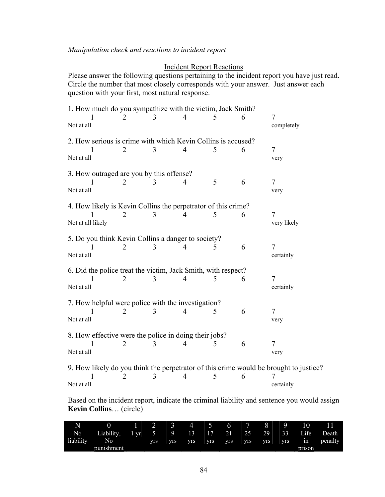## Incident Report Reactions

Please answer the following questions pertaining to the incident report you have just read. Circle the number that most closely corresponds with your answer. Just answer each question with your first, most natural response.

| 1. How much do you sympathize with the victim, Jack Smith?    |                       |   |   |          |   |                                                                                       |  |  |  |  |
|---------------------------------------------------------------|-----------------------|---|---|----------|---|---------------------------------------------------------------------------------------|--|--|--|--|
| Not at all                                                    |                       | 3 | 4 | 5        | 6 | 7<br>completely                                                                       |  |  |  |  |
| 2. How serious is crime with which Kevin Collins is accused?  |                       |   |   |          |   |                                                                                       |  |  |  |  |
| L                                                             | 2                     | 3 | 4 | 5        | 6 | 7                                                                                     |  |  |  |  |
| Not at all                                                    |                       |   |   |          |   | very                                                                                  |  |  |  |  |
| 3. How outraged are you by this offense?                      |                       |   |   |          |   |                                                                                       |  |  |  |  |
|                                                               | $\mathcal{D}_{\cdot}$ | 3 | 4 | 5        | 6 | 7                                                                                     |  |  |  |  |
| Not at all                                                    |                       |   |   |          |   | very                                                                                  |  |  |  |  |
| 4. How likely is Kevin Collins the perpetrator of this crime? |                       |   |   |          |   |                                                                                       |  |  |  |  |
|                                                               |                       |   |   | 5        | 6 | $\overline{7}$                                                                        |  |  |  |  |
| Not at all likely                                             |                       |   |   |          |   | very likely                                                                           |  |  |  |  |
| 5. Do you think Kevin Collins a danger to society?            |                       |   |   |          |   |                                                                                       |  |  |  |  |
|                                                               | 2                     | 3 | 4 | 5        | 6 | 7                                                                                     |  |  |  |  |
| Not at all                                                    |                       |   |   |          |   | certainly                                                                             |  |  |  |  |
| 6. Did the police treat the victim, Jack Smith, with respect? |                       |   |   |          |   |                                                                                       |  |  |  |  |
|                                                               |                       | 3 | 4 | 5        | 6 | 7                                                                                     |  |  |  |  |
| Not at all                                                    |                       |   |   |          |   | certainly                                                                             |  |  |  |  |
| 7. How helpful were police with the investigation?            |                       |   |   |          |   |                                                                                       |  |  |  |  |
|                                                               |                       | 3 | 4 | 5        | 6 | 7                                                                                     |  |  |  |  |
| Not at all                                                    |                       |   |   |          |   | very                                                                                  |  |  |  |  |
| 8. How effective were the police in doing their jobs?         |                       |   |   |          |   |                                                                                       |  |  |  |  |
|                                                               | 2                     | 3 | 4 | $\Delta$ | 6 | 7                                                                                     |  |  |  |  |
| Not at all                                                    |                       |   |   |          |   | very                                                                                  |  |  |  |  |
|                                                               |                       |   |   |          |   | 9. How likely do you think the perpetrator of this crime would be brought to justice? |  |  |  |  |
| 1                                                             | 2                     | 3 | 4 | 5        | 6 | 7                                                                                     |  |  |  |  |
| Not at all                                                    |                       |   |   |          |   | certainly                                                                             |  |  |  |  |

Based on the incident report, indicate the criminal liability and sentence you would assign **Kevin Collins**… (circle)

| N         | __         | __<br>__ | ∽          | Λ<br>ຼ<br>__ | 4<br>--<br>_ | $\overline{\phantom{a}}$ | 6<br>__          | -          | $\Omega$<br>__ | a<br>__<br>__ | 10        | . .<br>. .<br>__ |
|-----------|------------|----------|------------|--------------|--------------|--------------------------|------------------|------------|----------------|---------------|-----------|------------------|
| No        | Liability, | vr       |            |              | 13           | 17<br>. .                | $\gamma$ 1<br>41 | 25         | 29             | 33            | Life<br>ļ | Death            |
| liability | No         |          | <b>VIS</b> | <b>VIS</b>   | <b>VIS</b>   | <b>VIS</b>               | <b>VIS</b>       | <b>VIS</b> | VIS.           | <b>VIS</b>    | 1n        | penalty          |
|           | punishment |          |            |              |              |                          |                  |            |                |               | prison    |                  |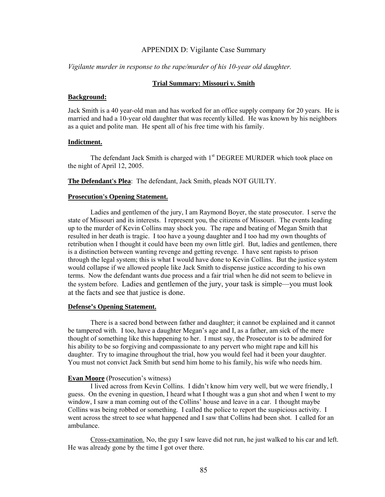#### APPENDIX D: Vigilante Case Summary

#### *Vigilante murder in response to the rape/murder of his 10-year old daughter.*

#### **Trial Summary: Missouri v. Smith**

#### **Background:**

Jack Smith is a 40 year-old man and has worked for an office supply company for 20 years. He is married and had a 10-year old daughter that was recently killed. He was known by his neighbors as a quiet and polite man. He spent all of his free time with his family.

#### **Indictment.**

The defendant Jack Smith is charged with 1<sup>st</sup> DEGREE MURDER which took place on the night of April 12, 2005.

**The Defendant's Plea**: The defendant, Jack Smith, pleads NOT GUILTY.

#### **Prosecution's Opening Statement.**

 Ladies and gentlemen of the jury, I am Raymond Boyer, the state prosecutor. I serve the state of Missouri and its interests. I represent you, the citizens of Missouri. The events leading up to the murder of Kevin Collins may shock you. The rape and beating of Megan Smith that resulted in her death is tragic. I too have a young daughter and I too had my own thoughts of retribution when I thought it could have been my own little girl. But, ladies and gentlemen, there is a distinction between wanting revenge and getting revenge. I have sent rapists to prison through the legal system; this is what I would have done to Kevin Collins. But the justice system would collapse if we allowed people like Jack Smith to dispense justice according to his own terms. Now the defendant wants due process and a fair trial when he did not seem to believe in the system before. Ladies and gentlemen of the jury, your task is simple—you must look at the facts and see that justice is done.

#### **Defense's Opening Statement.**

 There is a sacred bond between father and daughter; it cannot be explained and it cannot be tampered with. I too, have a daughter Megan's age and I, as a father, am sick of the mere thought of something like this happening to her. I must say, the Prosecutor is to be admired for his ability to be so forgiving and compassionate to any pervert who might rape and kill his daughter. Try to imagine throughout the trial, how you would feel had it been your daughter. You must not convict Jack Smith but send him home to his family, his wife who needs him.

#### **Evan Moore** (Prosecution's witness)

 I lived across from Kevin Collins. I didn't know him very well, but we were friendly, I guess. On the evening in question, I heard what I thought was a gun shot and when I went to my window, I saw a man coming out of the Collins' house and leave in a car. I thought maybe Collins was being robbed or something. I called the police to report the suspicious activity. I went across the street to see what happened and I saw that Collins had been shot. I called for an ambulance.

 Cross-examination. No, the guy I saw leave did not run, he just walked to his car and left. He was already gone by the time I got over there.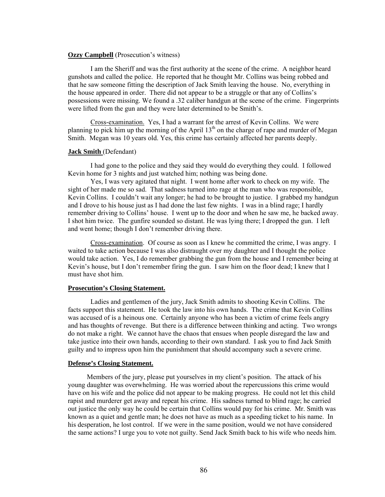#### **Ozzy Campbell** (Prosecution's witness)

I am the Sheriff and was the first authority at the scene of the crime. A neighbor heard gunshots and called the police. He reported that he thought Mr. Collins was being robbed and that he saw someone fitting the description of Jack Smith leaving the house. No, everything in the house appeared in order. There did not appear to be a struggle or that any of Collins's possessions were missing. We found a .32 caliber handgun at the scene of the crime. Fingerprints were lifted from the gun and they were later determined to be Smith's.

Cross-examination. Yes, I had a warrant for the arrest of Kevin Collins. We were planning to pick him up the morning of the April  $13<sup>th</sup>$  on the charge of rape and murder of Megan Smith. Megan was 10 years old. Yes, this crime has certainly affected her parents deeply.

#### **Jack Smith** (Defendant)

I had gone to the police and they said they would do everything they could. I followed Kevin home for 3 nights and just watched him; nothing was being done.

Yes, I was very agitated that night. I went home after work to check on my wife. The sight of her made me so sad. That sadness turned into rage at the man who was responsible, Kevin Collins. I couldn't wait any longer; he had to be brought to justice. I grabbed my handgun and I drove to his house just as I had done the last few nights. I was in a blind rage; I hardly remember driving to Collins' house. I went up to the door and when he saw me, he backed away. I shot him twice. The gunfire sounded so distant. He was lying there; I dropped the gun. I left and went home; though I don't remember driving there.

Cross-examination. Of course as soon as I knew he committed the crime, I was angry. I waited to take action because I was also distraught over my daughter and I thought the police would take action. Yes, I do remember grabbing the gun from the house and I remember being at Kevin's house, but I don't remember firing the gun. I saw him on the floor dead; I knew that I must have shot him.

#### **Prosecution's Closing Statement.**

 Ladies and gentlemen of the jury, Jack Smith admits to shooting Kevin Collins. The facts support this statement. He took the law into his own hands. The crime that Kevin Collins was accused of is a heinous one. Certainly anyone who has been a victim of crime feels angry and has thoughts of revenge. But there is a difference between thinking and acting. Two wrongs do not make a right. We cannot have the chaos that ensues when people disregard the law and take justice into their own hands, according to their own standard. I ask you to find Jack Smith guilty and to impress upon him the punishment that should accompany such a severe crime.

#### **Defense's Closing Statement.**

 Members of the jury, please put yourselves in my client's position. The attack of his young daughter was overwhelming. He was worried about the repercussions this crime would have on his wife and the police did not appear to be making progress. He could not let this child rapist and murderer get away and repeat his crime. His sadness turned to blind rage; he carried out justice the only way he could be certain that Collins would pay for his crime. Mr. Smith was known as a quiet and gentle man; he does not have as much as a speeding ticket to his name. In his desperation, he lost control. If we were in the same position, would we not have considered the same actions? I urge you to vote not guilty. Send Jack Smith back to his wife who needs him.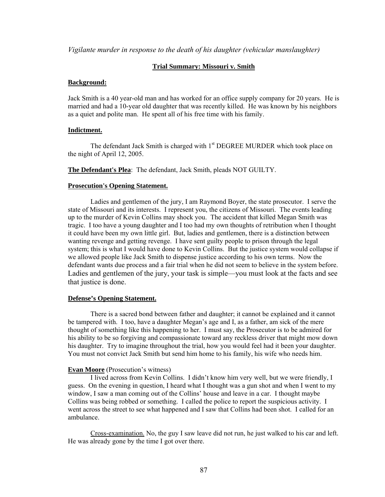*Vigilante murder in response to the death of his daughter (vehicular manslaughter)*

#### **Trial Summary: Missouri v. Smith**

#### **Background:**

Jack Smith is a 40 year-old man and has worked for an office supply company for 20 years. He is married and had a 10-year old daughter that was recently killed. He was known by his neighbors as a quiet and polite man. He spent all of his free time with his family.

#### **Indictment.**

The defendant Jack Smith is charged with  $1<sup>st</sup>$  DEGREE MURDER which took place on the night of April 12, 2005.

**The Defendant's Plea**: The defendant, Jack Smith, pleads NOT GUILTY.

#### **Prosecution's Opening Statement.**

 Ladies and gentlemen of the jury, I am Raymond Boyer, the state prosecutor. I serve the state of Missouri and its interests. I represent you, the citizens of Missouri. The events leading up to the murder of Kevin Collins may shock you. The accident that killed Megan Smith was tragic. I too have a young daughter and I too had my own thoughts of retribution when I thought it could have been my own little girl. But, ladies and gentlemen, there is a distinction between wanting revenge and getting revenge. I have sent guilty people to prison through the legal system; this is what I would have done to Kevin Collins. But the justice system would collapse if we allowed people like Jack Smith to dispense justice according to his own terms. Now the defendant wants due process and a fair trial when he did not seem to believe in the system before. Ladies and gentlemen of the jury, your task is simple—you must look at the facts and see that justice is done.

#### **Defense's Opening Statement.**

 There is a sacred bond between father and daughter; it cannot be explained and it cannot be tampered with. I too, have a daughter Megan's age and I, as a father, am sick of the mere thought of something like this happening to her. I must say, the Prosecutor is to be admired for his ability to be so forgiving and compassionate toward any reckless driver that might mow down his daughter. Try to imagine throughout the trial, how you would feel had it been your daughter. You must not convict Jack Smith but send him home to his family, his wife who needs him.

### **Evan Moore** (Prosecution's witness)

 I lived across from Kevin Collins. I didn't know him very well, but we were friendly, I guess. On the evening in question, I heard what I thought was a gun shot and when I went to my window, I saw a man coming out of the Collins' house and leave in a car. I thought maybe Collins was being robbed or something. I called the police to report the suspicious activity. I went across the street to see what happened and I saw that Collins had been shot. I called for an ambulance.

 Cross-examination. No, the guy I saw leave did not run, he just walked to his car and left. He was already gone by the time I got over there.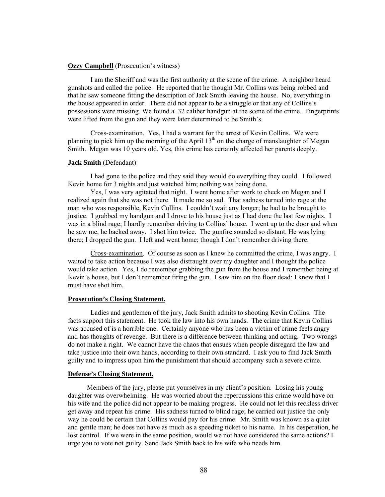#### **Ozzy Campbell** (Prosecution's witness)

I am the Sheriff and was the first authority at the scene of the crime. A neighbor heard gunshots and called the police. He reported that he thought Mr. Collins was being robbed and that he saw someone fitting the description of Jack Smith leaving the house. No, everything in the house appeared in order. There did not appear to be a struggle or that any of Collins's possessions were missing. We found a .32 caliber handgun at the scene of the crime. Fingerprints were lifted from the gun and they were later determined to be Smith's.

Cross-examination. Yes, I had a warrant for the arrest of Kevin Collins. We were planning to pick him up the morning of the April  $13<sup>th</sup>$  on the charge of manslaughter of Megan Smith. Megan was 10 years old. Yes, this crime has certainly affected her parents deeply.

#### **Jack Smith** (Defendant)

I had gone to the police and they said they would do everything they could. I followed Kevin home for 3 nights and just watched him; nothing was being done.

Yes, I was very agitated that night. I went home after work to check on Megan and I realized again that she was not there. It made me so sad. That sadness turned into rage at the man who was responsible, Kevin Collins. I couldn't wait any longer; he had to be brought to justice. I grabbed my handgun and I drove to his house just as I had done the last few nights. I was in a blind rage; I hardly remember driving to Collins' house. I went up to the door and when he saw me, he backed away. I shot him twice. The gunfire sounded so distant. He was lying there; I dropped the gun. I left and went home; though I don't remember driving there.

Cross-examination. Of course as soon as I knew he committed the crime, I was angry. I waited to take action because I was also distraught over my daughter and I thought the police would take action. Yes, I do remember grabbing the gun from the house and I remember being at Kevin's house, but I don't remember firing the gun. I saw him on the floor dead; I knew that I must have shot him.

#### **Prosecution's Closing Statement.**

 Ladies and gentlemen of the jury, Jack Smith admits to shooting Kevin Collins. The facts support this statement. He took the law into his own hands. The crime that Kevin Collins was accused of is a horrible one. Certainly anyone who has been a victim of crime feels angry and has thoughts of revenge. But there is a difference between thinking and acting. Two wrongs do not make a right. We cannot have the chaos that ensues when people disregard the law and take justice into their own hands, according to their own standard. I ask you to find Jack Smith guilty and to impress upon him the punishment that should accompany such a severe crime.

#### **Defense's Closing Statement.**

 Members of the jury, please put yourselves in my client's position. Losing his young daughter was overwhelming. He was worried about the repercussions this crime would have on his wife and the police did not appear to be making progress. He could not let this reckless driver get away and repeat his crime. His sadness turned to blind rage; he carried out justice the only way he could be certain that Collins would pay for his crime. Mr. Smith was known as a quiet and gentle man; he does not have as much as a speeding ticket to his name. In his desperation, he lost control. If we were in the same position, would we not have considered the same actions? I urge you to vote not guilty. Send Jack Smith back to his wife who needs him.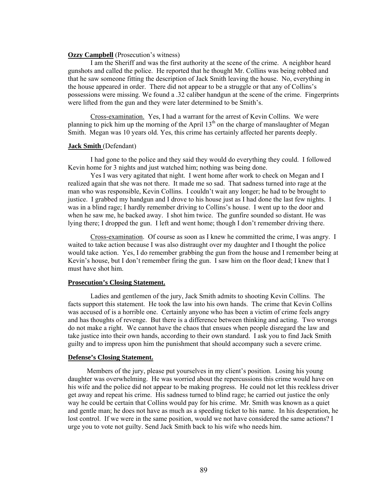#### **Ozzy Campbell** (Prosecution's witness)

I am the Sheriff and was the first authority at the scene of the crime. A neighbor heard gunshots and called the police. He reported that he thought Mr. Collins was being robbed and that he saw someone fitting the description of Jack Smith leaving the house. No, everything in the house appeared in order. There did not appear to be a struggle or that any of Collins's possessions were missing. We found a .32 caliber handgun at the scene of the crime. Fingerprints were lifted from the gun and they were later determined to be Smith's.

Cross-examination. Yes, I had a warrant for the arrest of Kevin Collins. We were planning to pick him up the morning of the April  $13<sup>th</sup>$  on the charge of manslaughter of Megan Smith. Megan was 10 years old. Yes, this crime has certainly affected her parents deeply.

#### **Jack Smith** (Defendant)

I had gone to the police and they said they would do everything they could. I followed Kevin home for 3 nights and just watched him; nothing was being done.

Yes I was very agitated that night. I went home after work to check on Megan and I realized again that she was not there. It made me so sad. That sadness turned into rage at the man who was responsible, Kevin Collins. I couldn't wait any longer; he had to be brought to justice. I grabbed my handgun and I drove to his house just as I had done the last few nights. I was in a blind rage; I hardly remember driving to Collins's house. I went up to the door and when he saw me, he backed away. I shot him twice. The gunfire sounded so distant. He was lying there; I dropped the gun. I left and went home; though I don't remember driving there.

Cross-examination. Of course as soon as I knew he committed the crime, I was angry. I waited to take action because I was also distraught over my daughter and I thought the police would take action. Yes, I do remember grabbing the gun from the house and I remember being at Kevin's house, but I don't remember firing the gun. I saw him on the floor dead; I knew that I must have shot him.

#### **Prosecution's Closing Statement.**

 Ladies and gentlemen of the jury, Jack Smith admits to shooting Kevin Collins. The facts support this statement. He took the law into his own hands. The crime that Kevin Collins was accused of is a horrible one. Certainly anyone who has been a victim of crime feels angry and has thoughts of revenge. But there is a difference between thinking and acting. Two wrongs do not make a right. We cannot have the chaos that ensues when people disregard the law and take justice into their own hands, according to their own standard. I ask you to find Jack Smith guilty and to impress upon him the punishment that should accompany such a severe crime.

#### **Defense's Closing Statement.**

 Members of the jury, please put yourselves in my client's position. Losing his young daughter was overwhelming. He was worried about the repercussions this crime would have on his wife and the police did not appear to be making progress. He could not let this reckless driver get away and repeat his crime. His sadness turned to blind rage; he carried out justice the only way he could be certain that Collins would pay for his crime. Mr. Smith was known as a quiet and gentle man; he does not have as much as a speeding ticket to his name. In his desperation, he lost control. If we were in the same position, would we not have considered the same actions? I urge you to vote not guilty. Send Jack Smith back to his wife who needs him.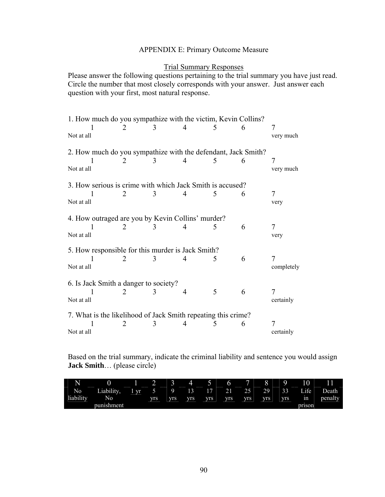# APPENDIX E: Primary Outcome Measure

## Trial Summary Responses

Please answer the following questions pertaining to the trial summary you have just read. Circle the number that most closely corresponds with your answer. Just answer each question with your first, most natural response.

| 1. How much do you sympathize with the victim, Kevin Collins? |                                       |   |   |   |   |                 |  |  |  |  |
|---------------------------------------------------------------|---------------------------------------|---|---|---|---|-----------------|--|--|--|--|
| Not at all                                                    | 2                                     | 3 | 4 | 5 | 6 | 7<br>very much  |  |  |  |  |
| 2. How much do you sympathize with the defendant, Jack Smith? |                                       |   |   |   |   |                 |  |  |  |  |
| Not at all                                                    | 2                                     | 3 | 4 | 5 | 6 | 7<br>very much  |  |  |  |  |
| 3. How serious is crime with which Jack Smith is accused?     |                                       |   |   |   |   |                 |  |  |  |  |
| Not at all                                                    | $\mathcal{D}_{\mathcal{L}}$           | 3 | 4 | 5 | 6 | 7<br>very       |  |  |  |  |
| 4. How outraged are you by Kevin Collins' murder?             |                                       |   |   |   |   |                 |  |  |  |  |
| Not at all                                                    | 2                                     | 3 | 4 | 5 | 6 | 7<br>very       |  |  |  |  |
| 5. How responsible for this murder is Jack Smith?             |                                       |   |   |   |   |                 |  |  |  |  |
| Not at all                                                    | 2                                     | 3 | 4 | 5 | 6 | 7<br>completely |  |  |  |  |
|                                                               | 6. Is Jack Smith a danger to society? |   |   |   |   |                 |  |  |  |  |
| Not at all                                                    | 2                                     | 3 | 4 | 5 | 6 | 7<br>certainly  |  |  |  |  |
| 7. What is the likelihood of Jack Smith repeating this crime? |                                       |   |   |   |   |                 |  |  |  |  |
| Not at all                                                    | 2                                     | 3 | 4 | 5 | 6 | 7<br>certainly  |  |  |  |  |

Based on the trial summary, indicate the criminal liability and sentence you would assign **Jack Smith**… (please circle)

| N<br>__   | $\overline{\phantom{a}}$ | __        | ∸          | $\sqrt{2}$<br>ຼ | __  | $\overline{\phantom{a}}$ | O          | ī<br>__   | Ô          | Q          | 10     |         |
|-----------|--------------------------|-----------|------------|-----------------|-----|--------------------------|------------|-----------|------------|------------|--------|---------|
| No        | Liability,               | <b>vr</b> |            |                 | 13  | $1 -$<br>--              | 21         | つく<br>ت ک | 29         | 33         | Life   | Death   |
| liability | No                       |           | <b>VIS</b> | <b>VIS</b>      | vrs | <b>VIS</b>               | <b>VIS</b> | VIS.      | <b>VIS</b> | <b>VIS</b> | 1n     | penalty |
|           | punishment               |           |            |                 |     |                          |            |           |            |            | prison |         |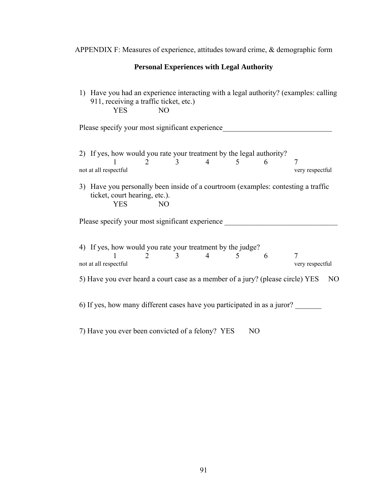APPENDIX F: Measures of experience, attitudes toward crime, & demographic form

## **Personal Experiences with Legal Authority**

1) Have you had an experience interacting with a legal authority? (examples: calling 911, receiving a traffic ticket, etc.) YES NO

Please specify your most significant experience\_\_\_\_\_\_\_\_\_\_\_\_\_\_\_\_\_\_\_\_\_\_\_\_\_\_\_\_\_\_\_\_\_

| 2) If yes, how would you rate your treatment by the legal authority? |                       |                       |  |  |                 |
|----------------------------------------------------------------------|-----------------------|-----------------------|--|--|-----------------|
|                                                                      |                       | $\frac{1}{2}$ 3 4 5 6 |  |  |                 |
|                                                                      | not at all respectful |                       |  |  | very respectful |

3) Have you personally been inside of a courtroom (examples: contesting a traffic ticket, court hearing, etc.). YES NO

Please specify your most significant experience \_\_\_\_\_\_\_\_\_\_\_\_\_\_\_\_\_\_\_\_\_\_\_\_\_\_\_\_\_\_\_\_

| 4) If yes, how would you rate your treatment by the judge?                     |     |  |                 |    |
|--------------------------------------------------------------------------------|-----|--|-----------------|----|
| not at all respectful                                                          | 3 4 |  | very respectful |    |
| 5) Have you ever heard a court case as a member of a jury? (please circle) YES |     |  |                 | NO |
| 6) If yes, how many different cases have you participated in as a juror?       |     |  |                 |    |

7) Have you ever been convicted of a felony? YES NO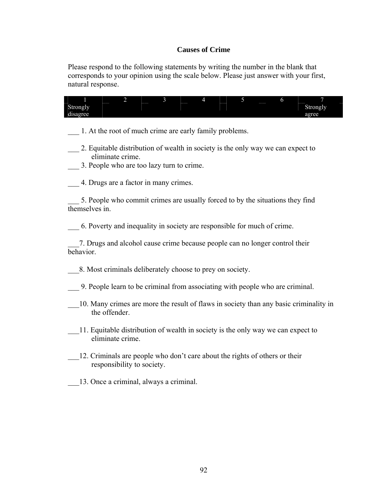# **Causes of Crime**

Please respond to the following statements by writing the number in the blank that corresponds to your opinion using the scale below. Please just answer with your first, natural response.

| 7<br>1<br>4<br>5<br>6<br>$\overline{c}$<br>3<br>Strongly<br>Strongly<br>disagree<br>agree                                                        |
|--------------------------------------------------------------------------------------------------------------------------------------------------|
| 1. At the root of much crime are early family problems.                                                                                          |
| 2. Equitable distribution of wealth in society is the only way we can expect to<br>eliminate crime.<br>3. People who are too lazy turn to crime. |
| 4. Drugs are a factor in many crimes.                                                                                                            |
| 5. People who commit crimes are usually forced to by the situations they find<br>themselves in.                                                  |
| 6. Poverty and inequality in society are responsible for much of crime.                                                                          |
| 7. Drugs and alcohol cause crime because people can no longer control their<br>behavior.                                                         |
| 8. Most criminals deliberately choose to prey on society.                                                                                        |
| 9. People learn to be criminal from associating with people who are criminal.                                                                    |
| 10. Many crimes are more the result of flaws in society than any basic criminality in<br>the offender.                                           |
| 11. Equitable distribution of wealth in society is the only way we can expect to<br>eliminate crime.                                             |
| 12. Criminals are people who don't care about the rights of others or their<br>responsibility to society.                                        |
| 13. Once a criminal, always a criminal.                                                                                                          |
|                                                                                                                                                  |
|                                                                                                                                                  |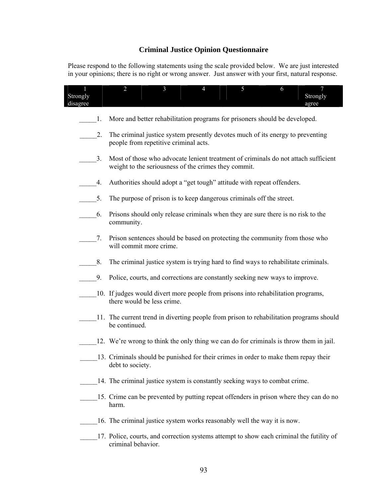# **Criminal Justice Opinion Questionnaire**

Please respond to the following statements using the scale provided below. We are just interested in your opinions; there is no right or wrong answer. Just answer with your first, natural response.

| 1<br>Strongly<br>disagree |    | $\overline{2}$     | $\overline{3}$                                       | $\overline{4}$ | 5                                                                                        | 6 | $\overline{7}$<br>Strongly<br>agree |
|---------------------------|----|--------------------|------------------------------------------------------|----------------|------------------------------------------------------------------------------------------|---|-------------------------------------|
|                           | 1. |                    |                                                      |                | More and better rehabilitation programs for prisoners should be developed.               |   |                                     |
|                           | 2. |                    | people from repetitive criminal acts.                |                | The criminal justice system presently devotes much of its energy to preventing           |   |                                     |
|                           | 3. |                    | weight to the seriousness of the crimes they commit. |                | Most of those who advocate lenient treatment of criminals do not attach sufficient       |   |                                     |
|                           | 4. |                    |                                                      |                | Authorities should adopt a "get tough" attitude with repeat offenders.                   |   |                                     |
|                           | 5. |                    |                                                      |                | The purpose of prison is to keep dangerous criminals off the street.                     |   |                                     |
|                           | 6. | community.         |                                                      |                | Prisons should only release criminals when they are sure there is no risk to the         |   |                                     |
|                           | 7. |                    | will commit more crime.                              |                | Prison sentences should be based on protecting the community from those who              |   |                                     |
|                           | 8. |                    |                                                      |                | The criminal justice system is trying hard to find ways to rehabilitate criminals.       |   |                                     |
|                           | 9. |                    |                                                      |                | Police, courts, and corrections are constantly seeking new ways to improve.              |   |                                     |
|                           |    |                    | there would be less crime.                           |                | 10. If judges would divert more people from prisons into rehabilitation programs,        |   |                                     |
|                           |    | be continued.      |                                                      |                | 11. The current trend in diverting people from prison to rehabilitation programs should  |   |                                     |
|                           |    |                    |                                                      |                | 12. We're wrong to think the only thing we can do for criminals is throw them in jail.   |   |                                     |
|                           |    | debt to society.   |                                                      |                | 13. Criminals should be punished for their crimes in order to make them repay their      |   |                                     |
|                           |    |                    |                                                      |                | 14. The criminal justice system is constantly seeking ways to combat crime.              |   |                                     |
|                           |    | harm.              |                                                      |                | 15. Crime can be prevented by putting repeat offenders in prison where they can do no    |   |                                     |
|                           |    |                    |                                                      |                | 16. The criminal justice system works reasonably well the way it is now.                 |   |                                     |
|                           |    | criminal behavior. |                                                      |                | 17. Police, courts, and correction systems attempt to show each criminal the futility of |   |                                     |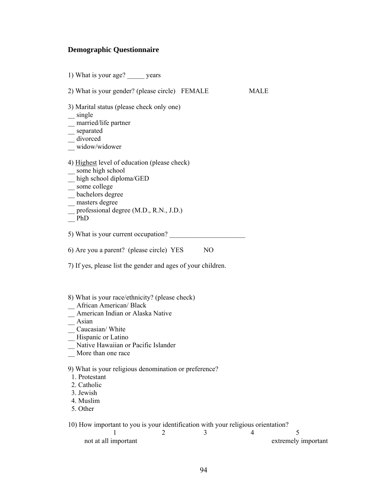### **Demographic Questionnaire**

1) What is your age? \_\_\_\_\_ years

2) What is your gender? (please circle) FEMALE MALE

3) Marital status (please check only one)

 $\equiv$  single

\_\_ married/life partner

\_\_ separated

\_\_ divorced

 $\frac{1}{\sqrt{2}}$  widow/widower

- 4) Highest level of education (please check)
- \_\_ some high school
- $\equiv$ high school diploma/GED
- \_\_ some college
- $\equiv$  bachelors degree
- \_\_ masters degree
- \_\_ professional degree (M.D., R.N., J.D.)
- $-\overline{PhD}$

5) What is your current occupation?

6) Are you a parent? (please circle) YES NO

7) If yes, please list the gender and ages of your children.

#### 8) What is your race/ethnicity? (please check)

- \_\_ African American/ Black
- \_\_ American Indian or Alaska Native

\_\_ Asian

\_\_ Caucasian/ White

— Hispanic or Latino

- \_\_ Native Hawaiian or Pacific Islander
- \_\_ More than one race

9) What is your religious denomination or preference?

1. Protestant

2. Catholic

3. Jewish

4. Muslim

5. Other

10) How important to you is your identification with your religious orientation?

| not at all important |  | extremely important |
|----------------------|--|---------------------|